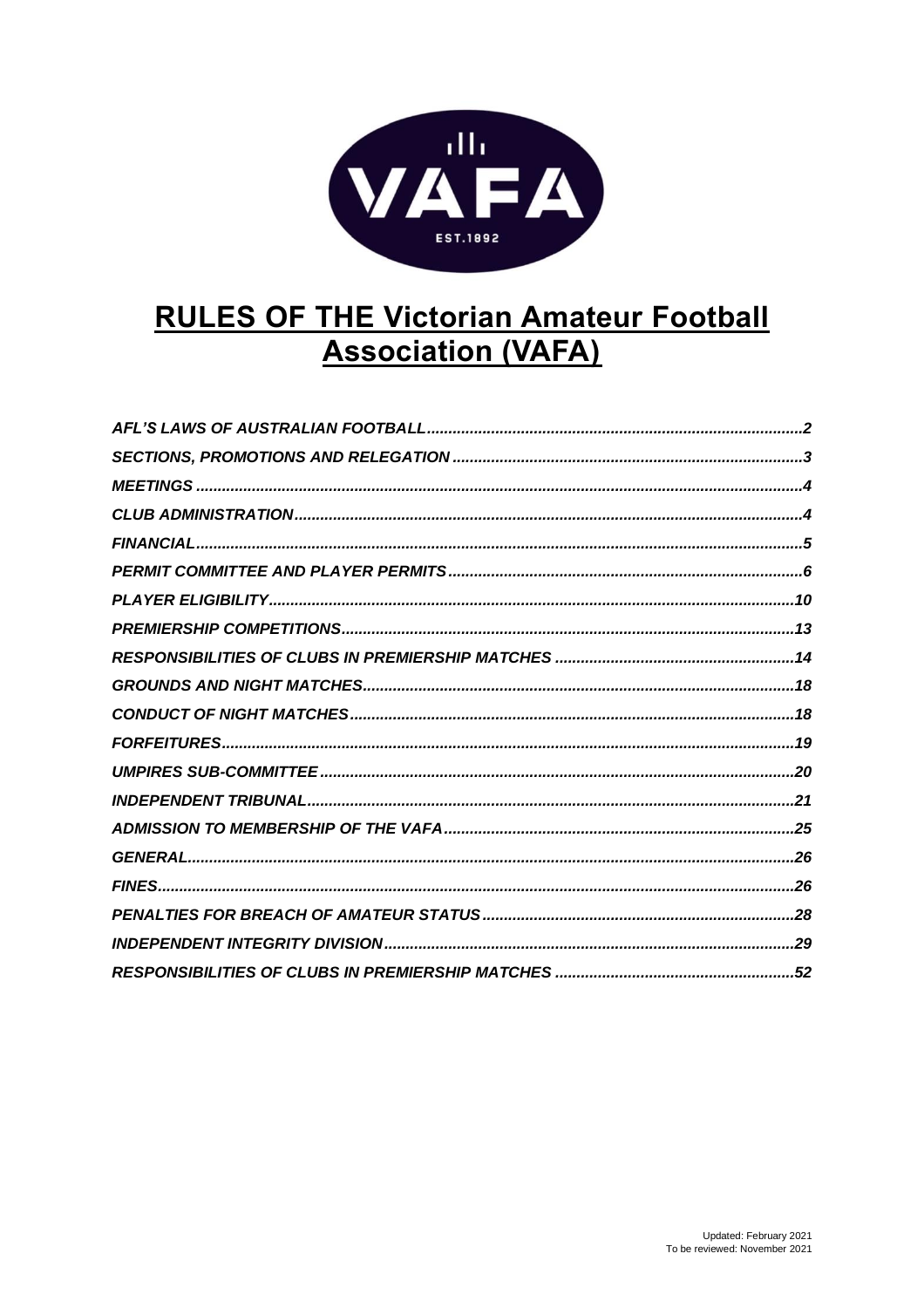

# **RULES OF THE Victorian Amateur Football Association (VAFA)**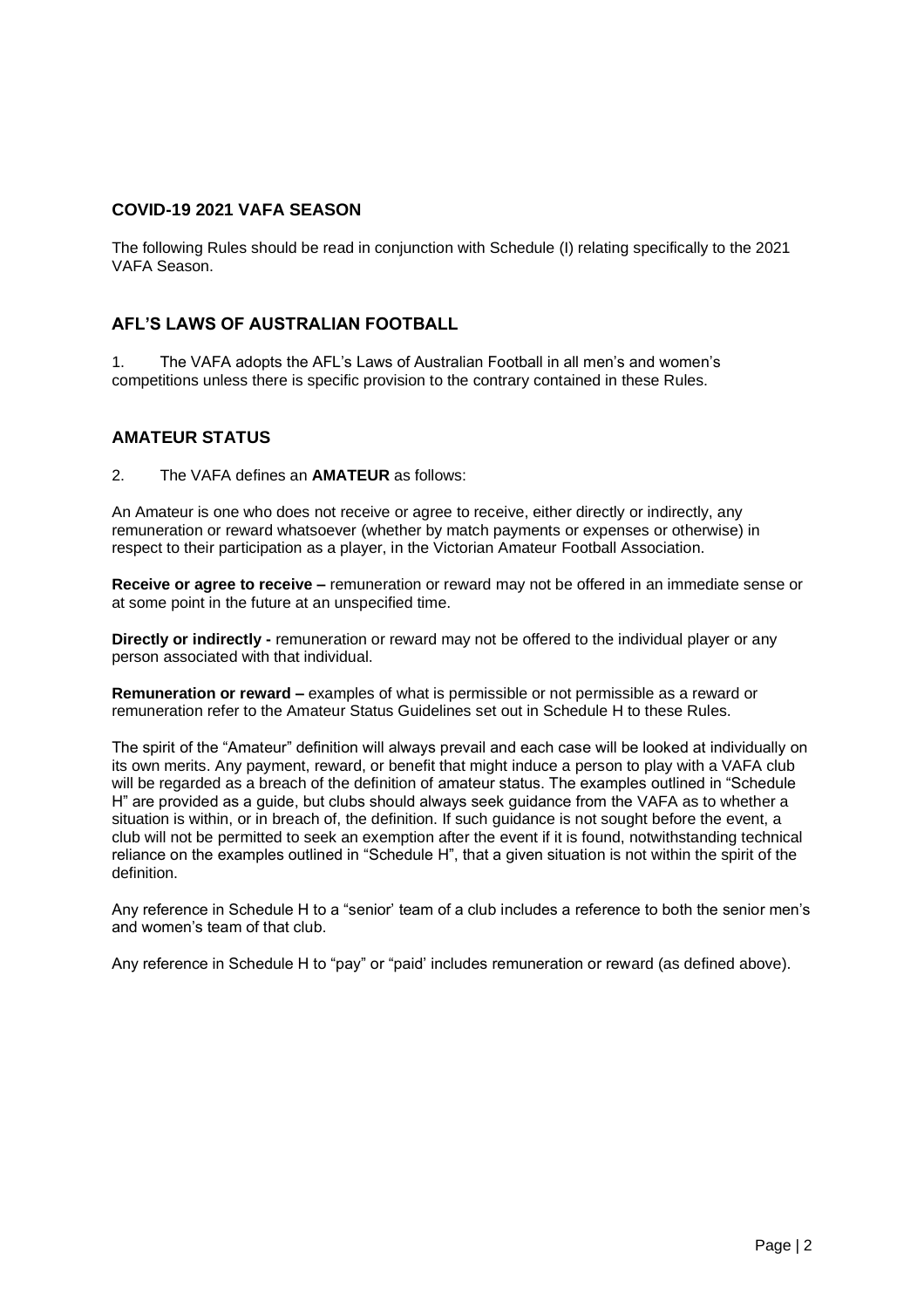### **COVID-19 2021 VAFA SEASON**

The following Rules should be read in conjunction with Schedule (I) relating specifically to the 2021 VAFA Season.

#### **AFL'S LAWS OF AUSTRALIAN FOOTBALL**

1. The VAFA adopts the AFL's Laws of Australian Football in all men's and women's competitions unless there is specific provision to the contrary contained in these Rules.

#### **AMATEUR STATUS**

2. The VAFA defines an **AMATEUR** as follows:

An Amateur is one who does not receive or agree to receive, either directly or indirectly, any remuneration or reward whatsoever (whether by match payments or expenses or otherwise) in respect to their participation as a player, in the Victorian Amateur Football Association.

**Receive or agree to receive –** remuneration or reward may not be offered in an immediate sense or at some point in the future at an unspecified time.

**Directly or indirectly -** remuneration or reward may not be offered to the individual player or any person associated with that individual.

**Remuneration or reward –** examples of what is permissible or not permissible as a reward or remuneration refer to the Amateur Status Guidelines set out in Schedule H to these Rules.

The spirit of the "Amateur" definition will always prevail and each case will be looked at individually on its own merits. Any payment, reward, or benefit that might induce a person to play with a VAFA club will be regarded as a breach of the definition of amateur status. The examples outlined in "Schedule H" are provided as a guide, but clubs should always seek guidance from the VAFA as to whether a situation is within, or in breach of, the definition. If such guidance is not sought before the event, a club will not be permitted to seek an exemption after the event if it is found, notwithstanding technical reliance on the examples outlined in "Schedule H", that a given situation is not within the spirit of the definition.

Any reference in Schedule H to a "senior' team of a club includes a reference to both the senior men's and women's team of that club.

Any reference in Schedule H to "pay" or "paid' includes remuneration or reward (as defined above).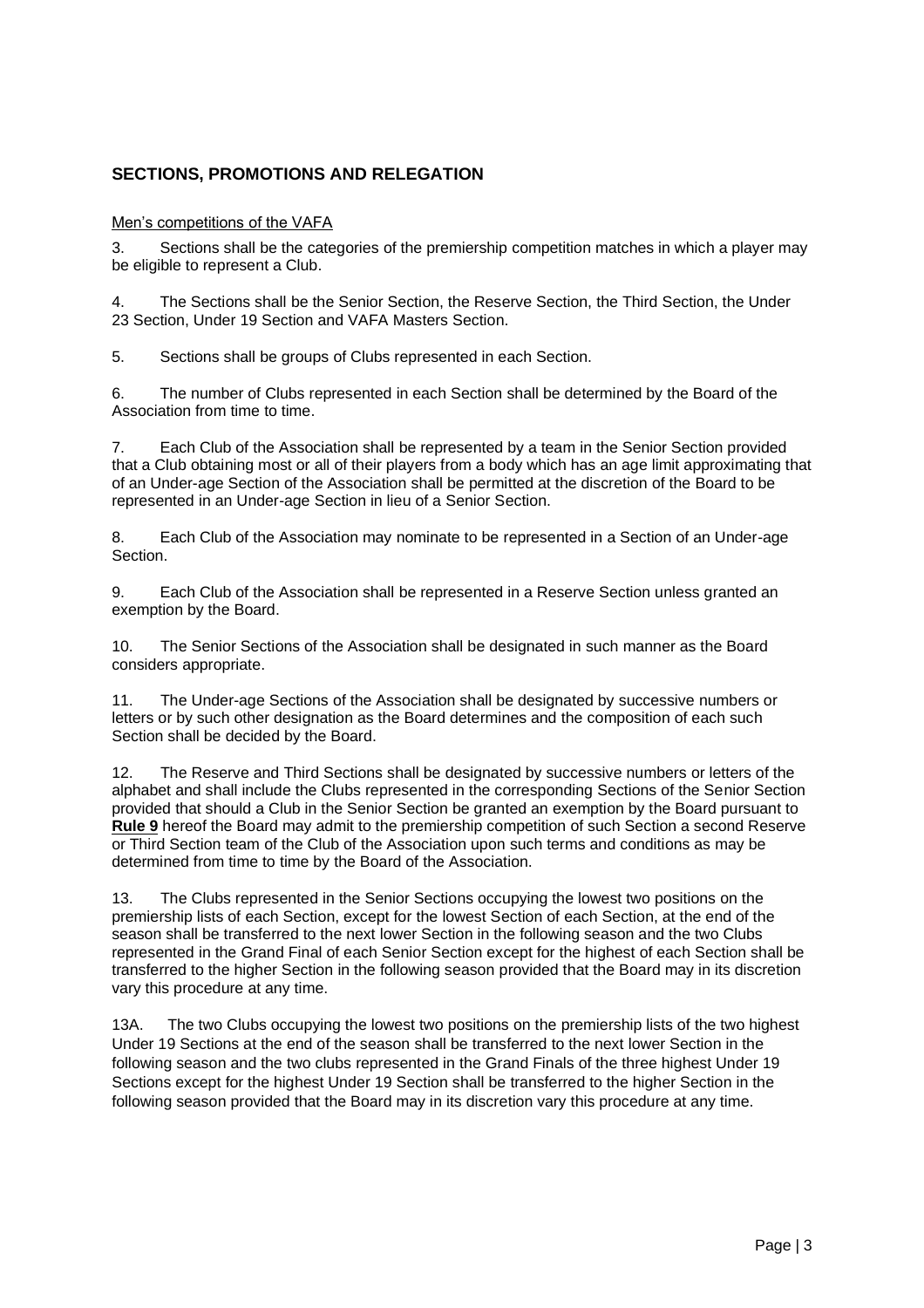## <span id="page-2-0"></span>**SECTIONS, PROMOTIONS AND RELEGATION**

#### Men's competitions of the VAFA

3. Sections shall be the categories of the premiership competition matches in which a player may be eligible to represent a Club.

4. The Sections shall be the Senior Section, the Reserve Section, the Third Section, the Under 23 Section, Under 19 Section and VAFA Masters Section.

5. Sections shall be groups of Clubs represented in each Section.

6. The number of Clubs represented in each Section shall be determined by the Board of the Association from time to time.

7. Each Club of the Association shall be represented by a team in the Senior Section provided that a Club obtaining most or all of their players from a body which has an age limit approximating that of an Under-age Section of the Association shall be permitted at the discretion of the Board to be represented in an Under-age Section in lieu of a Senior Section.

8. Each Club of the Association may nominate to be represented in a Section of an Under-age Section.

9. Each Club of the Association shall be represented in a Reserve Section unless granted an exemption by the Board.

10. The Senior Sections of the Association shall be designated in such manner as the Board considers appropriate.

11. The Under-age Sections of the Association shall be designated by successive numbers or letters or by such other designation as the Board determines and the composition of each such Section shall be decided by the Board.

12. The Reserve and Third Sections shall be designated by successive numbers or letters of the alphabet and shall include the Clubs represented in the corresponding Sections of the Senior Section provided that should a Club in the Senior Section be granted an exemption by the Board pursuant to **Rule 9** hereof the Board may admit to the premiership competition of such Section a second Reserve or Third Section team of the Club of the Association upon such terms and conditions as may be determined from time to time by the Board of the Association.

13. The Clubs represented in the Senior Sections occupying the lowest two positions on the premiership lists of each Section, except for the lowest Section of each Section, at the end of the season shall be transferred to the next lower Section in the following season and the two Clubs represented in the Grand Final of each Senior Section except for the highest of each Section shall be transferred to the higher Section in the following season provided that the Board may in its discretion vary this procedure at any time.

13A. The two Clubs occupying the lowest two positions on the premiership lists of the two highest Under 19 Sections at the end of the season shall be transferred to the next lower Section in the following season and the two clubs represented in the Grand Finals of the three highest Under 19 Sections except for the highest Under 19 Section shall be transferred to the higher Section in the following season provided that the Board may in its discretion vary this procedure at any time.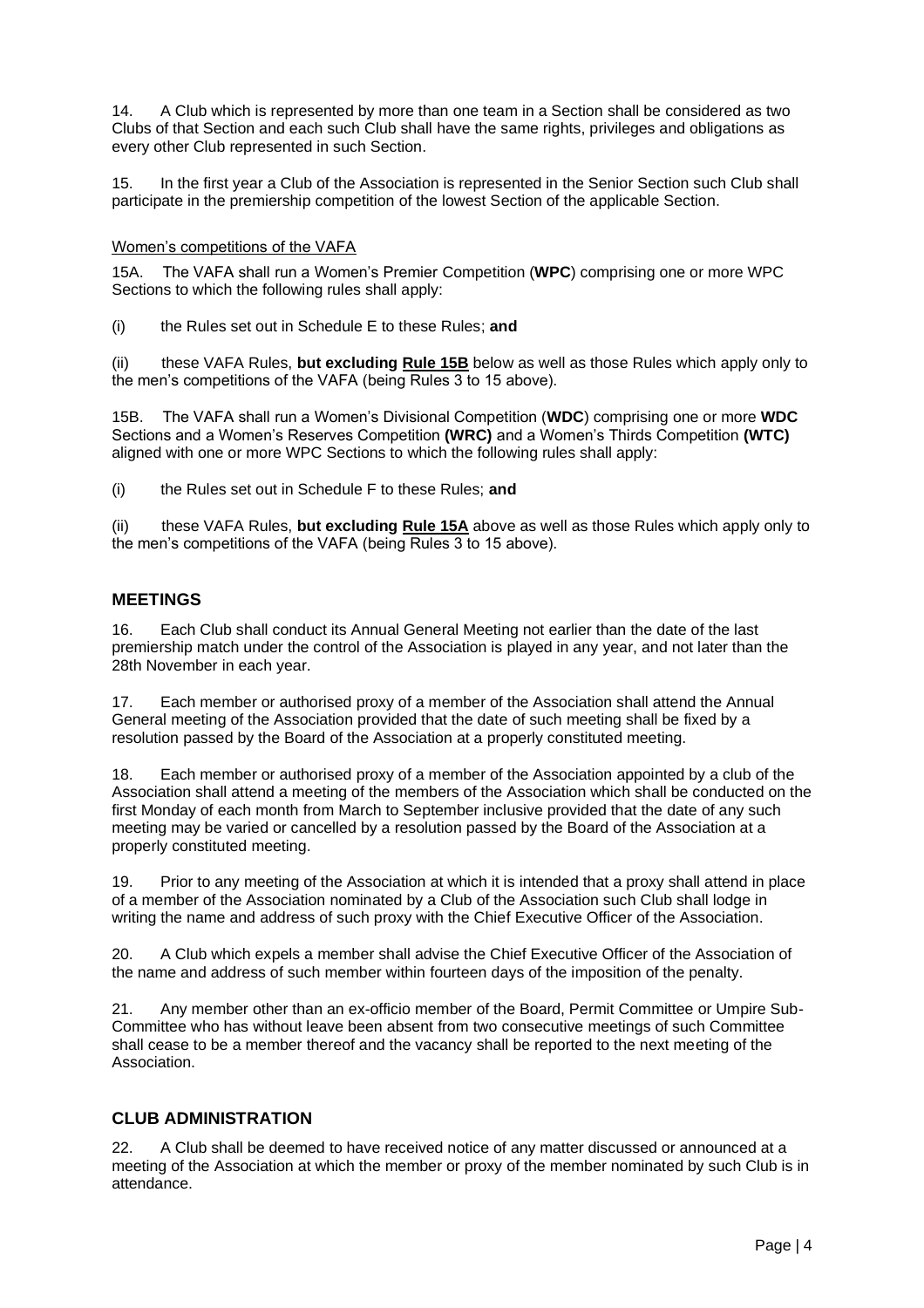14. A Club which is represented by more than one team in a Section shall be considered as two Clubs of that Section and each such Club shall have the same rights, privileges and obligations as every other Club represented in such Section.

15. In the first year a Club of the Association is represented in the Senior Section such Club shall participate in the premiership competition of the lowest Section of the applicable Section.

#### Women's competitions of the VAFA

15A. The VAFA shall run a Women's Premier Competition (**WPC**) comprising one or more WPC Sections to which the following rules shall apply:

(i) the Rules set out in Schedule E to these Rules; **and**

(ii) these VAFA Rules, **but excluding Rule 15B** below as well as those Rules which apply only to the men's competitions of the VAFA (being Rules 3 to 15 above).

15B. The VAFA shall run a Women's Divisional Competition (**WDC**) comprising one or more **WDC** Sections and a Women's Reserves Competition **(WRC)** and a Women's Thirds Competition **(WTC)**  aligned with one or more WPC Sections to which the following rules shall apply:

(i) the Rules set out in Schedule F to these Rules; **and**

(ii) these VAFA Rules, **but excluding Rule 15A** above as well as those Rules which apply only to the men's competitions of the VAFA (being Rules 3 to 15 above).

#### <span id="page-3-0"></span>**MEETINGS**

16. Each Club shall conduct its Annual General Meeting not earlier than the date of the last premiership match under the control of the Association is played in any year, and not later than the 28th November in each year.

17. Each member or authorised proxy of a member of the Association shall attend the Annual General meeting of the Association provided that the date of such meeting shall be fixed by a resolution passed by the Board of the Association at a properly constituted meeting.

18. Each member or authorised proxy of a member of the Association appointed by a club of the Association shall attend a meeting of the members of the Association which shall be conducted on the first Monday of each month from March to September inclusive provided that the date of any such meeting may be varied or cancelled by a resolution passed by the Board of the Association at a properly constituted meeting.

19. Prior to any meeting of the Association at which it is intended that a proxy shall attend in place of a member of the Association nominated by a Club of the Association such Club shall lodge in writing the name and address of such proxy with the Chief Executive Officer of the Association.

20. A Club which expels a member shall advise the Chief Executive Officer of the Association of the name and address of such member within fourteen days of the imposition of the penalty.

21. Any member other than an ex-officio member of the Board, Permit Committee or Umpire Sub-Committee who has without leave been absent from two consecutive meetings of such Committee shall cease to be a member thereof and the vacancy shall be reported to the next meeting of the Association.

### <span id="page-3-1"></span>**CLUB ADMINISTRATION**

A Club shall be deemed to have received notice of any matter discussed or announced at a meeting of the Association at which the member or proxy of the member nominated by such Club is in attendance.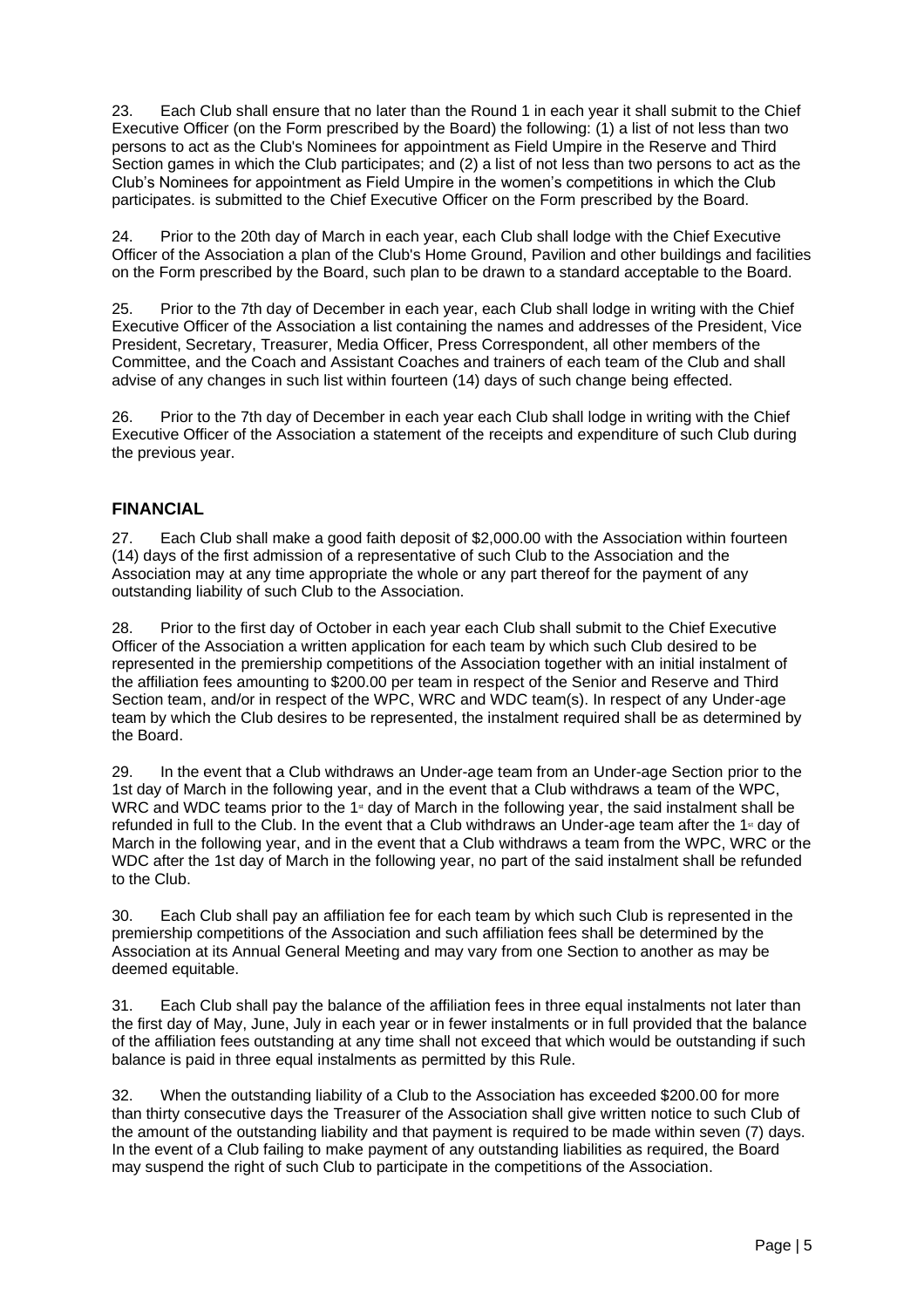23. Each Club shall ensure that no later than the Round 1 in each year it shall submit to the Chief Executive Officer (on the Form prescribed by the Board) the following: (1) a list of not less than two persons to act as the Club's Nominees for appointment as Field Umpire in the Reserve and Third Section games in which the Club participates; and (2) a list of not less than two persons to act as the Club's Nominees for appointment as Field Umpire in the women's competitions in which the Club participates. is submitted to the Chief Executive Officer on the Form prescribed by the Board.

24. Prior to the 20th day of March in each year, each Club shall lodge with the Chief Executive Officer of the Association a plan of the Club's Home Ground, Pavilion and other buildings and facilities on the Form prescribed by the Board, such plan to be drawn to a standard acceptable to the Board.

25. Prior to the 7th day of December in each year, each Club shall lodge in writing with the Chief Executive Officer of the Association a list containing the names and addresses of the President, Vice President, Secretary, Treasurer, Media Officer, Press Correspondent, all other members of the Committee, and the Coach and Assistant Coaches and trainers of each team of the Club and shall advise of any changes in such list within fourteen (14) days of such change being effected.

26. Prior to the 7th day of December in each year each Club shall lodge in writing with the Chief Executive Officer of the Association a statement of the receipts and expenditure of such Club during the previous year.

### <span id="page-4-0"></span>**FINANCIAL**

27. Each Club shall make a good faith deposit of \$2,000.00 with the Association within fourteen (14) days of the first admission of a representative of such Club to the Association and the Association may at any time appropriate the whole or any part thereof for the payment of any outstanding liability of such Club to the Association.

28. Prior to the first day of October in each year each Club shall submit to the Chief Executive Officer of the Association a written application for each team by which such Club desired to be represented in the premiership competitions of the Association together with an initial instalment of the affiliation fees amounting to \$200.00 per team in respect of the Senior and Reserve and Third Section team, and/or in respect of the WPC, WRC and WDC team(s). In respect of any Under-age team by which the Club desires to be represented, the instalment required shall be as determined by the Board.

29. In the event that a Club withdraws an Under-age team from an Under-age Section prior to the 1st day of March in the following year, and in the event that a Club withdraws a team of the WPC, WRC and WDC teams prior to the 1<sup>st</sup> day of March in the following year, the said instalment shall be refunded in full to the Club. In the event that a Club withdraws an Under-age team after the 1<sup>st</sup> day of March in the following year, and in the event that a Club withdraws a team from the WPC, WRC or the WDC after the 1st day of March in the following year, no part of the said instalment shall be refunded to the Club.

30. Each Club shall pay an affiliation fee for each team by which such Club is represented in the premiership competitions of the Association and such affiliation fees shall be determined by the Association at its Annual General Meeting and may vary from one Section to another as may be deemed equitable.

31. Each Club shall pay the balance of the affiliation fees in three equal instalments not later than the first day of May, June, July in each year or in fewer instalments or in full provided that the balance of the affiliation fees outstanding at any time shall not exceed that which would be outstanding if such balance is paid in three equal instalments as permitted by this Rule.

32. When the outstanding liability of a Club to the Association has exceeded \$200.00 for more than thirty consecutive days the Treasurer of the Association shall give written notice to such Club of the amount of the outstanding liability and that payment is required to be made within seven (7) days. In the event of a Club failing to make payment of any outstanding liabilities as required, the Board may suspend the right of such Club to participate in the competitions of the Association.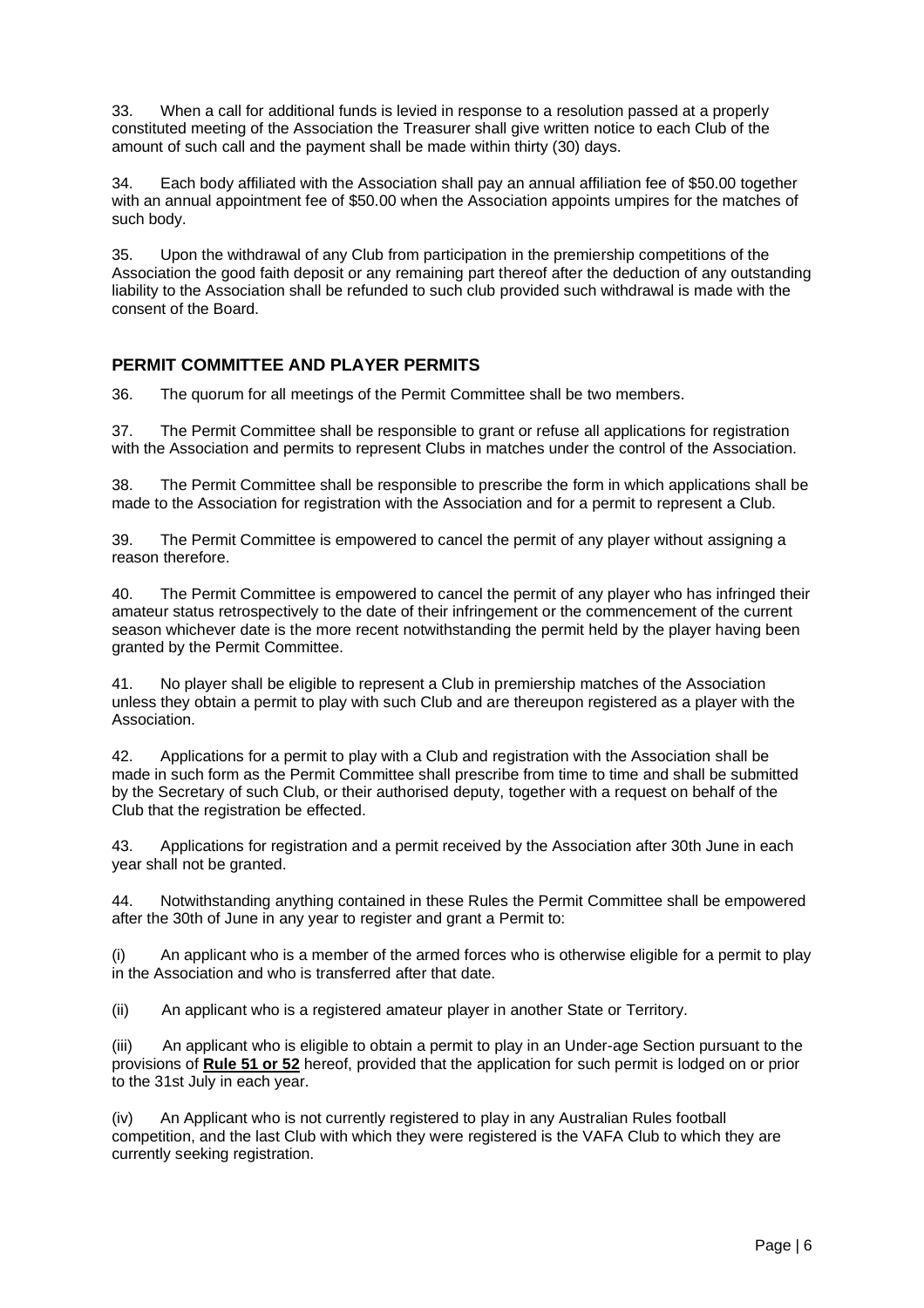33. When a call for additional funds is levied in response to a resolution passed at a properly constituted meeting of the Association the Treasurer shall give written notice to each Club of the amount of such call and the payment shall be made within thirty (30) days.

34. Each body affiliated with the Association shall pay an annual affiliation fee of \$50.00 together with an annual appointment fee of \$50.00 when the Association appoints umpires for the matches of such body.

35. Upon the withdrawal of any Club from participation in the premiership competitions of the Association the good faith deposit or any remaining part thereof after the deduction of any outstanding liability to the Association shall be refunded to such club provided such withdrawal is made with the consent of the Board.

### <span id="page-5-0"></span>**PERMIT COMMITTEE AND PLAYER PERMITS**

36. The quorum for all meetings of the Permit Committee shall be two members.

37. The Permit Committee shall be responsible to grant or refuse all applications for registration with the Association and permits to represent Clubs in matches under the control of the Association.

38. The Permit Committee shall be responsible to prescribe the form in which applications shall be made to the Association for registration with the Association and for a permit to represent a Club.

39. The Permit Committee is empowered to cancel the permit of any player without assigning a reason therefore.

40. The Permit Committee is empowered to cancel the permit of any player who has infringed their amateur status retrospectively to the date of their infringement or the commencement of the current season whichever date is the more recent notwithstanding the permit held by the player having been granted by the Permit Committee.

41. No player shall be eligible to represent a Club in premiership matches of the Association unless they obtain a permit to play with such Club and are thereupon registered as a player with the Association.

42. Applications for a permit to play with a Club and registration with the Association shall be made in such form as the Permit Committee shall prescribe from time to time and shall be submitted by the Secretary of such Club, or their authorised deputy, together with a request on behalf of the Club that the registration be effected.

43. Applications for registration and a permit received by the Association after 30th June in each year shall not be granted.

44. Notwithstanding anything contained in these Rules the Permit Committee shall be empowered after the 30th of June in any year to register and grant a Permit to:

(i) An applicant who is a member of the armed forces who is otherwise eligible for a permit to play in the Association and who is transferred after that date.

(ii) An applicant who is a registered amateur player in another State or Territory.

An applicant who is eligible to obtain a permit to play in an Under-age Section pursuant to the provisions of **Rule 51 or 52** hereof, provided that the application for such permit is lodged on or prior to the 31st July in each year.

(iv) An Applicant who is not currently registered to play in any Australian Rules football competition, and the last Club with which they were registered is the VAFA Club to which they are currently seeking registration.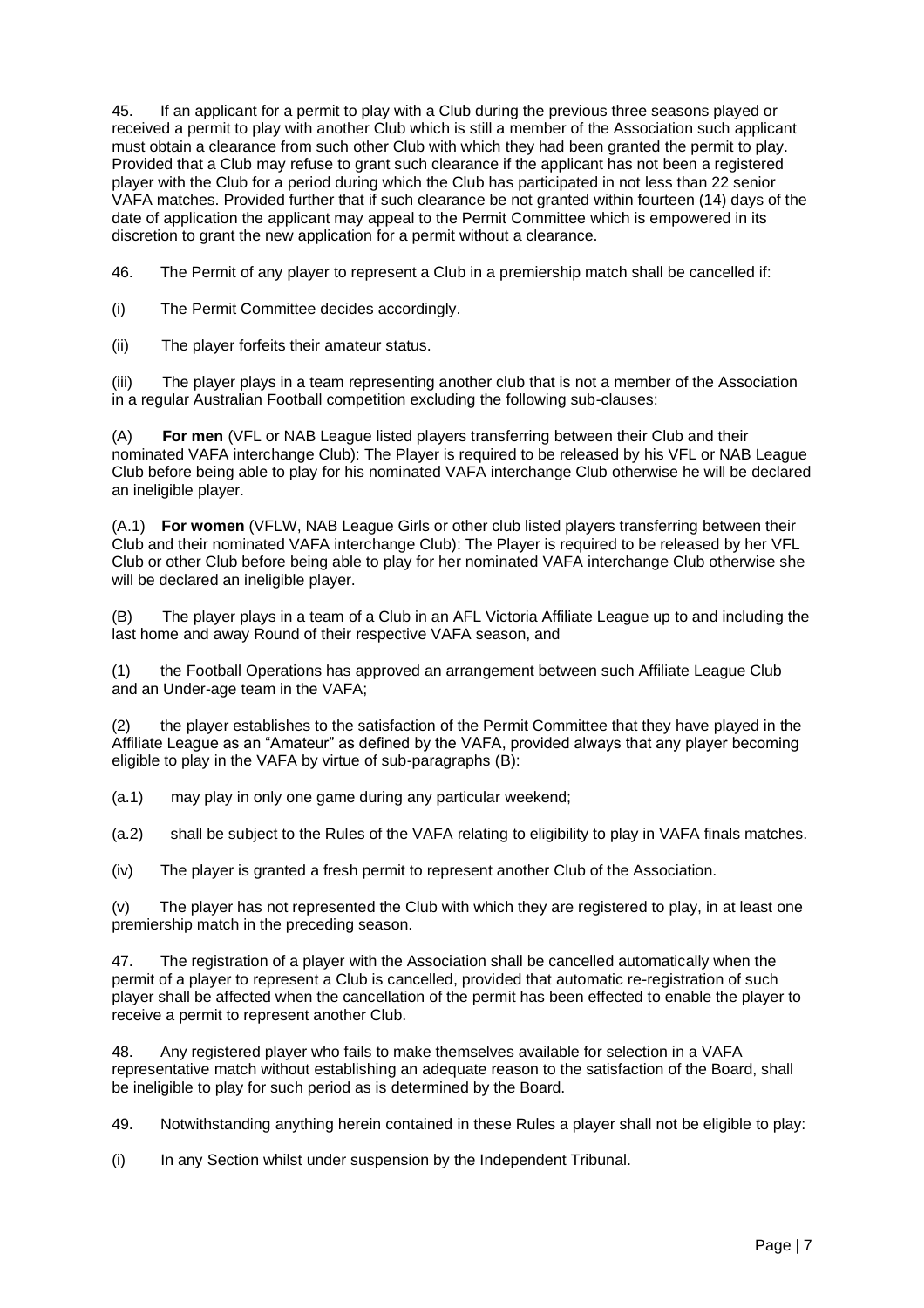45. If an applicant for a permit to play with a Club during the previous three seasons played or received a permit to play with another Club which is still a member of the Association such applicant must obtain a clearance from such other Club with which they had been granted the permit to play. Provided that a Club may refuse to grant such clearance if the applicant has not been a registered player with the Club for a period during which the Club has participated in not less than 22 senior VAFA matches. Provided further that if such clearance be not granted within fourteen (14) days of the date of application the applicant may appeal to the Permit Committee which is empowered in its discretion to grant the new application for a permit without a clearance.

46. The Permit of any player to represent a Club in a premiership match shall be cancelled if:

(i) The Permit Committee decides accordingly.

(ii) The player forfeits their amateur status.

(iii) The player plays in a team representing another club that is not a member of the Association in a regular Australian Football competition excluding the following sub-clauses:

(A) **For men** (VFL or NAB League listed players transferring between their Club and their nominated VAFA interchange Club): The Player is required to be released by his VFL or NAB League Club before being able to play for his nominated VAFA interchange Club otherwise he will be declared an ineligible player.

(A.1) **For women** (VFLW, NAB League Girls or other club listed players transferring between their Club and their nominated VAFA interchange Club): The Player is required to be released by her VFL Club or other Club before being able to play for her nominated VAFA interchange Club otherwise she will be declared an ineligible player.

(B) The player plays in a team of a Club in an AFL Victoria Affiliate League up to and including the last home and away Round of their respective VAFA season, and

(1) the Football Operations has approved an arrangement between such Affiliate League Club and an Under-age team in the VAFA;

(2) the player establishes to the satisfaction of the Permit Committee that they have played in the Affiliate League as an "Amateur" as defined by the VAFA, provided always that any player becoming eligible to play in the VAFA by virtue of sub-paragraphs (B):

(a.1) may play in only one game during any particular weekend;

(a.2) shall be subject to the Rules of the VAFA relating to eligibility to play in VAFA finals matches.

(iv) The player is granted a fresh permit to represent another Club of the Association.

(v) The player has not represented the Club with which they are registered to play, in at least one premiership match in the preceding season.

47. The registration of a player with the Association shall be cancelled automatically when the permit of a player to represent a Club is cancelled, provided that automatic re-registration of such player shall be affected when the cancellation of the permit has been effected to enable the player to receive a permit to represent another Club.

48. Any registered player who fails to make themselves available for selection in a VAFA representative match without establishing an adequate reason to the satisfaction of the Board, shall be ineligible to play for such period as is determined by the Board.

49. Notwithstanding anything herein contained in these Rules a player shall not be eligible to play:

(i) In any Section whilst under suspension by the Independent Tribunal.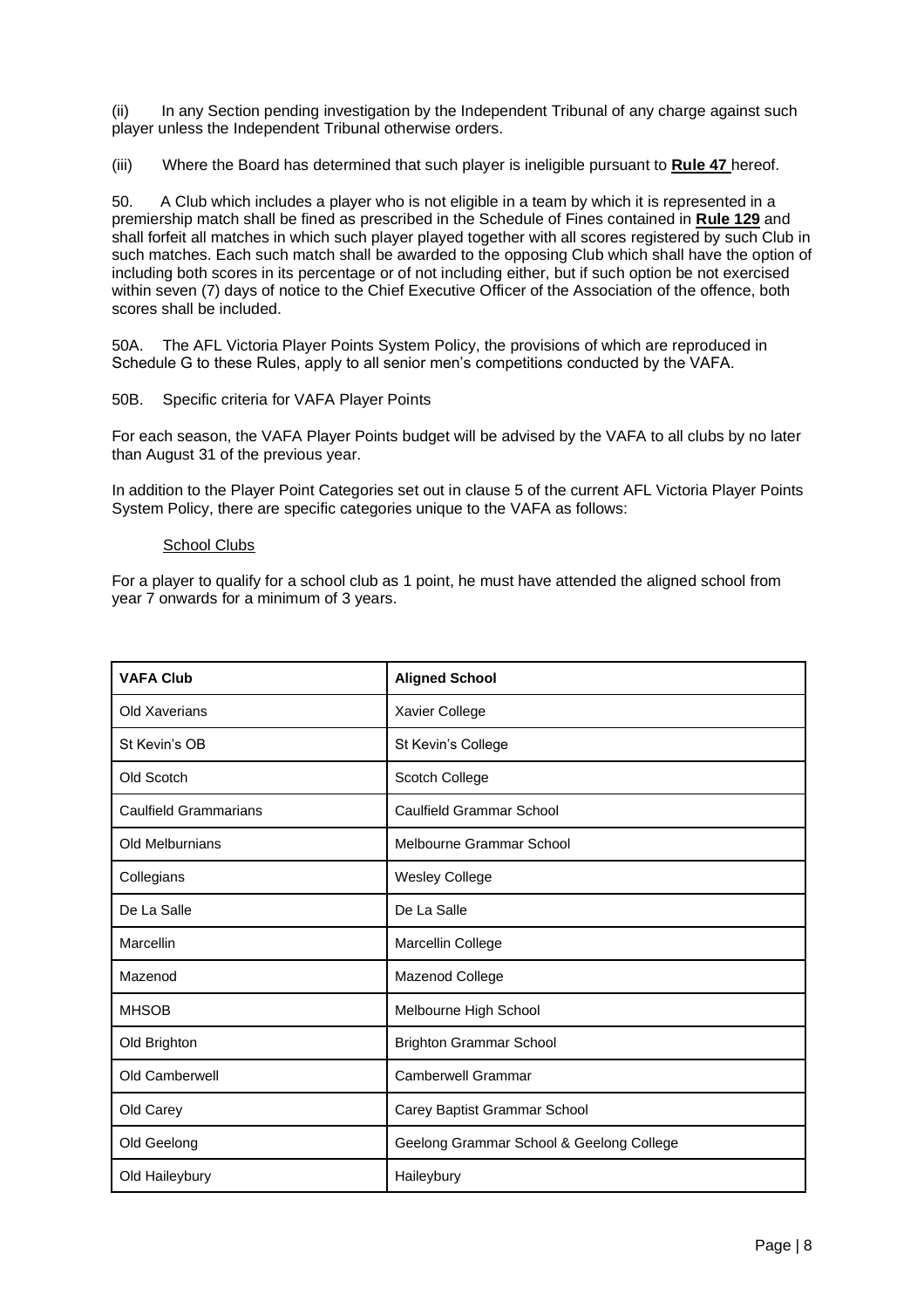(ii) In any Section pending investigation by the Independent Tribunal of any charge against such player unless the Independent Tribunal otherwise orders.

(iii) Where the Board has determined that such player is ineligible pursuant to **Rule 47** hereof.

50. A Club which includes a player who is not eligible in a team by which it is represented in a premiership match shall be fined as prescribed in the Schedule of Fines contained in **Rule 129** and shall forfeit all matches in which such player played together with all scores registered by such Club in such matches. Each such match shall be awarded to the opposing Club which shall have the option of including both scores in its percentage or of not including either, but if such option be not exercised within seven (7) days of notice to the Chief Executive Officer of the Association of the offence, both scores shall be included.

50A. The AFL Victoria Player Points System Policy, the provisions of which are reproduced in Schedule G to these Rules, apply to all senior men's competitions conducted by the VAFA.

50B. Specific criteria for VAFA Player Points

For each season, the VAFA Player Points budget will be advised by the VAFA to all clubs by no later than August 31 of the previous year.

In addition to the Player Point Categories set out in clause 5 of the current AFL Victoria Player Points System Policy, there are specific categories unique to the VAFA as follows:

#### School Clubs

For a player to qualify for a school club as 1 point, he must have attended the aligned school from year 7 onwards for a minimum of 3 years.

| <b>VAFA Club</b>             | <b>Aligned School</b>                    |
|------------------------------|------------------------------------------|
| Old Xaverians                | Xavier College                           |
| St Kevin's OB                | St Kevin's College                       |
| Old Scotch                   | Scotch College                           |
| <b>Caulfield Grammarians</b> | <b>Caulfield Grammar School</b>          |
| Old Melburnians              | Melbourne Grammar School                 |
| Collegians                   | <b>Wesley College</b>                    |
| De La Salle                  | De La Salle                              |
| Marcellin                    | Marcellin College                        |
| Mazenod                      | Mazenod College                          |
| <b>MHSOB</b>                 | Melbourne High School                    |
| Old Brighton                 | <b>Brighton Grammar School</b>           |
| Old Camberwell               | <b>Camberwell Grammar</b>                |
| Old Carey                    | Carey Baptist Grammar School             |
| Old Geelong                  | Geelong Grammar School & Geelong College |
| Old Haileybury               | Haileybury                               |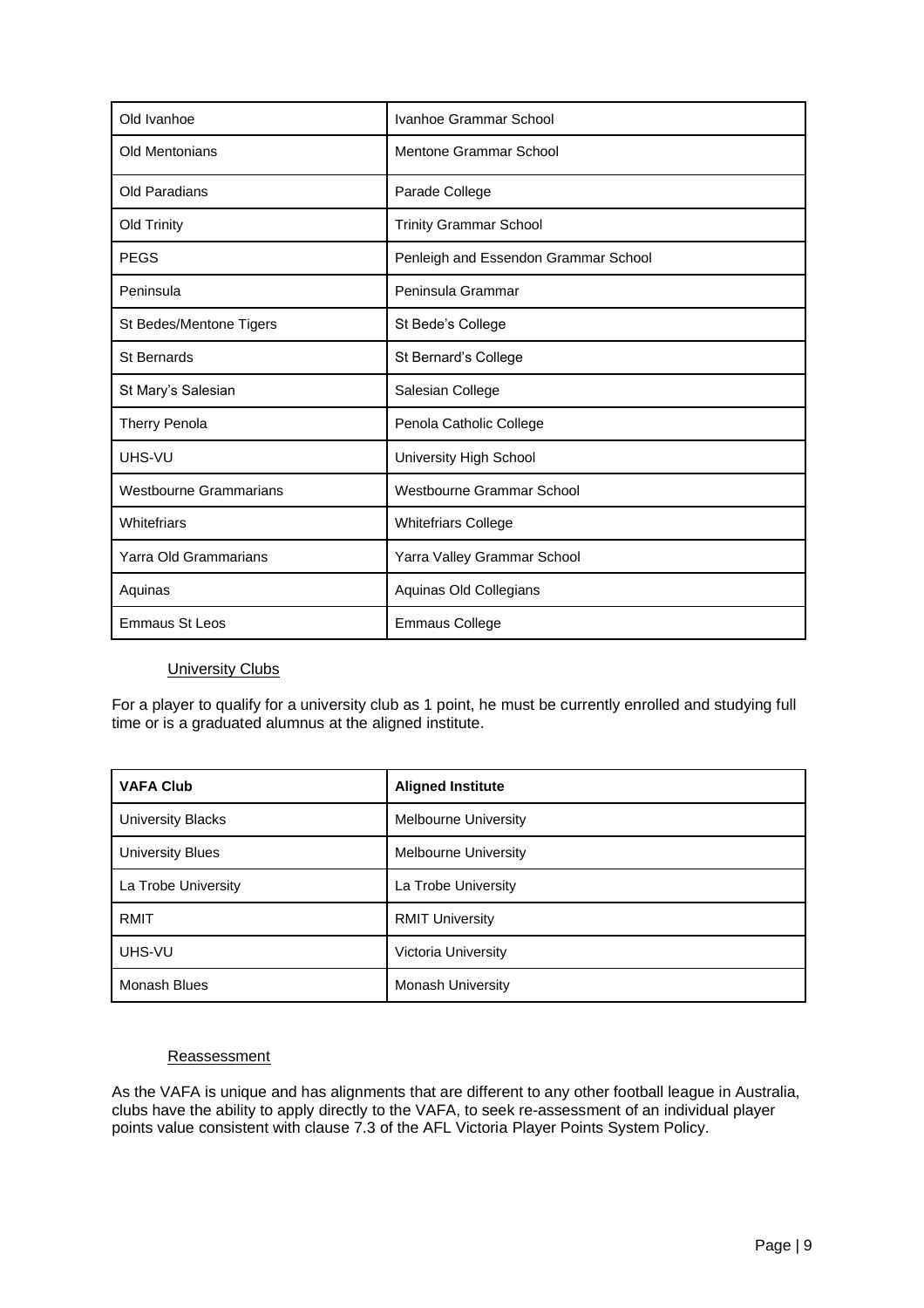| Old Ivanhoe                   | Ivanhoe Grammar School               |
|-------------------------------|--------------------------------------|
| <b>Old Mentonians</b>         | <b>Mentone Grammar School</b>        |
| Old Paradians                 | Parade College                       |
| Old Trinity                   | <b>Trinity Grammar School</b>        |
| <b>PEGS</b>                   | Penleigh and Essendon Grammar School |
| Peninsula                     | Peninsula Grammar                    |
| St Bedes/Mentone Tigers       | St Bede's College                    |
| St Bernards                   | St Bernard's College                 |
| St Mary's Salesian            | Salesian College                     |
| Therry Penola                 | Penola Catholic College              |
| UHS-VU                        | University High School               |
| <b>Westbourne Grammarians</b> | Westbourne Grammar School            |
| Whitefriars                   | <b>Whitefriars College</b>           |
| Yarra Old Grammarians         | Yarra Valley Grammar School          |
| Aquinas                       | Aquinas Old Collegians               |
| <b>Emmaus St Leos</b>         | <b>Emmaus College</b>                |

#### **University Clubs**

For a player to qualify for a university club as 1 point, he must be currently enrolled and studying full time or is a graduated alumnus at the aligned institute.

| <b>VAFA Club</b>         | <b>Aligned Institute</b> |
|--------------------------|--------------------------|
| <b>University Blacks</b> | Melbourne University     |
| <b>University Blues</b>  | Melbourne University     |
| La Trobe University      | La Trobe University      |
| <b>RMIT</b>              | <b>RMIT University</b>   |
| UHS-VU                   | Victoria University      |
| <b>Monash Blues</b>      | Monash University        |

#### **Reassessment**

As the VAFA is unique and has alignments that are different to any other football league in Australia, clubs have the ability to apply directly to the VAFA, to seek re-assessment of an individual player points value consistent with clause 7.3 of the AFL Victoria Player Points System Policy.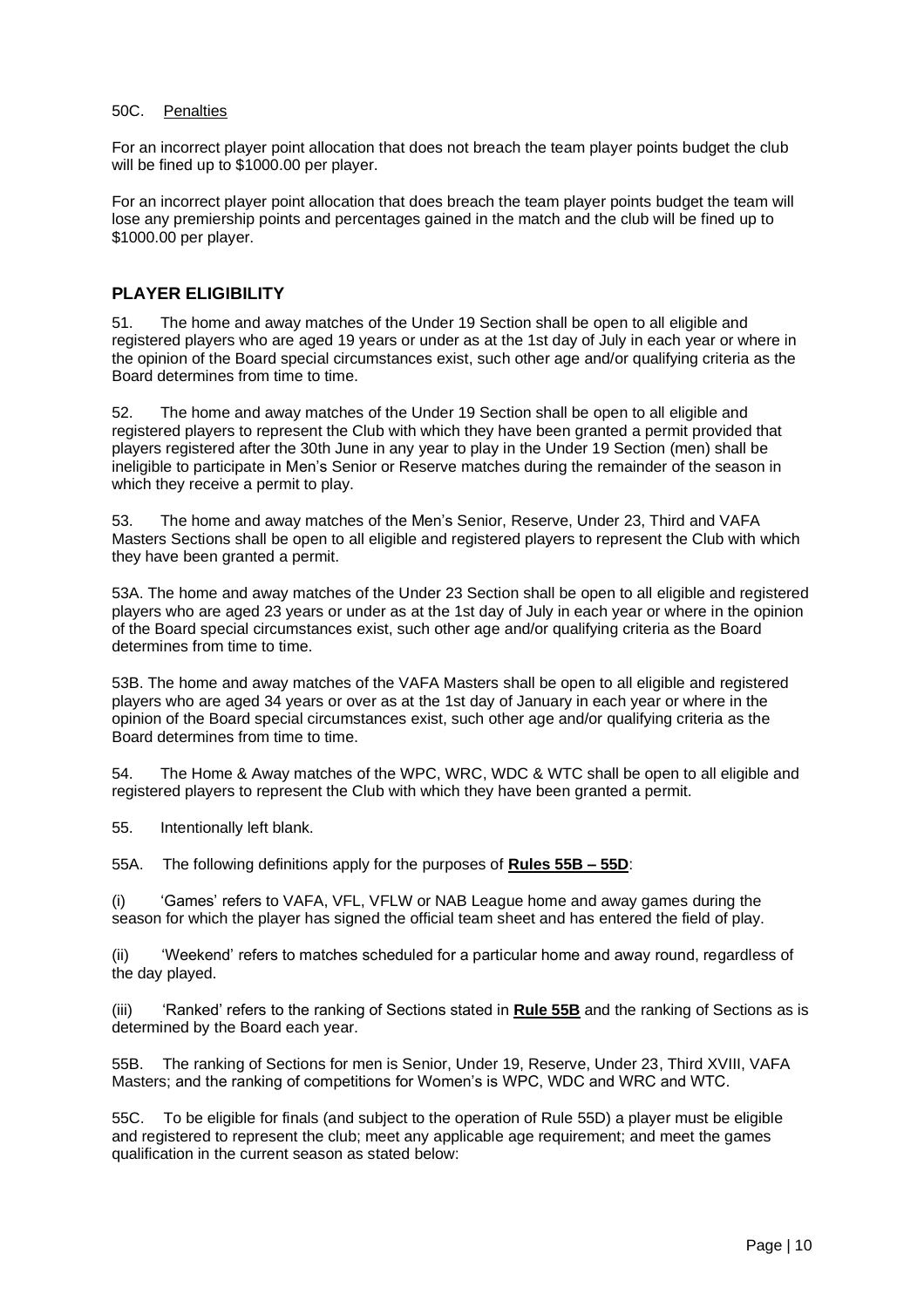#### 50C. Penalties

For an incorrect player point allocation that does not breach the team player points budget the club will be fined up to \$1000.00 per player.

For an incorrect player point allocation that does breach the team player points budget the team will lose any premiership points and percentages gained in the match and the club will be fined up to \$1000.00 per player.

### <span id="page-9-0"></span>**PLAYER ELIGIBILITY**

51. The home and away matches of the Under 19 Section shall be open to all eligible and registered players who are aged 19 years or under as at the 1st day of July in each year or where in the opinion of the Board special circumstances exist, such other age and/or qualifying criteria as the Board determines from time to time.

52. The home and away matches of the Under 19 Section shall be open to all eligible and registered players to represent the Club with which they have been granted a permit provided that players registered after the 30th June in any year to play in the Under 19 Section (men) shall be ineligible to participate in Men's Senior or Reserve matches during the remainder of the season in which they receive a permit to play.

53. The home and away matches of the Men's Senior, Reserve, Under 23, Third and VAFA Masters Sections shall be open to all eligible and registered players to represent the Club with which they have been granted a permit.

53A. The home and away matches of the Under 23 Section shall be open to all eligible and registered players who are aged 23 years or under as at the 1st day of July in each year or where in the opinion of the Board special circumstances exist, such other age and/or qualifying criteria as the Board determines from time to time.

53B. The home and away matches of the VAFA Masters shall be open to all eligible and registered players who are aged 34 years or over as at the 1st day of January in each year or where in the opinion of the Board special circumstances exist, such other age and/or qualifying criteria as the Board determines from time to time.

54. The Home & Away matches of the WPC, WRC, WDC & WTC shall be open to all eligible and registered players to represent the Club with which they have been granted a permit.

55. Intentionally left blank.

55A. The following definitions apply for the purposes of **Rules 55B – 55D**:

(i) 'Games' refers to VAFA, VFL, VFLW or NAB League home and away games during the season for which the player has signed the official team sheet and has entered the field of play.

(ii) 'Weekend' refers to matches scheduled for a particular home and away round, regardless of the day played.

(iii) 'Ranked' refers to the ranking of Sections stated in **Rule 55B** and the ranking of Sections as is determined by the Board each year.

55B. The ranking of Sections for men is Senior, Under 19, Reserve, Under 23, Third XVIII, VAFA Masters; and the ranking of competitions for Women's is WPC, WDC and WRC and WTC.

55C. To be eligible for finals (and subject to the operation of Rule 55D) a player must be eligible and registered to represent the club; meet any applicable age requirement; and meet the games qualification in the current season as stated below: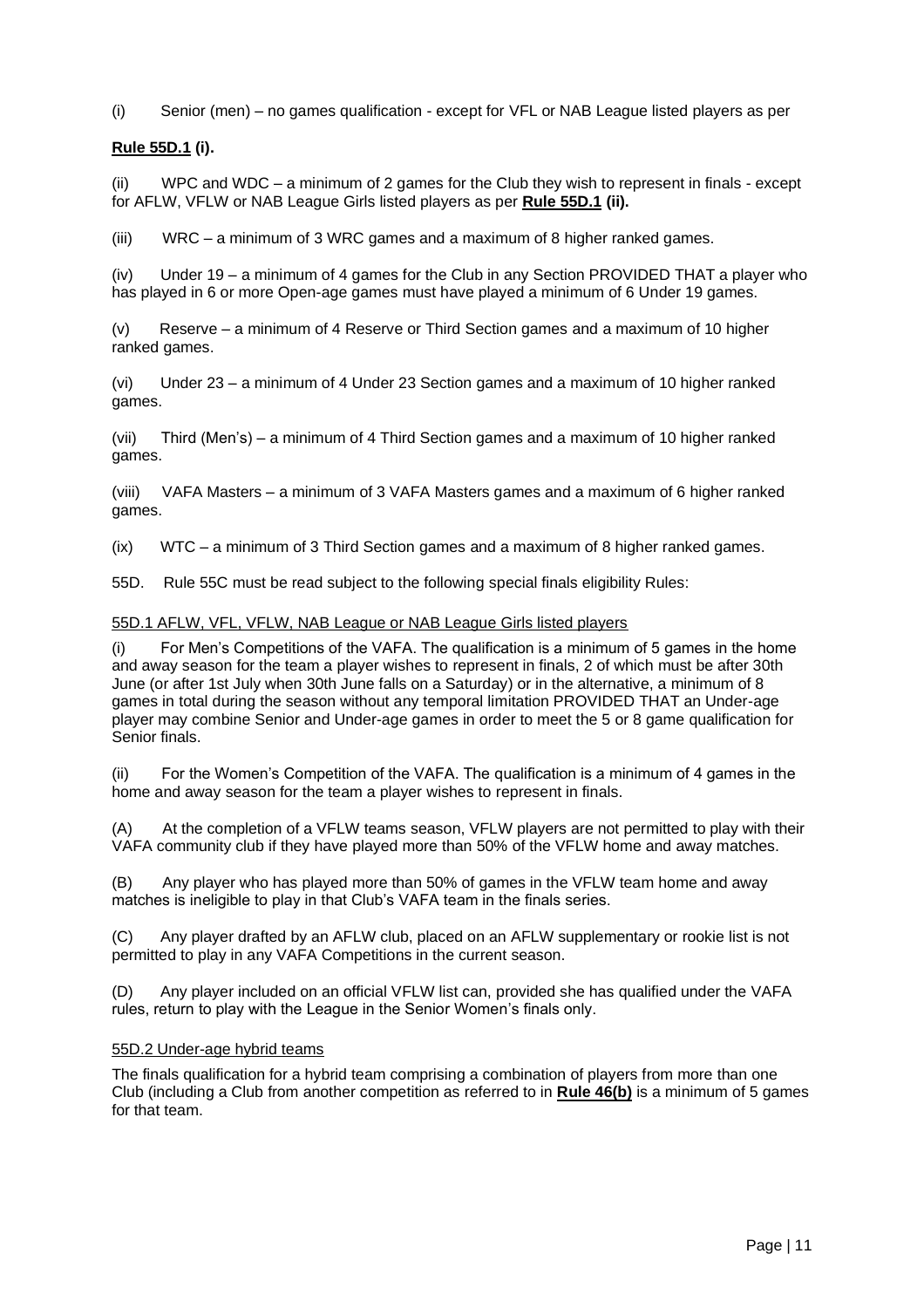(i) Senior (men) – no games qualification - except for VFL or NAB League listed players as per

#### **Rule 55D.1 (i).**

(ii) WPC and WDC – a minimum of 2 games for the Club they wish to represent in finals - except for AFLW, VFLW or NAB League Girls listed players as per **Rule 55D.1 (ii).**

(iii) WRC – a minimum of 3 WRC games and a maximum of 8 higher ranked games.

(iv) Under 19 – a minimum of 4 games for the Club in any Section PROVIDED THAT a player who has played in 6 or more Open-age games must have played a minimum of 6 Under 19 games.

(v) Reserve – a minimum of 4 Reserve or Third Section games and a maximum of 10 higher ranked games.

(vi) Under 23 – a minimum of 4 Under 23 Section games and a maximum of 10 higher ranked games.

(vii) Third (Men's) – a minimum of 4 Third Section games and a maximum of 10 higher ranked games.

(viii) VAFA Masters – a minimum of 3 VAFA Masters games and a maximum of 6 higher ranked games.

(ix) WTC – a minimum of 3 Third Section games and a maximum of 8 higher ranked games.

55D. Rule 55C must be read subject to the following special finals eligibility Rules:

#### 55D.1 AFLW, VFL, VFLW, NAB League or NAB League Girls listed players

(i) For Men's Competitions of the VAFA. The qualification is a minimum of 5 games in the home and away season for the team a player wishes to represent in finals, 2 of which must be after 30th June (or after 1st July when 30th June falls on a Saturday) or in the alternative, a minimum of 8 games in total during the season without any temporal limitation PROVIDED THAT an Under-age player may combine Senior and Under-age games in order to meet the 5 or 8 game qualification for Senior finals.

(ii) For the Women's Competition of the VAFA. The qualification is a minimum of 4 games in the home and away season for the team a player wishes to represent in finals.

(A) At the completion of a VFLW teams season, VFLW players are not permitted to play with their VAFA community club if they have played more than 50% of the VFLW home and away matches.

(B) Any player who has played more than 50% of games in the VFLW team home and away matches is ineligible to play in that Club's VAFA team in the finals series.

(C) Any player drafted by an AFLW club, placed on an AFLW supplementary or rookie list is not permitted to play in any VAFA Competitions in the current season.

(D) Any player included on an official VFLW list can, provided she has qualified under the VAFA rules, return to play with the League in the Senior Women's finals only.

#### 55D.2 Under-age hybrid teams

The finals qualification for a hybrid team comprising a combination of players from more than one Club (including a Club from another competition as referred to in **Rule 46(b)** is a minimum of 5 games for that team.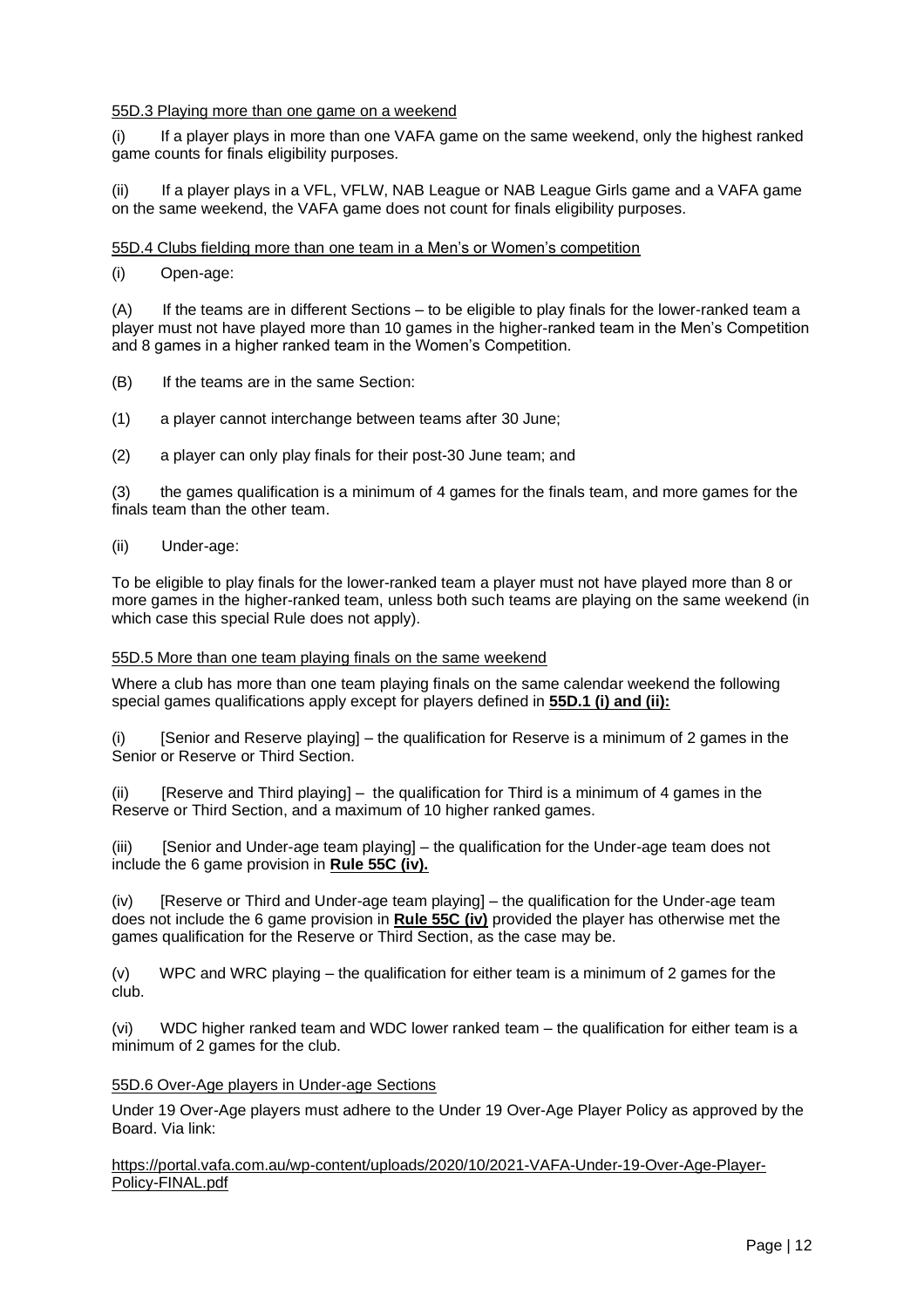#### 55D.3 Playing more than one game on a weekend

(i) If a player plays in more than one VAFA game on the same weekend, only the highest ranked game counts for finals eligibility purposes.

(ii) If a player plays in a VFL, VFLW, NAB League or NAB League Girls game and a VAFA game on the same weekend, the VAFA game does not count for finals eligibility purposes.

#### 55D.4 Clubs fielding more than one team in a Men's or Women's competition

#### (i) Open-age:

(A) If the teams are in different Sections – to be eligible to play finals for the lower-ranked team a player must not have played more than 10 games in the higher-ranked team in the Men's Competition and 8 games in a higher ranked team in the Women's Competition.

- (B) If the teams are in the same Section:
- (1) a player cannot interchange between teams after 30 June;
- (2) a player can only play finals for their post-30 June team; and

(3) the games qualification is a minimum of 4 games for the finals team, and more games for the finals team than the other team.

#### (ii) Under-age:

To be eligible to play finals for the lower-ranked team a player must not have played more than 8 or more games in the higher-ranked team, unless both such teams are playing on the same weekend (in which case this special Rule does not apply).

#### 55D.5 More than one team playing finals on the same weekend

Where a club has more than one team playing finals on the same calendar weekend the following special games qualifications apply except for players defined in **55D.1 (i) and (ii):**

(i) [Senior and Reserve playing] – the qualification for Reserve is a minimum of 2 games in the Senior or Reserve or Third Section.

(ii) [Reserve and Third playing] – the qualification for Third is a minimum of 4 games in the Reserve or Third Section, and a maximum of 10 higher ranked games.

(iii) [Senior and Under-age team playing] – the qualification for the Under-age team does not include the 6 game provision in **Rule 55C (iv).**

(iv) [Reserve or Third and Under-age team playing] – the qualification for the Under-age team does not include the 6 game provision in **Rule 55C (iv)** provided the player has otherwise met the games qualification for the Reserve or Third Section, as the case may be.

(v) WPC and WRC playing – the qualification for either team is a minimum of 2 games for the club.

(vi) WDC higher ranked team and WDC lower ranked team – the qualification for either team is a minimum of 2 games for the club.

#### 55D.6 Over-Age players in Under-age Sections

Under 19 Over-Age players must adhere to the Under 19 Over-Age Player Policy as approved by the Board. Via link:

[https://portal.vafa.com.au/wp-content/uploads/2020/10/2021-VAFA-Under-19-Over-Age-Player-](https://portal.vafa.com.au/wp-content/uploads/2020/10/2021-VAFA-Under-19-Over-Age-Player-Policy-FINAL.pdf)[Policy-FINAL.pdf](https://portal.vafa.com.au/wp-content/uploads/2020/10/2021-VAFA-Under-19-Over-Age-Player-Policy-FINAL.pdf)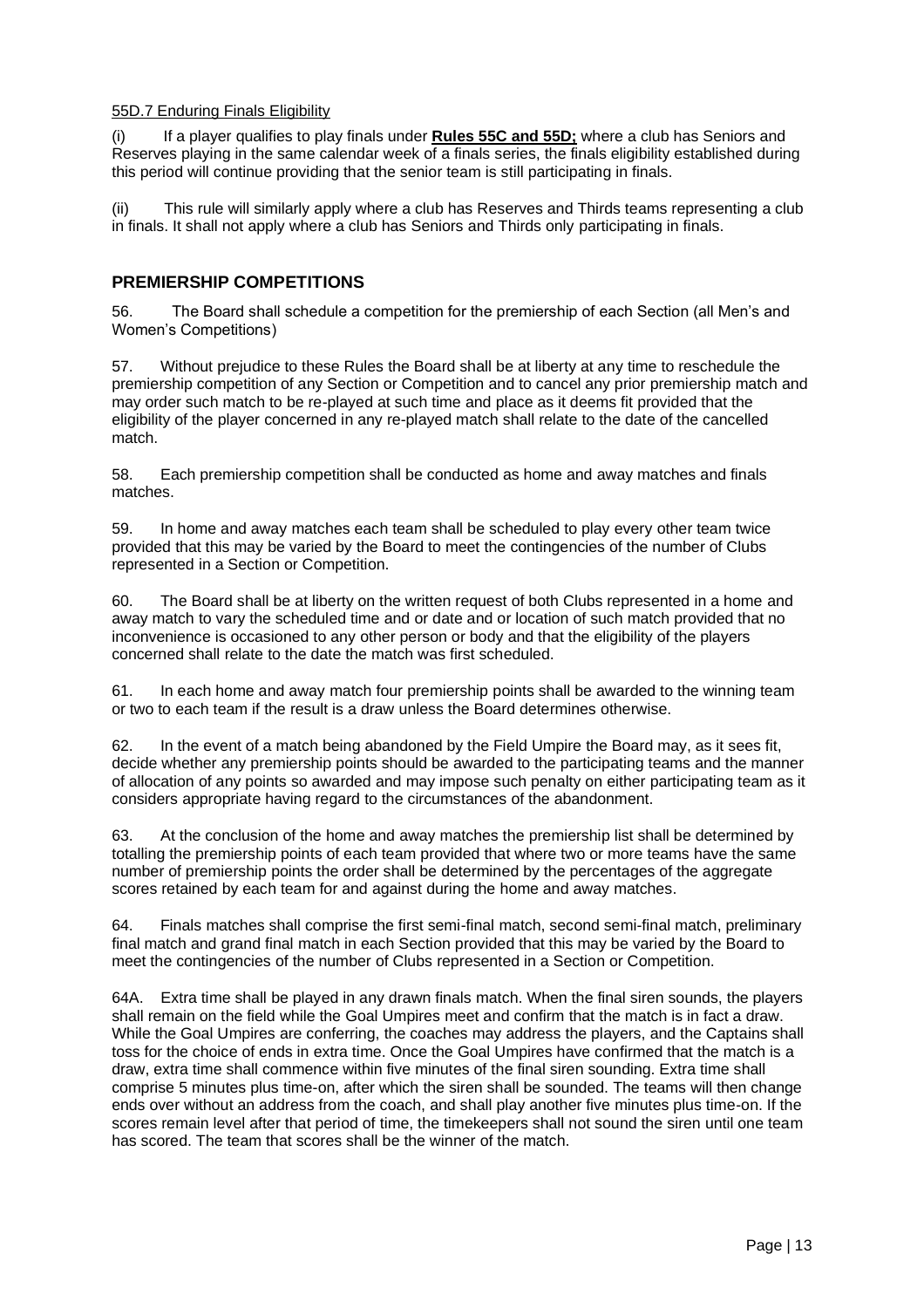#### 55D.7 Enduring Finals Eligibility

(i) If a player qualifies to play finals under **Rules 55C and 55D;** where a club has Seniors and Reserves playing in the same calendar week of a finals series, the finals eligibility established during this period will continue providing that the senior team is still participating in finals.

(ii) This rule will similarly apply where a club has Reserves and Thirds teams representing a club in finals. It shall not apply where a club has Seniors and Thirds only participating in finals.

#### <span id="page-12-0"></span>**PREMIERSHIP COMPETITIONS**

56. The Board shall schedule a competition for the premiership of each Section (all Men's and Women's Competitions)

57. Without prejudice to these Rules the Board shall be at liberty at any time to reschedule the premiership competition of any Section or Competition and to cancel any prior premiership match and may order such match to be re-played at such time and place as it deems fit provided that the eligibility of the player concerned in any re-played match shall relate to the date of the cancelled match.

58. Each premiership competition shall be conducted as home and away matches and finals matches.

59. In home and away matches each team shall be scheduled to play every other team twice provided that this may be varied by the Board to meet the contingencies of the number of Clubs represented in a Section or Competition.

60. The Board shall be at liberty on the written request of both Clubs represented in a home and away match to vary the scheduled time and or date and or location of such match provided that no inconvenience is occasioned to any other person or body and that the eligibility of the players concerned shall relate to the date the match was first scheduled.

61. In each home and away match four premiership points shall be awarded to the winning team or two to each team if the result is a draw unless the Board determines otherwise.

62. In the event of a match being abandoned by the Field Umpire the Board may, as it sees fit, decide whether any premiership points should be awarded to the participating teams and the manner of allocation of any points so awarded and may impose such penalty on either participating team as it considers appropriate having regard to the circumstances of the abandonment.

63. At the conclusion of the home and away matches the premiership list shall be determined by totalling the premiership points of each team provided that where two or more teams have the same number of premiership points the order shall be determined by the percentages of the aggregate scores retained by each team for and against during the home and away matches.

64. Finals matches shall comprise the first semi-final match, second semi-final match, preliminary final match and grand final match in each Section provided that this may be varied by the Board to meet the contingencies of the number of Clubs represented in a Section or Competition.

64A. Extra time shall be played in any drawn finals match. When the final siren sounds, the players shall remain on the field while the Goal Umpires meet and confirm that the match is in fact a draw. While the Goal Umpires are conferring, the coaches may address the players, and the Captains shall toss for the choice of ends in extra time. Once the Goal Umpires have confirmed that the match is a draw, extra time shall commence within five minutes of the final siren sounding. Extra time shall comprise 5 minutes plus time-on, after which the siren shall be sounded. The teams will then change ends over without an address from the coach, and shall play another five minutes plus time-on. If the scores remain level after that period of time, the timekeepers shall not sound the siren until one team has scored. The team that scores shall be the winner of the match.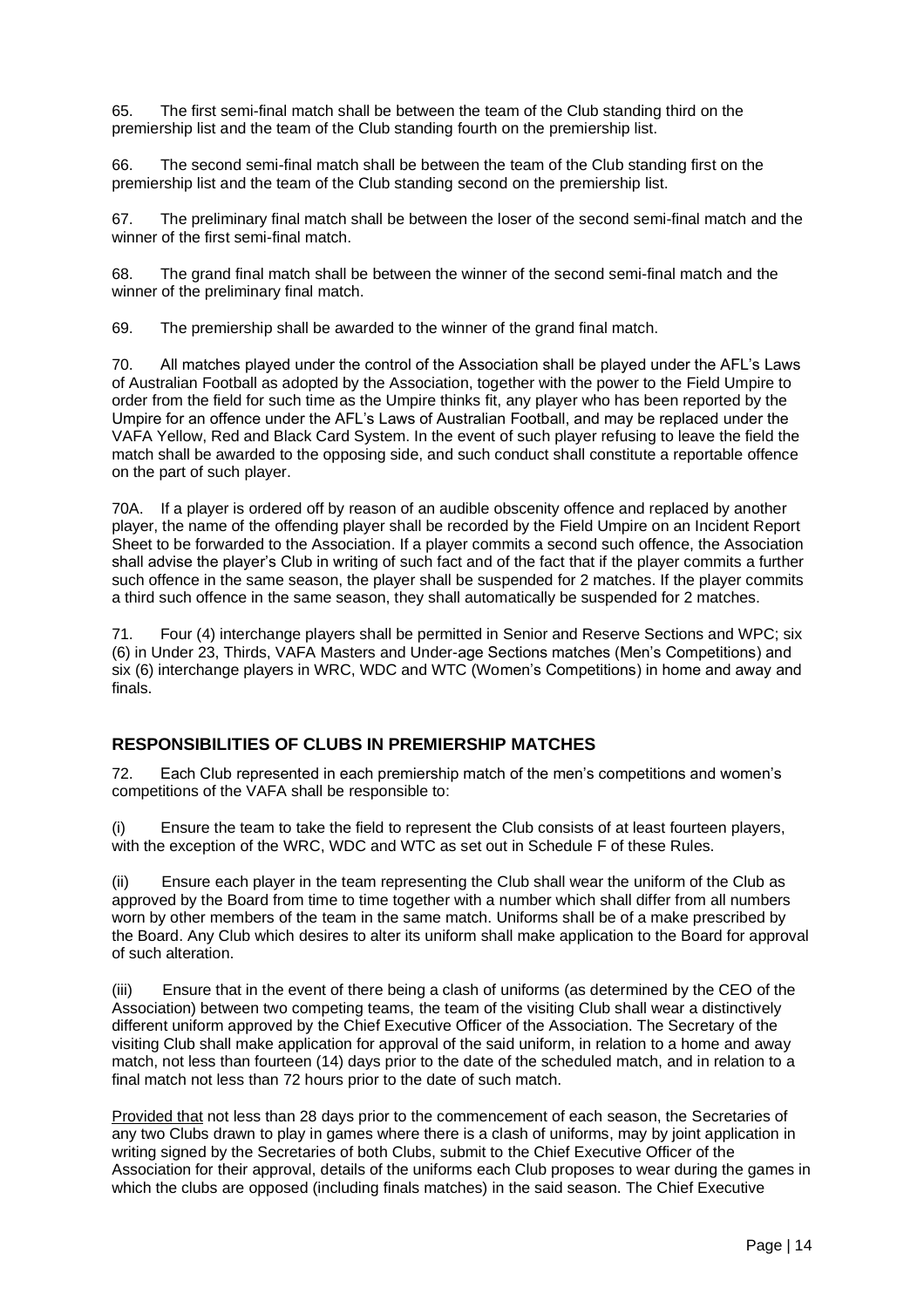65. The first semi-final match shall be between the team of the Club standing third on the premiership list and the team of the Club standing fourth on the premiership list.

66. The second semi-final match shall be between the team of the Club standing first on the premiership list and the team of the Club standing second on the premiership list.

67. The preliminary final match shall be between the loser of the second semi-final match and the winner of the first semi-final match

68. The grand final match shall be between the winner of the second semi-final match and the winner of the preliminary final match.

69. The premiership shall be awarded to the winner of the grand final match.

70. All matches played under the control of the Association shall be played under the AFL's Laws of Australian Football as adopted by the Association, together with the power to the Field Umpire to order from the field for such time as the Umpire thinks fit, any player who has been reported by the Umpire for an offence under the AFL's Laws of Australian Football, and may be replaced under the VAFA Yellow, Red and Black Card System. In the event of such player refusing to leave the field the match shall be awarded to the opposing side, and such conduct shall constitute a reportable offence on the part of such player.

70A. If a player is ordered off by reason of an audible obscenity offence and replaced by another player, the name of the offending player shall be recorded by the Field Umpire on an Incident Report Sheet to be forwarded to the Association. If a player commits a second such offence, the Association shall advise the player's Club in writing of such fact and of the fact that if the player commits a further such offence in the same season, the player shall be suspended for 2 matches. If the player commits a third such offence in the same season, they shall automatically be suspended for 2 matches.

71. Four (4) interchange players shall be permitted in Senior and Reserve Sections and WPC; six (6) in Under 23, Thirds, VAFA Masters and Under-age Sections matches (Men's Competitions) and six (6) interchange players in WRC, WDC and WTC (Women's Competitions) in home and away and finals.

### <span id="page-13-0"></span>**RESPONSIBILITIES OF CLUBS IN PREMIERSHIP MATCHES**

72. Each Club represented in each premiership match of the men's competitions and women's competitions of the VAFA shall be responsible to:

(i) Ensure the team to take the field to represent the Club consists of at least fourteen players, with the exception of the WRC, WDC and WTC as set out in Schedule F of these Rules.

(ii) Ensure each player in the team representing the Club shall wear the uniform of the Club as approved by the Board from time to time together with a number which shall differ from all numbers worn by other members of the team in the same match. Uniforms shall be of a make prescribed by the Board. Any Club which desires to alter its uniform shall make application to the Board for approval of such alteration.

(iii) Ensure that in the event of there being a clash of uniforms (as determined by the CEO of the Association) between two competing teams, the team of the visiting Club shall wear a distinctively different uniform approved by the Chief Executive Officer of the Association. The Secretary of the visiting Club shall make application for approval of the said uniform, in relation to a home and away match, not less than fourteen (14) days prior to the date of the scheduled match, and in relation to a final match not less than 72 hours prior to the date of such match.

Provided that not less than 28 days prior to the commencement of each season, the Secretaries of any two Clubs drawn to play in games where there is a clash of uniforms, may by joint application in writing signed by the Secretaries of both Clubs, submit to the Chief Executive Officer of the Association for their approval, details of the uniforms each Club proposes to wear during the games in which the clubs are opposed (including finals matches) in the said season. The Chief Executive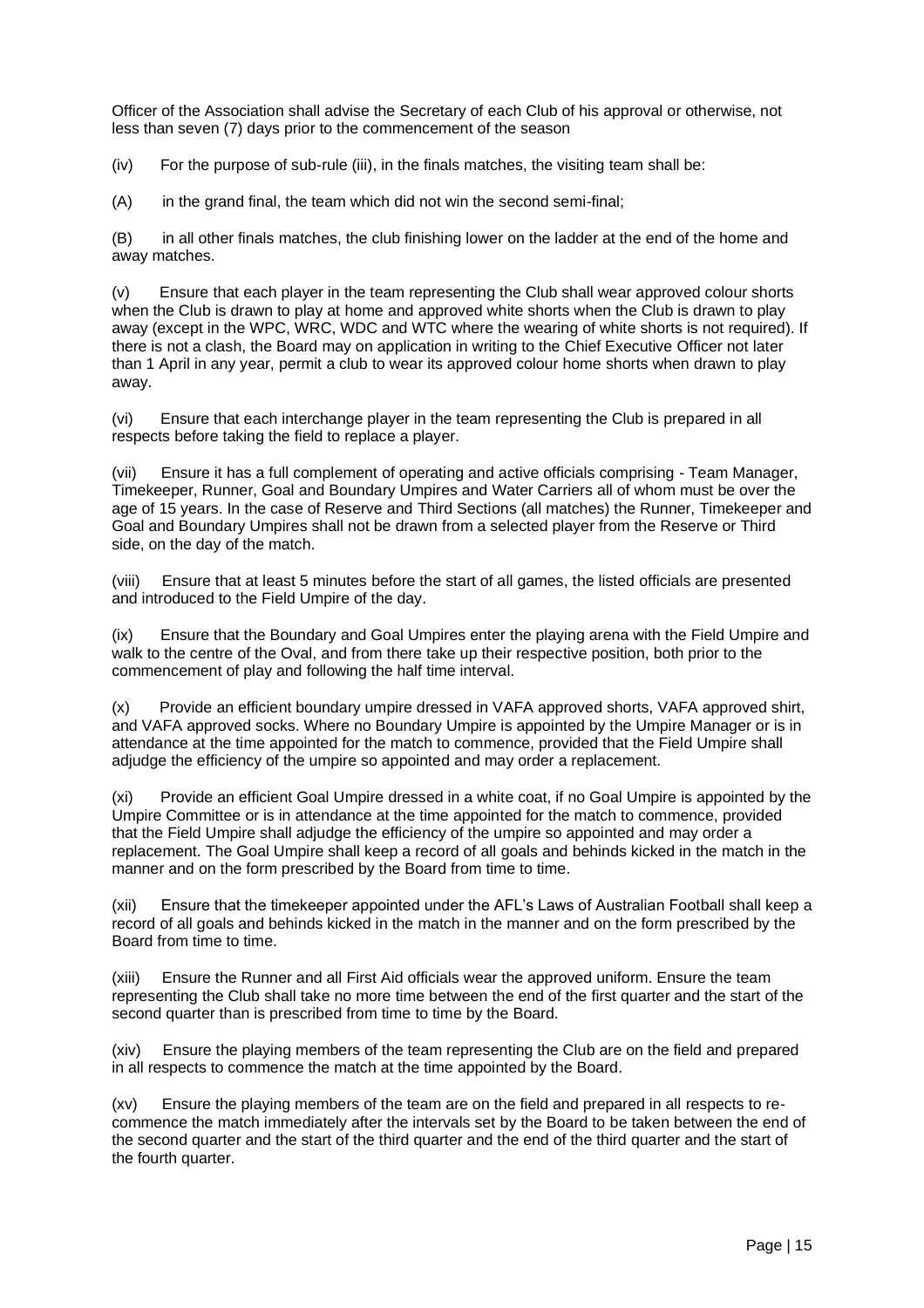Officer of the Association shall advise the Secretary of each Club of his approval or otherwise, not less than seven (7) days prior to the commencement of the season

 $(iv)$  For the purpose of sub-rule (iii), in the finals matches, the visiting team shall be:

(A) in the grand final, the team which did not win the second semi-final;

(B) in all other finals matches, the club finishing lower on the ladder at the end of the home and away matches.

(v) Ensure that each player in the team representing the Club shall wear approved colour shorts when the Club is drawn to play at home and approved white shorts when the Club is drawn to play away (except in the WPC, WRC, WDC and WTC where the wearing of white shorts is not required). If there is not a clash, the Board may on application in writing to the Chief Executive Officer not later than 1 April in any year, permit a club to wear its approved colour home shorts when drawn to play away.

(vi) Ensure that each interchange player in the team representing the Club is prepared in all respects before taking the field to replace a player.

(vii) Ensure it has a full complement of operating and active officials comprising - Team Manager, Timekeeper, Runner, Goal and Boundary Umpires and Water Carriers all of whom must be over the age of 15 years. In the case of Reserve and Third Sections (all matches) the Runner, Timekeeper and Goal and Boundary Umpires shall not be drawn from a selected player from the Reserve or Third side, on the day of the match.

(viii) Ensure that at least 5 minutes before the start of all games, the listed officials are presented and introduced to the Field Umpire of the day.

(ix) Ensure that the Boundary and Goal Umpires enter the playing arena with the Field Umpire and walk to the centre of the Oval, and from there take up their respective position, both prior to the commencement of play and following the half time interval.

(x) Provide an efficient boundary umpire dressed in VAFA approved shorts, VAFA approved shirt, and VAFA approved socks. Where no Boundary Umpire is appointed by the Umpire Manager or is in attendance at the time appointed for the match to commence, provided that the Field Umpire shall adjudge the efficiency of the umpire so appointed and may order a replacement.

(xi) Provide an efficient Goal Umpire dressed in a white coat, if no Goal Umpire is appointed by the Umpire Committee or is in attendance at the time appointed for the match to commence, provided that the Field Umpire shall adjudge the efficiency of the umpire so appointed and may order a replacement. The Goal Umpire shall keep a record of all goals and behinds kicked in the match in the manner and on the form prescribed by the Board from time to time.

(xii) Ensure that the timekeeper appointed under the AFL's Laws of Australian Football shall keep a record of all goals and behinds kicked in the match in the manner and on the form prescribed by the Board from time to time.

(xiii) Ensure the Runner and all First Aid officials wear the approved uniform. Ensure the team representing the Club shall take no more time between the end of the first quarter and the start of the second quarter than is prescribed from time to time by the Board.

(xiv) Ensure the playing members of the team representing the Club are on the field and prepared in all respects to commence the match at the time appointed by the Board.

(xv) Ensure the playing members of the team are on the field and prepared in all respects to recommence the match immediately after the intervals set by the Board to be taken between the end of the second quarter and the start of the third quarter and the end of the third quarter and the start of the fourth quarter.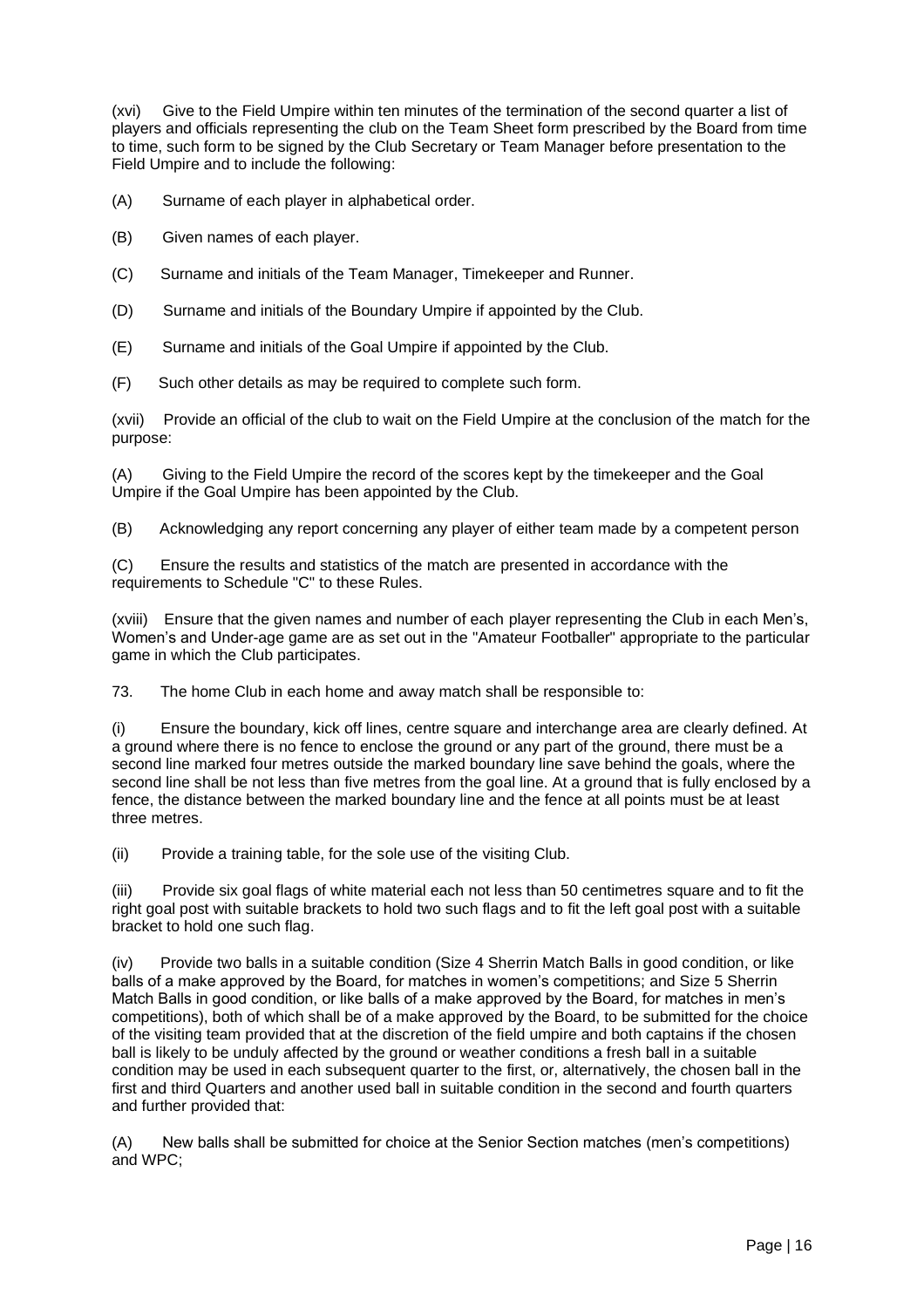(xvi) Give to the Field Umpire within ten minutes of the termination of the second quarter a list of players and officials representing the club on the Team Sheet form prescribed by the Board from time to time, such form to be signed by the Club Secretary or Team Manager before presentation to the Field Umpire and to include the following:

(A) Surname of each player in alphabetical order.

- (B) Given names of each player.
- (C) Surname and initials of the Team Manager, Timekeeper and Runner.
- (D) Surname and initials of the Boundary Umpire if appointed by the Club.
- (E) Surname and initials of the Goal Umpire if appointed by the Club.
- (F) Such other details as may be required to complete such form.

(xvii) Provide an official of the club to wait on the Field Umpire at the conclusion of the match for the purpose:

(A) Giving to the Field Umpire the record of the scores kept by the timekeeper and the Goal Umpire if the Goal Umpire has been appointed by the Club.

(B) Acknowledging any report concerning any player of either team made by a competent person

(C) Ensure the results and statistics of the match are presented in accordance with the requirements to Schedule "C" to these Rules.

(xviii) Ensure that the given names and number of each player representing the Club in each Men's, Women's and Under-age game are as set out in the "Amateur Footballer" appropriate to the particular game in which the Club participates.

73. The home Club in each home and away match shall be responsible to:

(i) Ensure the boundary, kick off lines, centre square and interchange area are clearly defined. At a ground where there is no fence to enclose the ground or any part of the ground, there must be a second line marked four metres outside the marked boundary line save behind the goals, where the second line shall be not less than five metres from the goal line. At a ground that is fully enclosed by a fence, the distance between the marked boundary line and the fence at all points must be at least three metres.

(ii) Provide a training table, for the sole use of the visiting Club.

(iii) Provide six goal flags of white material each not less than 50 centimetres square and to fit the right goal post with suitable brackets to hold two such flags and to fit the left goal post with a suitable bracket to hold one such flag.

(iv) Provide two balls in a suitable condition (Size 4 Sherrin Match Balls in good condition, or like balls of a make approved by the Board, for matches in women's competitions; and Size 5 Sherrin Match Balls in good condition, or like balls of a make approved by the Board, for matches in men's competitions), both of which shall be of a make approved by the Board, to be submitted for the choice of the visiting team provided that at the discretion of the field umpire and both captains if the chosen ball is likely to be unduly affected by the ground or weather conditions a fresh ball in a suitable condition may be used in each subsequent quarter to the first, or, alternatively, the chosen ball in the first and third Quarters and another used ball in suitable condition in the second and fourth quarters and further provided that:

(A) New balls shall be submitted for choice at the Senior Section matches (men's competitions) and WPC;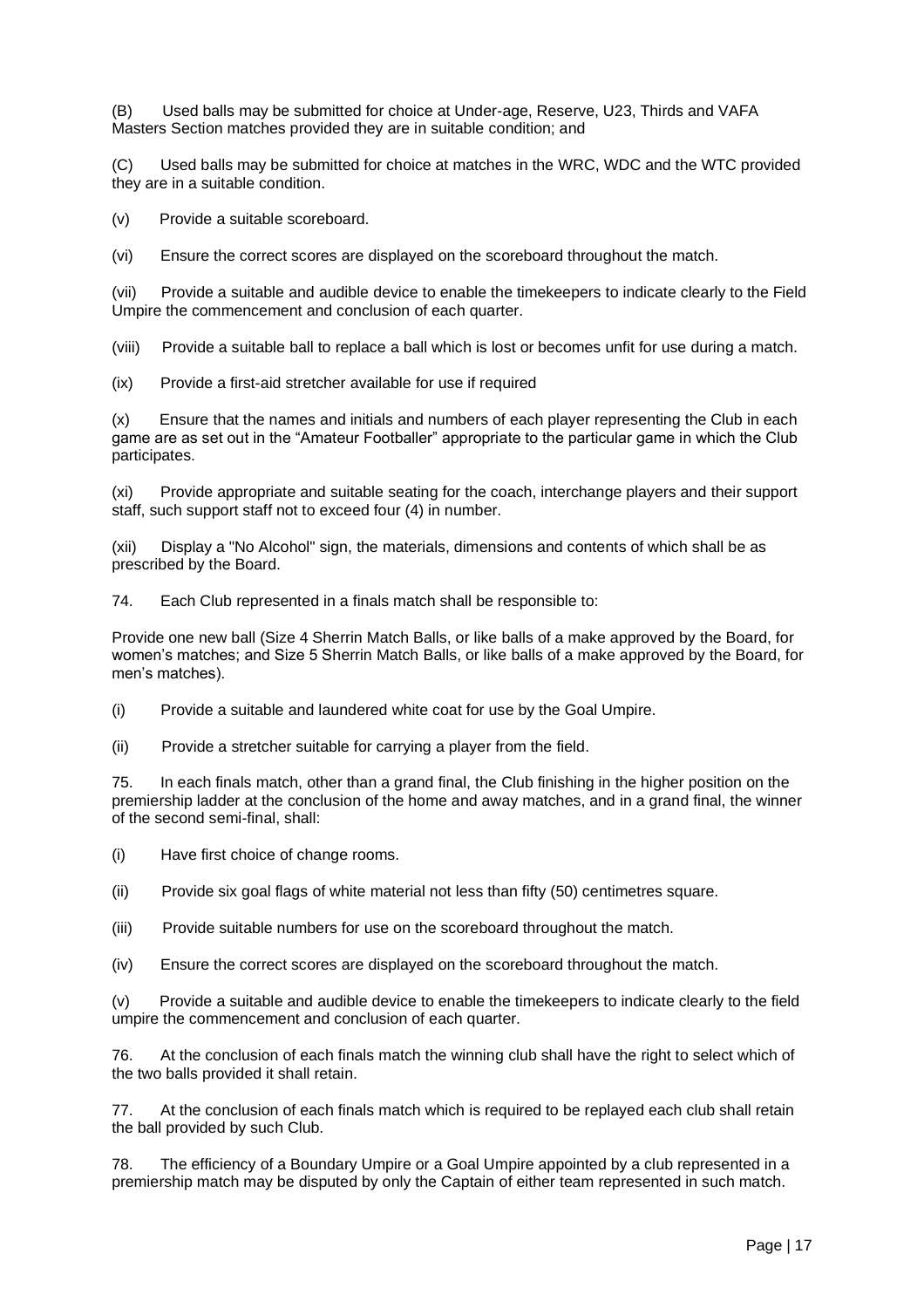(B) Used balls may be submitted for choice at Under-age, Reserve, U23, Thirds and VAFA Masters Section matches provided they are in suitable condition; and

(C) Used balls may be submitted for choice at matches in the WRC, WDC and the WTC provided they are in a suitable condition.

(v) Provide a suitable scoreboard.

(vi) Ensure the correct scores are displayed on the scoreboard throughout the match.

(vii) Provide a suitable and audible device to enable the timekeepers to indicate clearly to the Field Umpire the commencement and conclusion of each quarter.

(viii) Provide a suitable ball to replace a ball which is lost or becomes unfit for use during a match.

(ix) Provide a first-aid stretcher available for use if required

(x) Ensure that the names and initials and numbers of each player representing the Club in each game are as set out in the "Amateur Footballer" appropriate to the particular game in which the Club participates.

(xi) Provide appropriate and suitable seating for the coach, interchange players and their support staff, such support staff not to exceed four (4) in number.

(xii) Display a "No Alcohol" sign, the materials, dimensions and contents of which shall be as prescribed by the Board.

74. Each Club represented in a finals match shall be responsible to:

Provide one new ball (Size 4 Sherrin Match Balls, or like balls of a make approved by the Board, for women's matches; and Size 5 Sherrin Match Balls, or like balls of a make approved by the Board, for men's matches).

(i) Provide a suitable and laundered white coat for use by the Goal Umpire.

(ii) Provide a stretcher suitable for carrying a player from the field.

75. In each finals match, other than a grand final, the Club finishing in the higher position on the premiership ladder at the conclusion of the home and away matches, and in a grand final, the winner of the second semi-final, shall:

(i) Have first choice of change rooms.

(ii) Provide six goal flags of white material not less than fifty (50) centimetres square.

(iii) Provide suitable numbers for use on the scoreboard throughout the match.

(iv) Ensure the correct scores are displayed on the scoreboard throughout the match.

(v) Provide a suitable and audible device to enable the timekeepers to indicate clearly to the field umpire the commencement and conclusion of each quarter.

76. At the conclusion of each finals match the winning club shall have the right to select which of the two balls provided it shall retain.

77. At the conclusion of each finals match which is required to be replayed each club shall retain the ball provided by such Club.

78. The efficiency of a Boundary Umpire or a Goal Umpire appointed by a club represented in a premiership match may be disputed by only the Captain of either team represented in such match.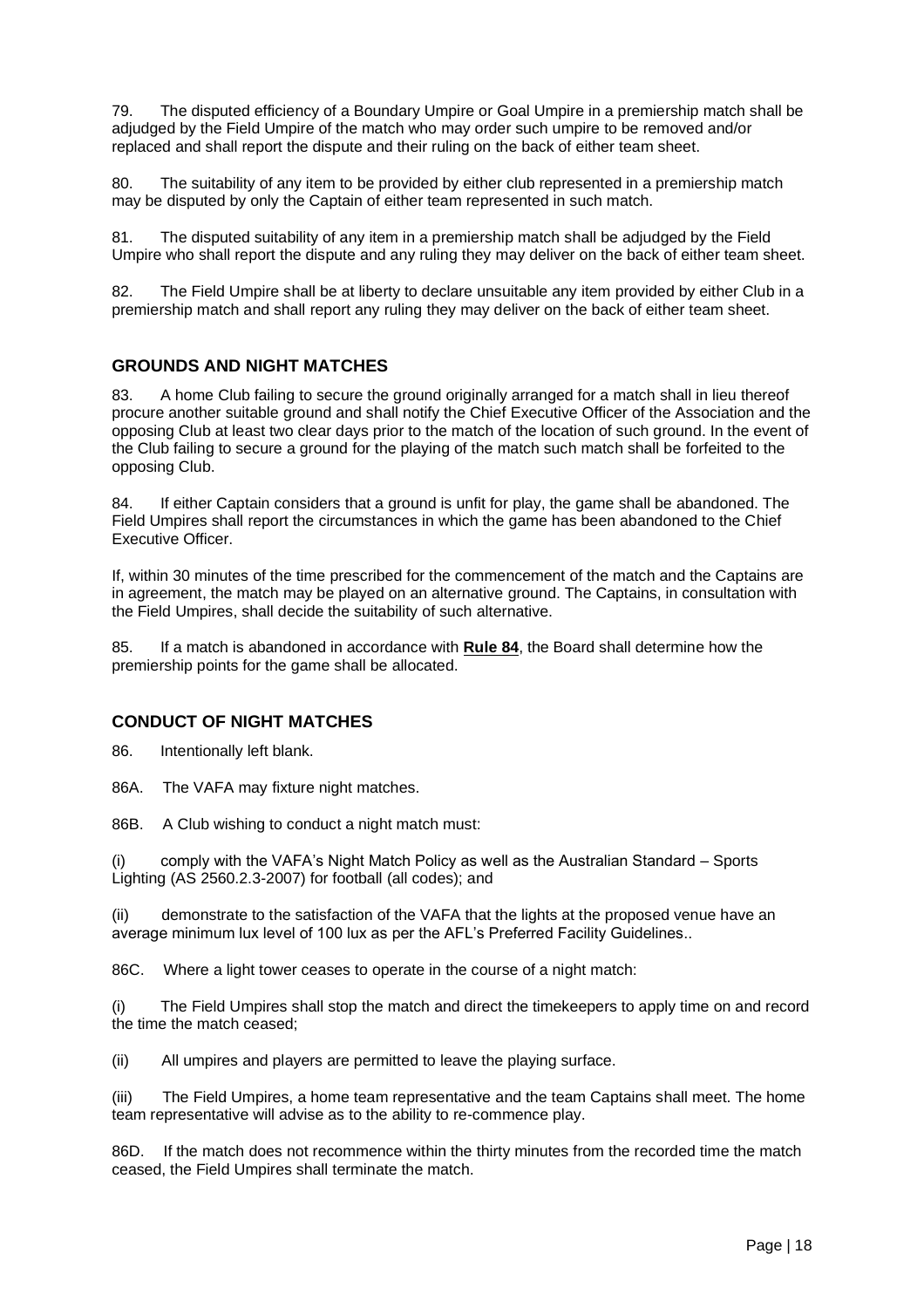79. The disputed efficiency of a Boundary Umpire or Goal Umpire in a premiership match shall be adjudged by the Field Umpire of the match who may order such umpire to be removed and/or replaced and shall report the dispute and their ruling on the back of either team sheet.

80. The suitability of any item to be provided by either club represented in a premiership match may be disputed by only the Captain of either team represented in such match.

81. The disputed suitability of any item in a premiership match shall be adjudged by the Field Umpire who shall report the dispute and any ruling they may deliver on the back of either team sheet.

82. The Field Umpire shall be at liberty to declare unsuitable any item provided by either Club in a premiership match and shall report any ruling they may deliver on the back of either team sheet.

#### <span id="page-17-0"></span>**GROUNDS AND NIGHT MATCHES**

83. A home Club failing to secure the ground originally arranged for a match shall in lieu thereof procure another suitable ground and shall notify the Chief Executive Officer of the Association and the opposing Club at least two clear days prior to the match of the location of such ground. In the event of the Club failing to secure a ground for the playing of the match such match shall be forfeited to the opposing Club.

84. If either Captain considers that a ground is unfit for play, the game shall be abandoned. The Field Umpires shall report the circumstances in which the game has been abandoned to the Chief Executive Officer.

If, within 30 minutes of the time prescribed for the commencement of the match and the Captains are in agreement, the match may be played on an alternative ground. The Captains, in consultation with the Field Umpires, shall decide the suitability of such alternative.

85. If a match is abandoned in accordance with **Rule 84**, the Board shall determine how the premiership points for the game shall be allocated.

#### <span id="page-17-1"></span>**CONDUCT OF NIGHT MATCHES**

86. Intentionally left blank.

86A. The VAFA may fixture night matches.

86B. A Club wishing to conduct a night match must:

(i) comply with the VAFA's Night Match Policy as well as the Australian Standard – Sports Lighting (AS 2560.2.3-2007) for football (all codes); and

(ii) demonstrate to the satisfaction of the VAFA that the lights at the proposed venue have an average minimum lux level of 100 lux as per the AFL's Preferred Facility Guidelines..

86C. Where a light tower ceases to operate in the course of a night match:

(i) The Field Umpires shall stop the match and direct the timekeepers to apply time on and record the time the match ceased;

(ii) All umpires and players are permitted to leave the playing surface.

(iii) The Field Umpires, a home team representative and the team Captains shall meet. The home team representative will advise as to the ability to re-commence play.

86D. If the match does not recommence within the thirty minutes from the recorded time the match ceased, the Field Umpires shall terminate the match.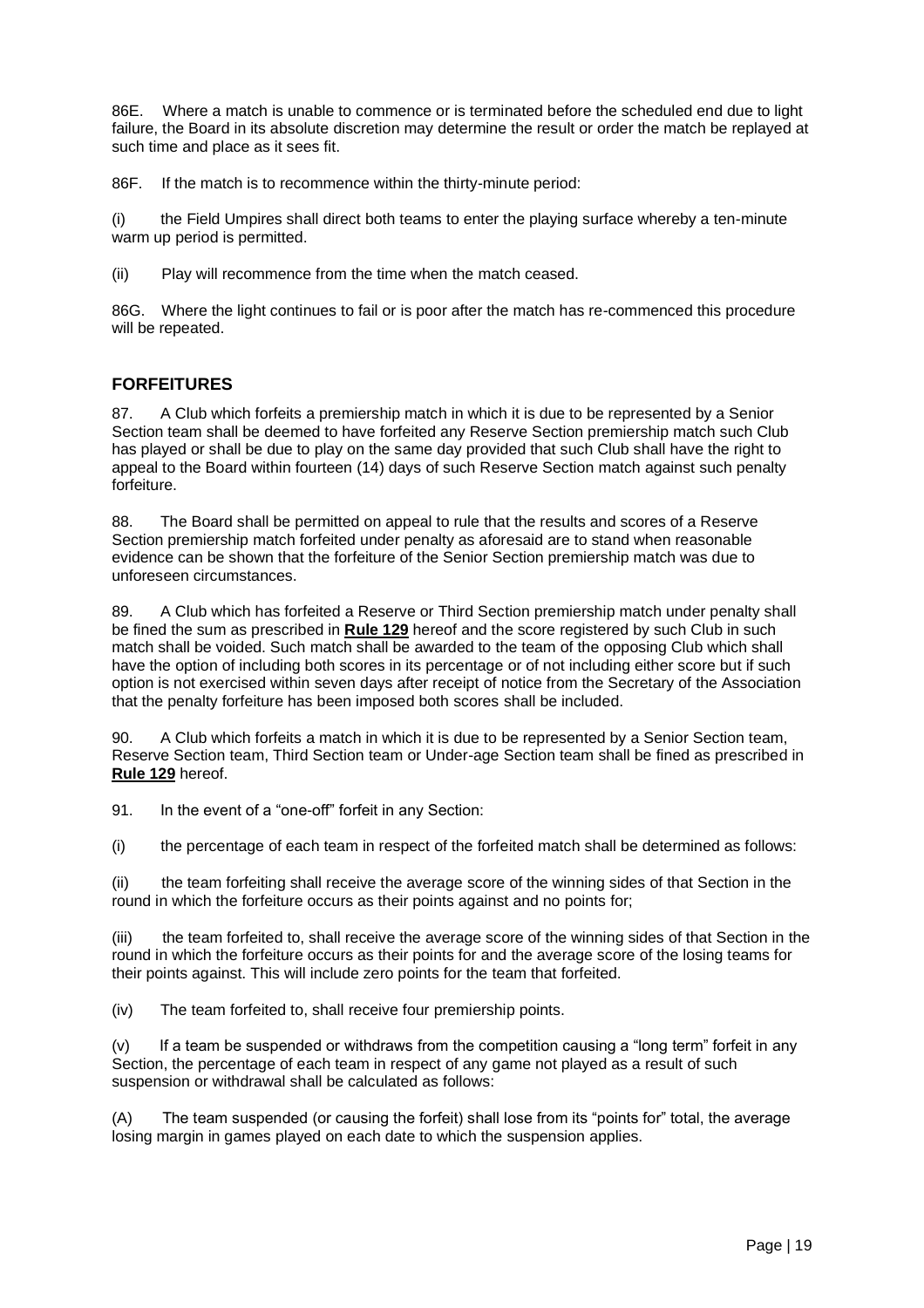86E. Where a match is unable to commence or is terminated before the scheduled end due to light failure, the Board in its absolute discretion may determine the result or order the match be replayed at such time and place as it sees fit.

86F. If the match is to recommence within the thirty-minute period:

(i) the Field Umpires shall direct both teams to enter the playing surface whereby a ten-minute warm up period is permitted.

(ii) Play will recommence from the time when the match ceased.

86G. Where the light continues to fail or is poor after the match has re-commenced this procedure will be repeated.

#### <span id="page-18-0"></span>**FORFEITURES**

87. A Club which forfeits a premiership match in which it is due to be represented by a Senior Section team shall be deemed to have forfeited any Reserve Section premiership match such Club has played or shall be due to play on the same day provided that such Club shall have the right to appeal to the Board within fourteen (14) days of such Reserve Section match against such penalty forfeiture.

88. The Board shall be permitted on appeal to rule that the results and scores of a Reserve Section premiership match forfeited under penalty as aforesaid are to stand when reasonable evidence can be shown that the forfeiture of the Senior Section premiership match was due to unforeseen circumstances.

89. A Club which has forfeited a Reserve or Third Section premiership match under penalty shall be fined the sum as prescribed in **Rule 129** hereof and the score registered by such Club in such match shall be voided. Such match shall be awarded to the team of the opposing Club which shall have the option of including both scores in its percentage or of not including either score but if such option is not exercised within seven days after receipt of notice from the Secretary of the Association that the penalty forfeiture has been imposed both scores shall be included.

90. A Club which forfeits a match in which it is due to be represented by a Senior Section team, Reserve Section team, Third Section team or Under-age Section team shall be fined as prescribed in **Rule 129** hereof.

91. In the event of a "one-off" forfeit in any Section:

(i) the percentage of each team in respect of the forfeited match shall be determined as follows:

(ii) the team forfeiting shall receive the average score of the winning sides of that Section in the round in which the forfeiture occurs as their points against and no points for;

(iii) the team forfeited to, shall receive the average score of the winning sides of that Section in the round in which the forfeiture occurs as their points for and the average score of the losing teams for their points against. This will include zero points for the team that forfeited.

(iv) The team forfeited to, shall receive four premiership points.

(v) If a team be suspended or withdraws from the competition causing a "long term" forfeit in any Section, the percentage of each team in respect of any game not played as a result of such suspension or withdrawal shall be calculated as follows:

(A) The team suspended (or causing the forfeit) shall lose from its "points for" total, the average losing margin in games played on each date to which the suspension applies.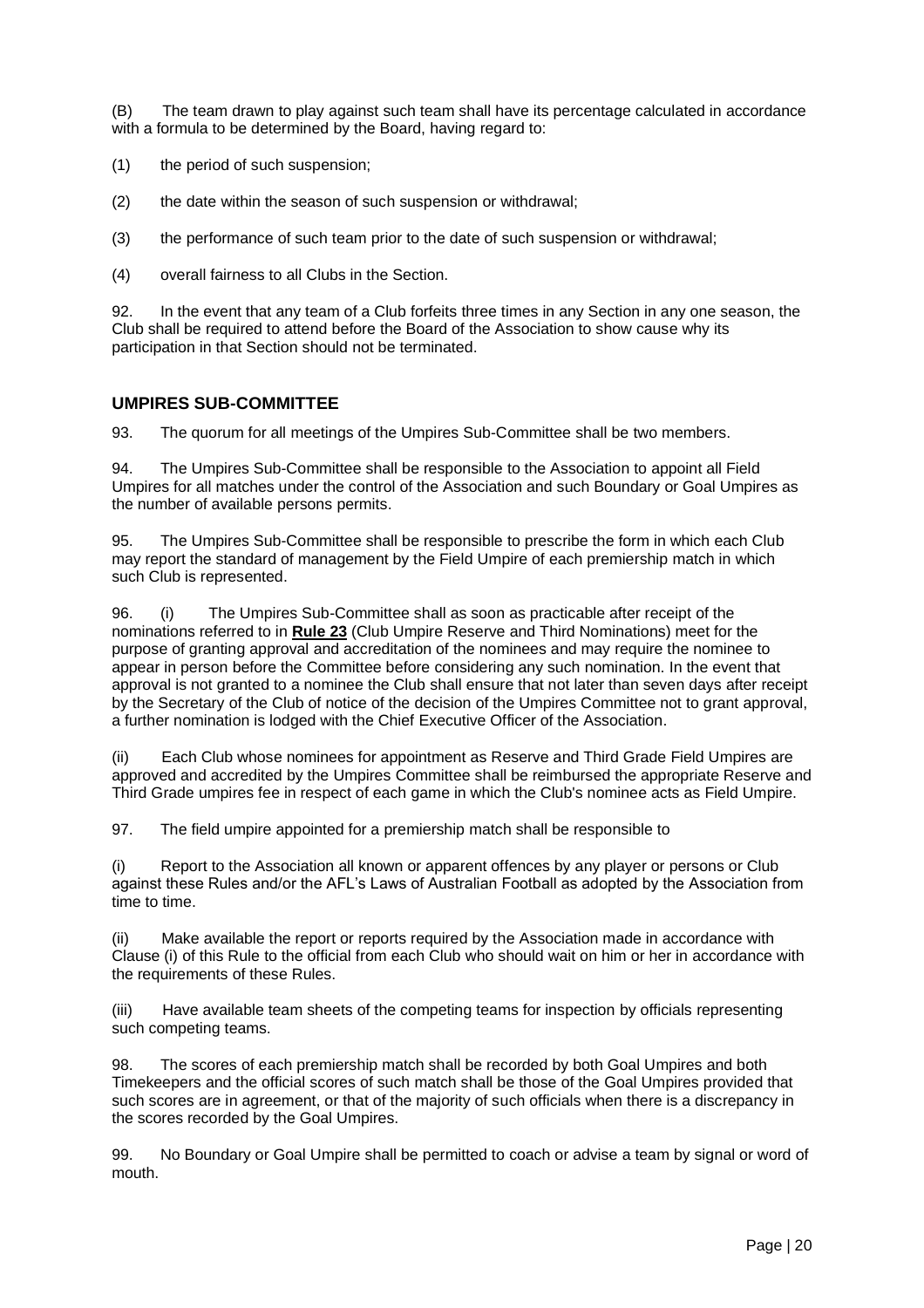(B) The team drawn to play against such team shall have its percentage calculated in accordance with a formula to be determined by the Board, having regard to:

(1) the period of such suspension;

(2) the date within the season of such suspension or withdrawal;

(3) the performance of such team prior to the date of such suspension or withdrawal;

(4) overall fairness to all Clubs in the Section.

92. In the event that any team of a Club forfeits three times in any Section in any one season, the Club shall be required to attend before the Board of the Association to show cause why its participation in that Section should not be terminated.

#### <span id="page-19-0"></span>**UMPIRES SUB-COMMITTEE**

93. The quorum for all meetings of the Umpires Sub-Committee shall be two members.

94. The Umpires Sub-Committee shall be responsible to the Association to appoint all Field Umpires for all matches under the control of the Association and such Boundary or Goal Umpires as the number of available persons permits.

95. The Umpires Sub-Committee shall be responsible to prescribe the form in which each Club may report the standard of management by the Field Umpire of each premiership match in which such Club is represented.

96. (i) The Umpires Sub-Committee shall as soon as practicable after receipt of the nominations referred to in **Rule 23** (Club Umpire Reserve and Third Nominations) meet for the purpose of granting approval and accreditation of the nominees and may require the nominee to appear in person before the Committee before considering any such nomination. In the event that approval is not granted to a nominee the Club shall ensure that not later than seven days after receipt by the Secretary of the Club of notice of the decision of the Umpires Committee not to grant approval, a further nomination is lodged with the Chief Executive Officer of the Association.

(ii) Each Club whose nominees for appointment as Reserve and Third Grade Field Umpires are approved and accredited by the Umpires Committee shall be reimbursed the appropriate Reserve and Third Grade umpires fee in respect of each game in which the Club's nominee acts as Field Umpire.

97. The field umpire appointed for a premiership match shall be responsible to

(i) Report to the Association all known or apparent offences by any player or persons or Club against these Rules and/or the AFL's Laws of Australian Football as adopted by the Association from time to time.

(ii) Make available the report or reports required by the Association made in accordance with Clause (i) of this Rule to the official from each Club who should wait on him or her in accordance with the requirements of these Rules.

(iii) Have available team sheets of the competing teams for inspection by officials representing such competing teams.

98. The scores of each premiership match shall be recorded by both Goal Umpires and both Timekeepers and the official scores of such match shall be those of the Goal Umpires provided that such scores are in agreement, or that of the majority of such officials when there is a discrepancy in the scores recorded by the Goal Umpires.

99. No Boundary or Goal Umpire shall be permitted to coach or advise a team by signal or word of mouth.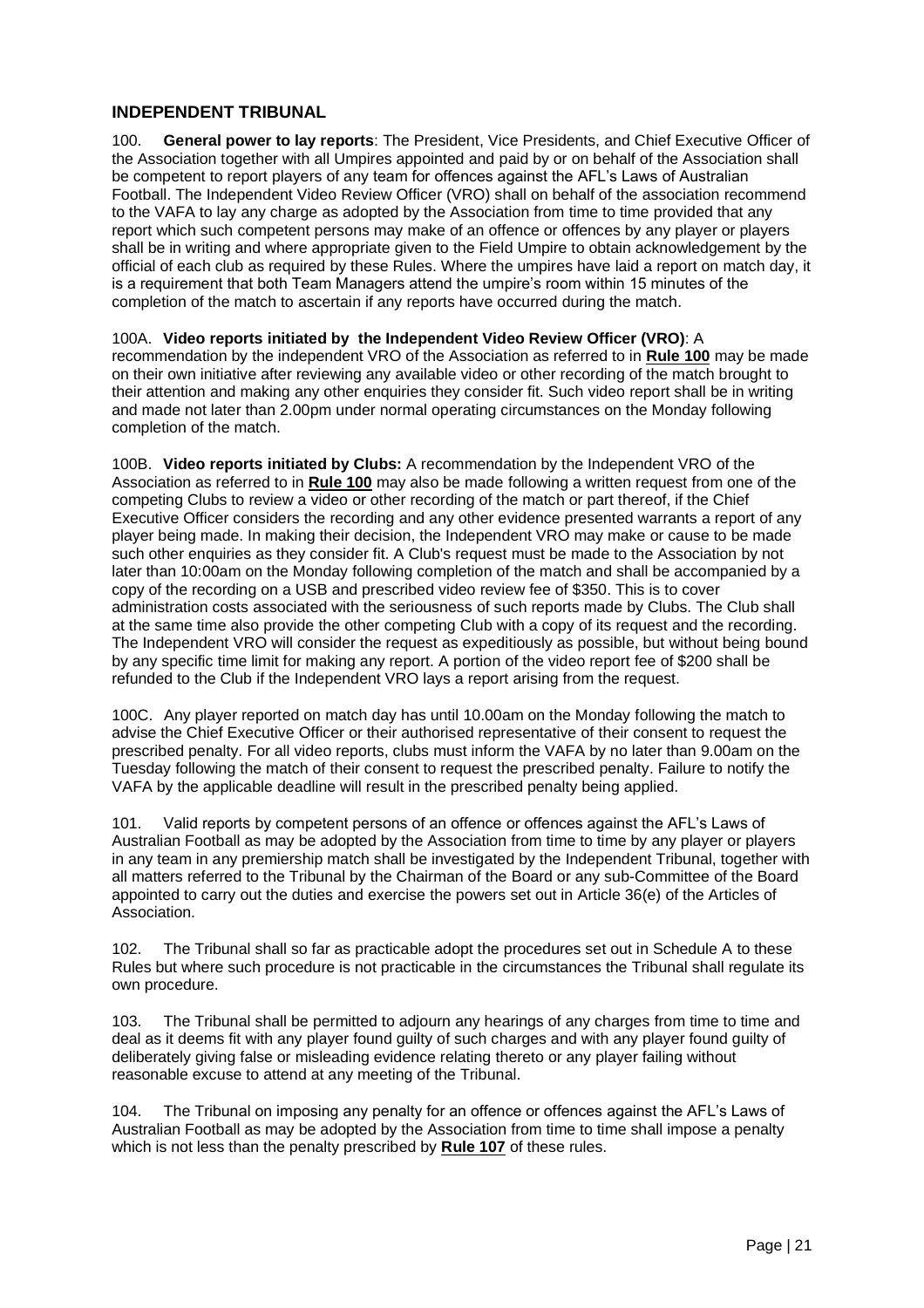#### <span id="page-20-0"></span>**INDEPENDENT TRIBUNAL**

100. **General power to lay reports**: The President, Vice Presidents, and Chief Executive Officer of the Association together with all Umpires appointed and paid by or on behalf of the Association shall be competent to report players of any team for offences against the AFL's Laws of Australian Football. The Independent Video Review Officer (VRO) shall on behalf of the association recommend to the VAFA to lay any charge as adopted by the Association from time to time provided that any report which such competent persons may make of an offence or offences by any player or players shall be in writing and where appropriate given to the Field Umpire to obtain acknowledgement by the official of each club as required by these Rules. Where the umpires have laid a report on match day, it is a requirement that both Team Managers attend the umpire's room within 15 minutes of the completion of the match to ascertain if any reports have occurred during the match.

100A. **Video reports initiated by the Independent Video Review Officer (VRO)**: A recommendation by the independent VRO of the Association as referred to in **Rule 100** may be made on their own initiative after reviewing any available video or other recording of the match brought to their attention and making any other enquiries they consider fit. Such video report shall be in writing and made not later than 2.00pm under normal operating circumstances on the Monday following completion of the match.

100B. **Video reports initiated by Clubs:** A recommendation by the Independent VRO of the Association as referred to in **Rule 100** may also be made following a written request from one of the competing Clubs to review a video or other recording of the match or part thereof, if the Chief Executive Officer considers the recording and any other evidence presented warrants a report of any player being made. In making their decision, the Independent VRO may make or cause to be made such other enquiries as they consider fit. A Club's request must be made to the Association by not later than 10:00am on the Monday following completion of the match and shall be accompanied by a copy of the recording on a USB and prescribed video review fee of \$350. This is to cover administration costs associated with the seriousness of such reports made by Clubs. The Club shall at the same time also provide the other competing Club with a copy of its request and the recording. The Independent VRO will consider the request as expeditiously as possible, but without being bound by any specific time limit for making any report. A portion of the video report fee of \$200 shall be refunded to the Club if the Independent VRO lays a report arising from the request.

100C. Any player reported on match day has until 10.00am on the Monday following the match to advise the Chief Executive Officer or their authorised representative of their consent to request the prescribed penalty. For all video reports, clubs must inform the VAFA by no later than 9.00am on the Tuesday following the match of their consent to request the prescribed penalty. Failure to notify the VAFA by the applicable deadline will result in the prescribed penalty being applied.

101. Valid reports by competent persons of an offence or offences against the AFL's Laws of Australian Football as may be adopted by the Association from time to time by any player or players in any team in any premiership match shall be investigated by the Independent Tribunal, together with all matters referred to the Tribunal by the Chairman of the Board or any sub-Committee of the Board appointed to carry out the duties and exercise the powers set out in Article 36(e) of the Articles of Association.

102. The Tribunal shall so far as practicable adopt the procedures set out in Schedule A to these Rules but where such procedure is not practicable in the circumstances the Tribunal shall regulate its own procedure.

103. The Tribunal shall be permitted to adjourn any hearings of any charges from time to time and deal as it deems fit with any player found guilty of such charges and with any player found guilty of deliberately giving false or misleading evidence relating thereto or any player failing without reasonable excuse to attend at any meeting of the Tribunal.

104. The Tribunal on imposing any penalty for an offence or offences against the AFL's Laws of Australian Football as may be adopted by the Association from time to time shall impose a penalty which is not less than the penalty prescribed by **Rule 107** of these rules.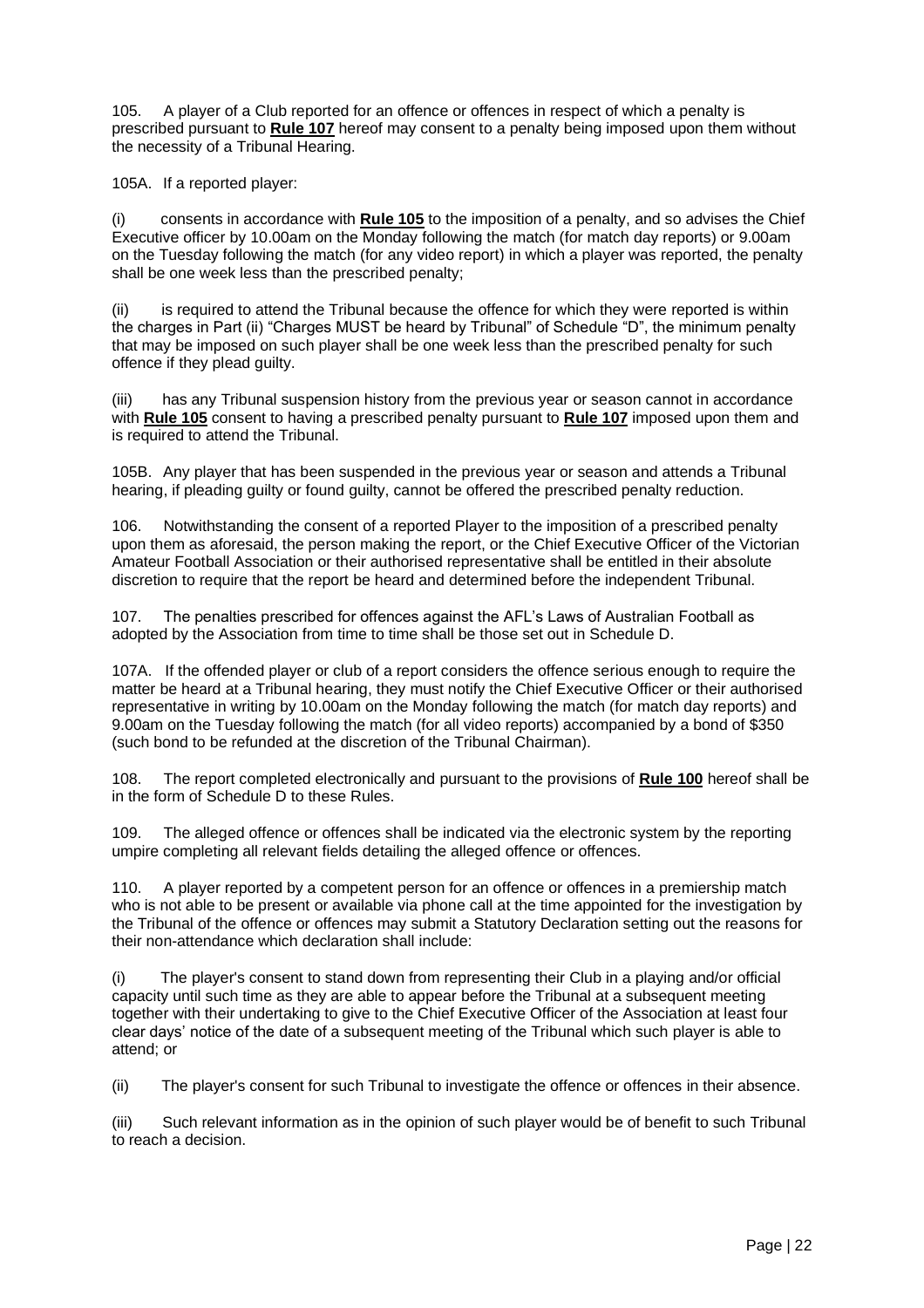105. A player of a Club reported for an offence or offences in respect of which a penalty is prescribed pursuant to **Rule 107** hereof may consent to a penalty being imposed upon them without the necessity of a Tribunal Hearing.

105A. If a reported player:

(i) consents in accordance with **Rule 105** to the imposition of a penalty, and so advises the Chief Executive officer by 10.00am on the Monday following the match (for match day reports) or 9.00am on the Tuesday following the match (for any video report) in which a player was reported, the penalty shall be one week less than the prescribed penalty;

(ii) is required to attend the Tribunal because the offence for which they were reported is within the charges in Part (ii) "Charges MUST be heard by Tribunal" of Schedule "D", the minimum penalty that may be imposed on such player shall be one week less than the prescribed penalty for such offence if they plead guilty.

(iii) has any Tribunal suspension history from the previous year or season cannot in accordance with **Rule 105** consent to having a prescribed penalty pursuant to **Rule 107** imposed upon them and is required to attend the Tribunal.

105B. Any player that has been suspended in the previous year or season and attends a Tribunal hearing, if pleading quilty or found guilty, cannot be offered the prescribed penalty reduction.

106. Notwithstanding the consent of a reported Player to the imposition of a prescribed penalty upon them as aforesaid, the person making the report, or the Chief Executive Officer of the Victorian Amateur Football Association or their authorised representative shall be entitled in their absolute discretion to require that the report be heard and determined before the independent Tribunal.

107. The penalties prescribed for offences against the AFL's Laws of Australian Football as adopted by the Association from time to time shall be those set out in Schedule D.

107A. If the offended player or club of a report considers the offence serious enough to require the matter be heard at a Tribunal hearing, they must notify the Chief Executive Officer or their authorised representative in writing by 10.00am on the Monday following the match (for match day reports) and 9.00am on the Tuesday following the match (for all video reports) accompanied by a bond of \$350 (such bond to be refunded at the discretion of the Tribunal Chairman).

108. The report completed electronically and pursuant to the provisions of **Rule 100** hereof shall be in the form of Schedule D to these Rules.

109. The alleged offence or offences shall be indicated via the electronic system by the reporting umpire completing all relevant fields detailing the alleged offence or offences.

110. A player reported by a competent person for an offence or offences in a premiership match who is not able to be present or available via phone call at the time appointed for the investigation by the Tribunal of the offence or offences may submit a Statutory Declaration setting out the reasons for their non-attendance which declaration shall include:

(i) The player's consent to stand down from representing their Club in a playing and/or official capacity until such time as they are able to appear before the Tribunal at a subsequent meeting together with their undertaking to give to the Chief Executive Officer of the Association at least four clear days' notice of the date of a subsequent meeting of the Tribunal which such player is able to attend; or

(ii) The player's consent for such Tribunal to investigate the offence or offences in their absence.

(iii) Such relevant information as in the opinion of such player would be of benefit to such Tribunal to reach a decision.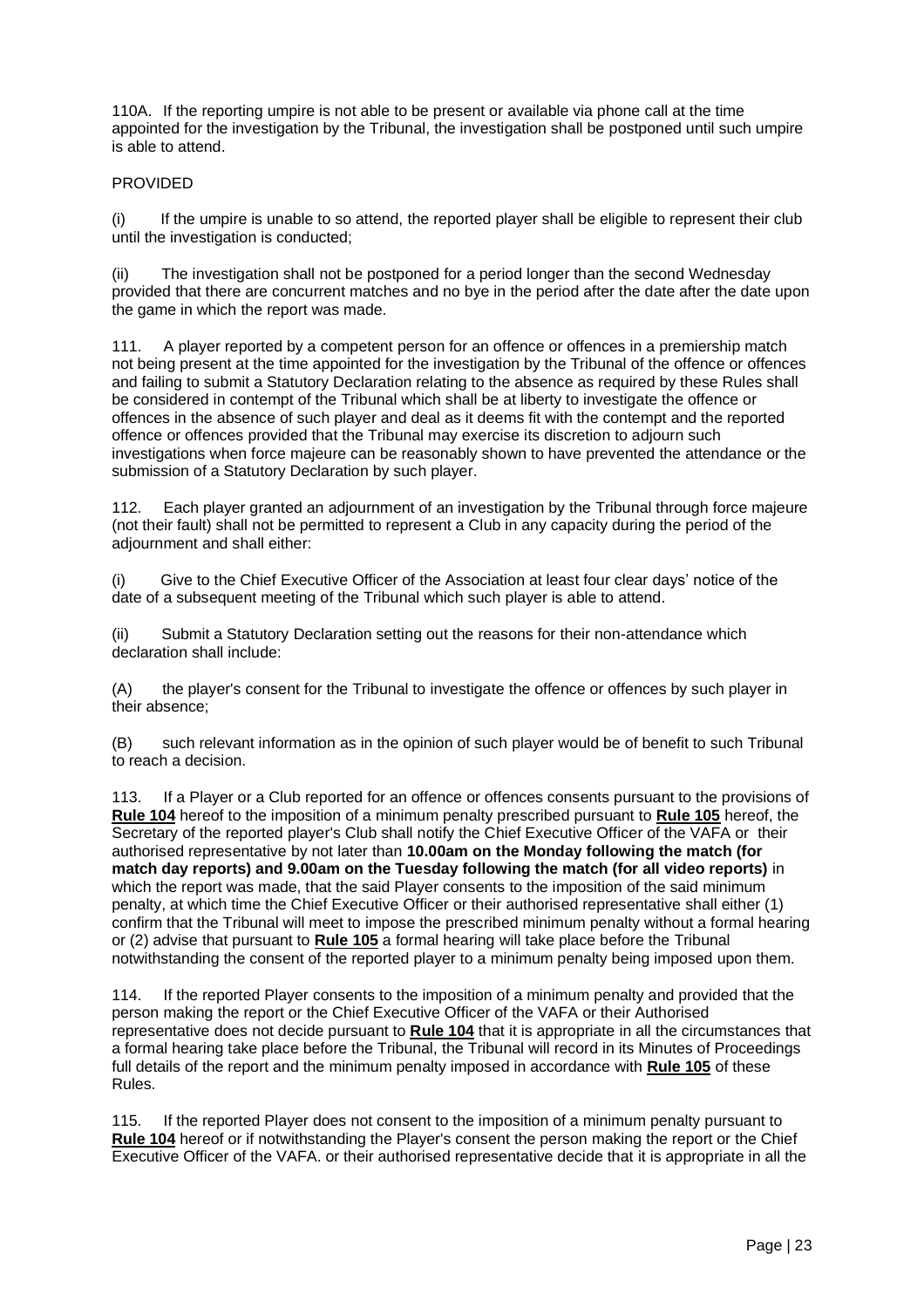110A. If the reporting umpire is not able to be present or available via phone call at the time appointed for the investigation by the Tribunal, the investigation shall be postponed until such umpire is able to attend.

#### PROVIDED

(i) If the umpire is unable to so attend, the reported player shall be eligible to represent their club until the investigation is conducted;

(ii) The investigation shall not be postponed for a period longer than the second Wednesday provided that there are concurrent matches and no bye in the period after the date after the date upon the game in which the report was made.

111. A player reported by a competent person for an offence or offences in a premiership match not being present at the time appointed for the investigation by the Tribunal of the offence or offences and failing to submit a Statutory Declaration relating to the absence as required by these Rules shall be considered in contempt of the Tribunal which shall be at liberty to investigate the offence or offences in the absence of such player and deal as it deems fit with the contempt and the reported offence or offences provided that the Tribunal may exercise its discretion to adjourn such investigations when force majeure can be reasonably shown to have prevented the attendance or the submission of a Statutory Declaration by such player.

112. Each player granted an adjournment of an investigation by the Tribunal through force majeure (not their fault) shall not be permitted to represent a Club in any capacity during the period of the adjournment and shall either:

(i) Give to the Chief Executive Officer of the Association at least four clear days' notice of the date of a subsequent meeting of the Tribunal which such player is able to attend.

(ii) Submit a Statutory Declaration setting out the reasons for their non-attendance which declaration shall include:

(A) the player's consent for the Tribunal to investigate the offence or offences by such player in their absence;

(B) such relevant information as in the opinion of such player would be of benefit to such Tribunal to reach a decision.

113. If a Player or a Club reported for an offence or offences consents pursuant to the provisions of **Rule 104** hereof to the imposition of a minimum penalty prescribed pursuant to **Rule 105** hereof, the Secretary of the reported player's Club shall notify the Chief Executive Officer of the VAFA or their authorised representative by not later than **10.00am on the Monday following the match (for match day reports) and 9.00am on the Tuesday following the match (for all video reports)** in which the report was made, that the said Player consents to the imposition of the said minimum penalty, at which time the Chief Executive Officer or their authorised representative shall either (1) confirm that the Tribunal will meet to impose the prescribed minimum penalty without a formal hearing or (2) advise that pursuant to **Rule 105** a formal hearing will take place before the Tribunal notwithstanding the consent of the reported player to a minimum penalty being imposed upon them.

114. If the reported Player consents to the imposition of a minimum penalty and provided that the person making the report or the Chief Executive Officer of the VAFA or their Authorised representative does not decide pursuant to **Rule 104** that it is appropriate in all the circumstances that a formal hearing take place before the Tribunal, the Tribunal will record in its Minutes of Proceedings full details of the report and the minimum penalty imposed in accordance with **Rule 105** of these Rules.

115. If the reported Player does not consent to the imposition of a minimum penalty pursuant to **Rule 104** hereof or if notwithstanding the Player's consent the person making the report or the Chief Executive Officer of the VAFA. or their authorised representative decide that it is appropriate in all the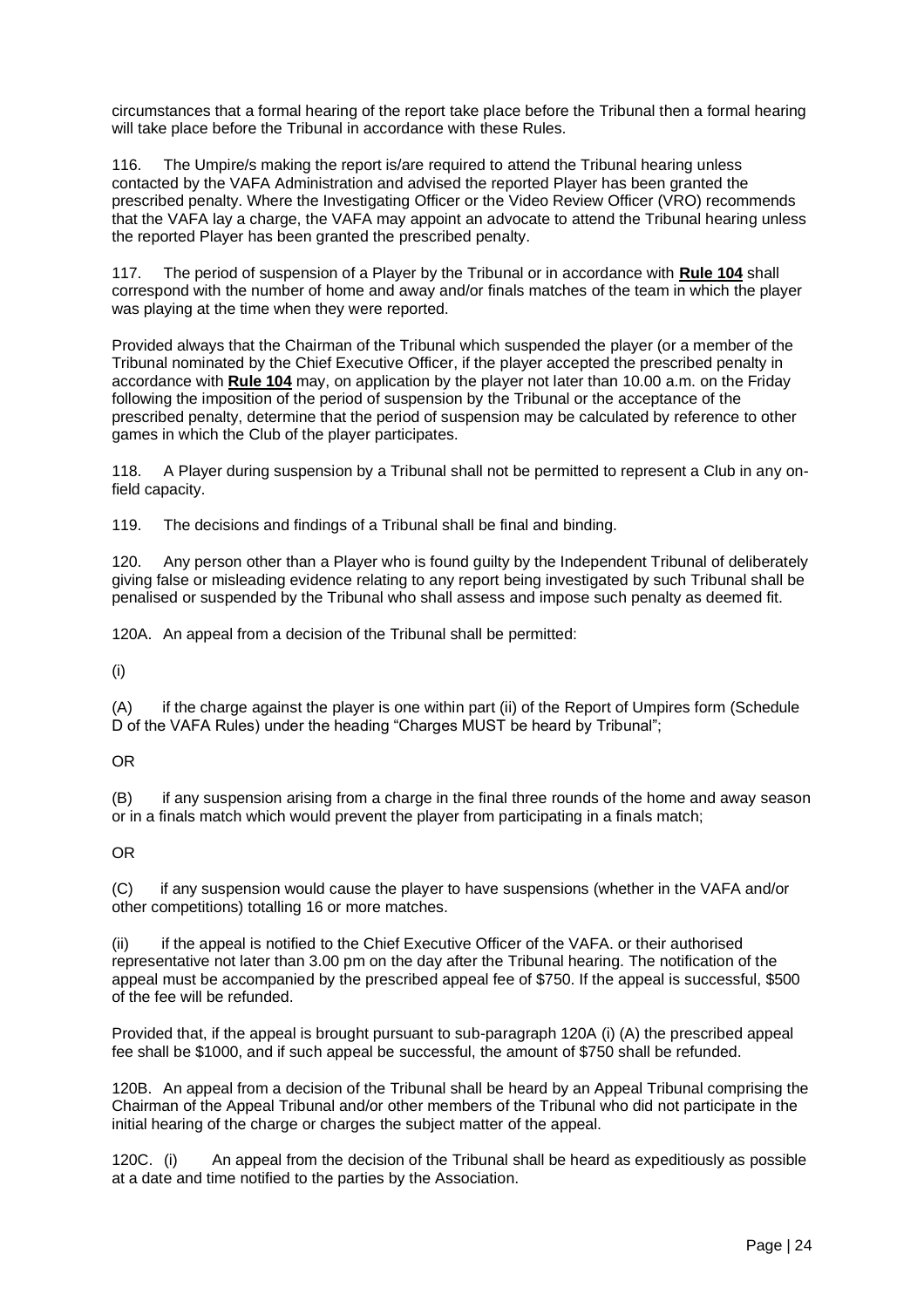circumstances that a formal hearing of the report take place before the Tribunal then a formal hearing will take place before the Tribunal in accordance with these Rules.

116. The Umpire/s making the report is/are required to attend the Tribunal hearing unless contacted by the VAFA Administration and advised the reported Player has been granted the prescribed penalty. Where the Investigating Officer or the Video Review Officer (VRO) recommends that the VAFA lay a charge, the VAFA may appoint an advocate to attend the Tribunal hearing unless the reported Player has been granted the prescribed penalty.

117. The period of suspension of a Player by the Tribunal or in accordance with **Rule 104** shall correspond with the number of home and away and/or finals matches of the team in which the player was playing at the time when they were reported.

Provided always that the Chairman of the Tribunal which suspended the player (or a member of the Tribunal nominated by the Chief Executive Officer, if the player accepted the prescribed penalty in accordance with **Rule 104** may, on application by the player not later than 10.00 a.m. on the Friday following the imposition of the period of suspension by the Tribunal or the acceptance of the prescribed penalty, determine that the period of suspension may be calculated by reference to other games in which the Club of the player participates.

118. A Player during suspension by a Tribunal shall not be permitted to represent a Club in any onfield capacity.

119. The decisions and findings of a Tribunal shall be final and binding.

120. Any person other than a Player who is found guilty by the Independent Tribunal of deliberately giving false or misleading evidence relating to any report being investigated by such Tribunal shall be penalised or suspended by the Tribunal who shall assess and impose such penalty as deemed fit.

120A. An appeal from a decision of the Tribunal shall be permitted:

(i)

(A) if the charge against the player is one within part (ii) of the Report of Umpires form (Schedule D of the VAFA Rules) under the heading "Charges MUST be heard by Tribunal";

OR

(B) if any suspension arising from a charge in the final three rounds of the home and away season or in a finals match which would prevent the player from participating in a finals match;

OR

(C) if any suspension would cause the player to have suspensions (whether in the VAFA and/or other competitions) totalling 16 or more matches.

(ii) if the appeal is notified to the Chief Executive Officer of the VAFA. or their authorised representative not later than 3.00 pm on the day after the Tribunal hearing. The notification of the appeal must be accompanied by the prescribed appeal fee of \$750. If the appeal is successful, \$500 of the fee will be refunded.

Provided that, if the appeal is brought pursuant to sub-paragraph 120A (i) (A) the prescribed appeal fee shall be \$1000, and if such appeal be successful, the amount of \$750 shall be refunded.

120B. An appeal from a decision of the Tribunal shall be heard by an Appeal Tribunal comprising the Chairman of the Appeal Tribunal and/or other members of the Tribunal who did not participate in the initial hearing of the charge or charges the subject matter of the appeal.

120C. (i) An appeal from the decision of the Tribunal shall be heard as expeditiously as possible at a date and time notified to the parties by the Association.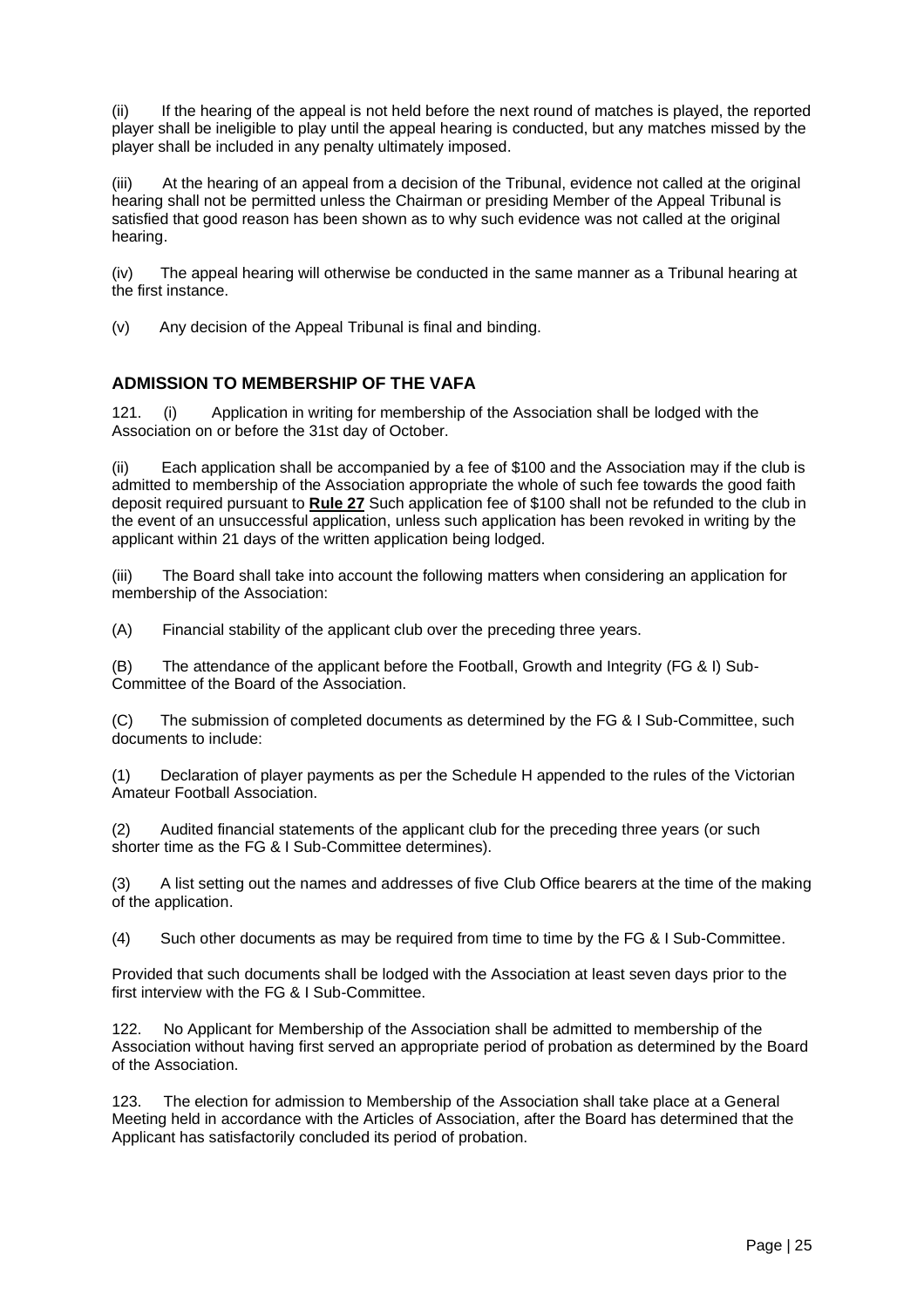(ii) If the hearing of the appeal is not held before the next round of matches is played, the reported player shall be ineligible to play until the appeal hearing is conducted, but any matches missed by the player shall be included in any penalty ultimately imposed.

(iii) At the hearing of an appeal from a decision of the Tribunal, evidence not called at the original hearing shall not be permitted unless the Chairman or presiding Member of the Appeal Tribunal is satisfied that good reason has been shown as to why such evidence was not called at the original hearing.

(iv) The appeal hearing will otherwise be conducted in the same manner as a Tribunal hearing at the first instance.

(v) Any decision of the Appeal Tribunal is final and binding.

#### <span id="page-24-0"></span>**ADMISSION TO MEMBERSHIP OF THE VAFA**

121. (i) Application in writing for membership of the Association shall be lodged with the Association on or before the 31st day of October.

(ii) Each application shall be accompanied by a fee of \$100 and the Association may if the club is admitted to membership of the Association appropriate the whole of such fee towards the good faith deposit required pursuant to **Rule 27** Such application fee of \$100 shall not be refunded to the club in the event of an unsuccessful application, unless such application has been revoked in writing by the applicant within 21 days of the written application being lodged.

(iii) The Board shall take into account the following matters when considering an application for membership of the Association:

(A) Financial stability of the applicant club over the preceding three years.

(B) The attendance of the applicant before the Football, Growth and Integrity (FG & I) Sub-Committee of the Board of the Association.

(C) The submission of completed documents as determined by the FG & I Sub-Committee, such documents to include:

(1) Declaration of player payments as per the Schedule H appended to the rules of the Victorian Amateur Football Association.

(2) Audited financial statements of the applicant club for the preceding three years (or such shorter time as the FG & I Sub-Committee determines).

(3) A list setting out the names and addresses of five Club Office bearers at the time of the making of the application.

(4) Such other documents as may be required from time to time by the FG & I Sub-Committee.

Provided that such documents shall be lodged with the Association at least seven days prior to the first interview with the FG & I Sub-Committee.

122. No Applicant for Membership of the Association shall be admitted to membership of the Association without having first served an appropriate period of probation as determined by the Board of the Association.

123. The election for admission to Membership of the Association shall take place at a General Meeting held in accordance with the Articles of Association, after the Board has determined that the Applicant has satisfactorily concluded its period of probation.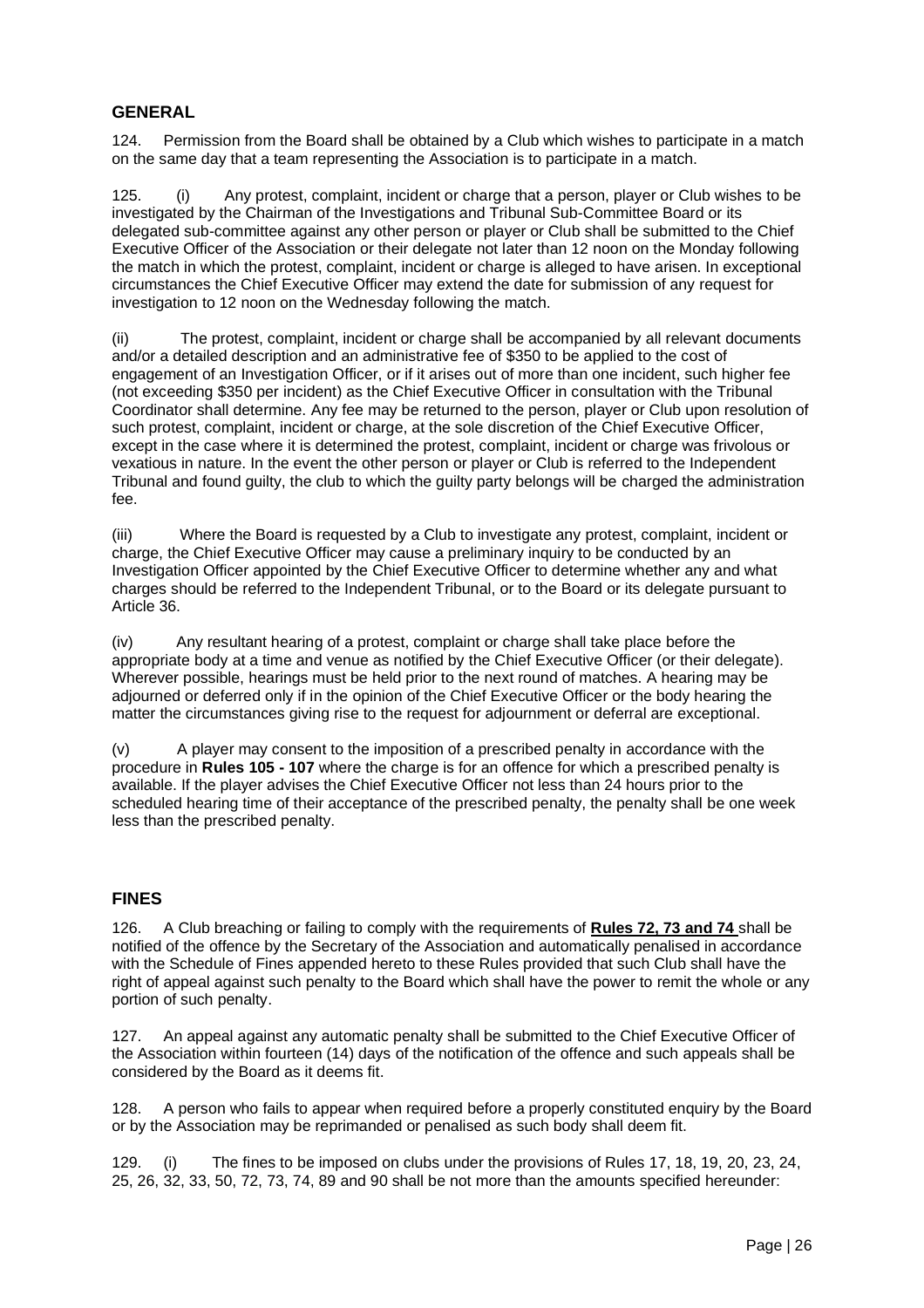#### <span id="page-25-0"></span>**GENERAL**

124. Permission from the Board shall be obtained by a Club which wishes to participate in a match on the same day that a team representing the Association is to participate in a match.

125. (i) Any protest, complaint, incident or charge that a person, player or Club wishes to be investigated by the Chairman of the Investigations and Tribunal Sub-Committee Board or its delegated sub-committee against any other person or player or Club shall be submitted to the Chief Executive Officer of the Association or their delegate not later than 12 noon on the Monday following the match in which the protest, complaint, incident or charge is alleged to have arisen. In exceptional circumstances the Chief Executive Officer may extend the date for submission of any request for investigation to 12 noon on the Wednesday following the match.

(ii) The protest, complaint, incident or charge shall be accompanied by all relevant documents and/or a detailed description and an administrative fee of \$350 to be applied to the cost of engagement of an Investigation Officer, or if it arises out of more than one incident, such higher fee (not exceeding \$350 per incident) as the Chief Executive Officer in consultation with the Tribunal Coordinator shall determine. Any fee may be returned to the person, player or Club upon resolution of such protest, complaint, incident or charge, at the sole discretion of the Chief Executive Officer, except in the case where it is determined the protest, complaint, incident or charge was frivolous or vexatious in nature. In the event the other person or player or Club is referred to the Independent Tribunal and found guilty, the club to which the guilty party belongs will be charged the administration fee.

(iii) Where the Board is requested by a Club to investigate any protest, complaint, incident or charge, the Chief Executive Officer may cause a preliminary inquiry to be conducted by an Investigation Officer appointed by the Chief Executive Officer to determine whether any and what charges should be referred to the Independent Tribunal, or to the Board or its delegate pursuant to Article 36.

(iv) Any resultant hearing of a protest, complaint or charge shall take place before the appropriate body at a time and venue as notified by the Chief Executive Officer (or their delegate). Wherever possible, hearings must be held prior to the next round of matches. A hearing may be adjourned or deferred only if in the opinion of the Chief Executive Officer or the body hearing the matter the circumstances giving rise to the request for adjournment or deferral are exceptional.

(v) A player may consent to the imposition of a prescribed penalty in accordance with the procedure in **Rules 105 - 107** where the charge is for an offence for which a prescribed penalty is available. If the player advises the Chief Executive Officer not less than 24 hours prior to the scheduled hearing time of their acceptance of the prescribed penalty, the penalty shall be one week less than the prescribed penalty.

#### <span id="page-25-1"></span>**FINES**

126. A Club breaching or failing to comply with the requirements of **Rules 72, 73 and 74** shall be notified of the offence by the Secretary of the Association and automatically penalised in accordance with the Schedule of Fines appended hereto to these Rules provided that such Club shall have the right of appeal against such penalty to the Board which shall have the power to remit the whole or any portion of such penalty.

127. An appeal against any automatic penalty shall be submitted to the Chief Executive Officer of the Association within fourteen (14) days of the notification of the offence and such appeals shall be considered by the Board as it deems fit.

128. A person who fails to appear when required before a properly constituted enquiry by the Board or by the Association may be reprimanded or penalised as such body shall deem fit.

129. (i) The fines to be imposed on clubs under the provisions of Rules 17, 18, 19, 20, 23, 24, 25, 26, 32, 33, 50, 72, 73, 74, 89 and 90 shall be not more than the amounts specified hereunder: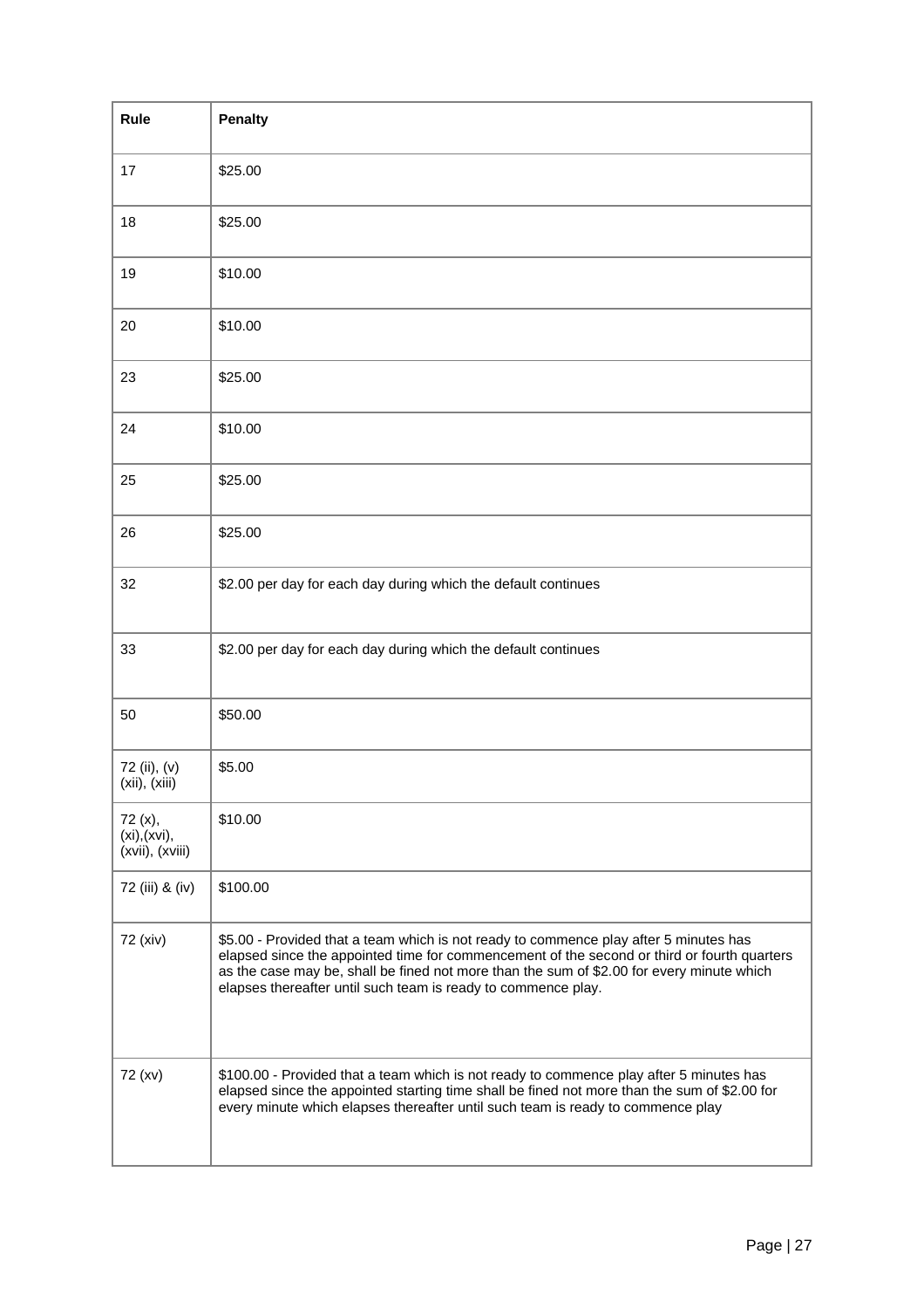| Rule                                       | <b>Penalty</b>                                                                                                                                                                                                                                                                                                                                     |
|--------------------------------------------|----------------------------------------------------------------------------------------------------------------------------------------------------------------------------------------------------------------------------------------------------------------------------------------------------------------------------------------------------|
| 17                                         | \$25.00                                                                                                                                                                                                                                                                                                                                            |
| 18                                         | \$25.00                                                                                                                                                                                                                                                                                                                                            |
| 19                                         | \$10.00                                                                                                                                                                                                                                                                                                                                            |
| 20                                         | \$10.00                                                                                                                                                                                                                                                                                                                                            |
| 23                                         | \$25.00                                                                                                                                                                                                                                                                                                                                            |
| 24                                         | \$10.00                                                                                                                                                                                                                                                                                                                                            |
| 25                                         | \$25.00                                                                                                                                                                                                                                                                                                                                            |
| 26                                         | \$25.00                                                                                                                                                                                                                                                                                                                                            |
| 32                                         | \$2.00 per day for each day during which the default continues                                                                                                                                                                                                                                                                                     |
| 33                                         | \$2.00 per day for each day during which the default continues                                                                                                                                                                                                                                                                                     |
| 50                                         | \$50.00                                                                                                                                                                                                                                                                                                                                            |
| 72 (ii), (v)<br>(xii), (xiii)              | \$5.00                                                                                                                                                                                                                                                                                                                                             |
| 72 (x),<br>(xi), (xvi),<br>(xvii), (xviii) | \$10.00                                                                                                                                                                                                                                                                                                                                            |
| 72 (iii) & (iv)                            | \$100.00                                                                                                                                                                                                                                                                                                                                           |
| 72 (xiv)                                   | \$5.00 - Provided that a team which is not ready to commence play after 5 minutes has<br>elapsed since the appointed time for commencement of the second or third or fourth quarters<br>as the case may be, shall be fined not more than the sum of \$2.00 for every minute which<br>elapses thereafter until such team is ready to commence play. |
| 72 (xv)                                    | \$100.00 - Provided that a team which is not ready to commence play after 5 minutes has<br>elapsed since the appointed starting time shall be fined not more than the sum of \$2.00 for<br>every minute which elapses thereafter until such team is ready to commence play                                                                         |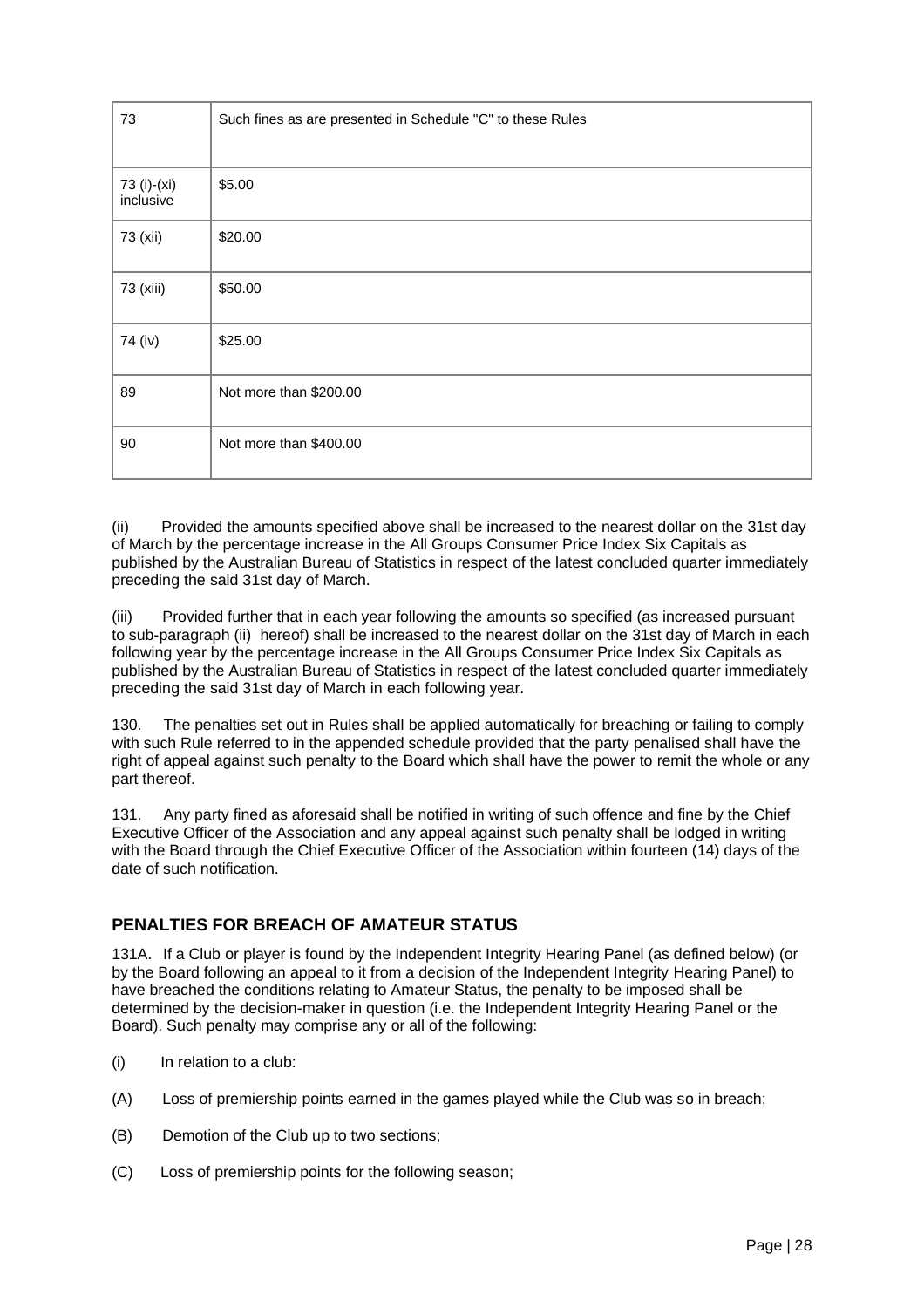| 73                       | Such fines as are presented in Schedule "C" to these Rules |
|--------------------------|------------------------------------------------------------|
| 73 (i)-(xi)<br>inclusive | \$5.00                                                     |
| 73 (xii)                 | \$20.00                                                    |
| 73 (xiii)                | \$50.00                                                    |
| 74 (iv)                  | \$25.00                                                    |
| 89                       | Not more than \$200.00                                     |
| 90                       | Not more than \$400.00                                     |

(ii) Provided the amounts specified above shall be increased to the nearest dollar on the 31st day of March by the percentage increase in the All Groups Consumer Price Index Six Capitals as published by the Australian Bureau of Statistics in respect of the latest concluded quarter immediately preceding the said 31st day of March.

(iii) Provided further that in each year following the amounts so specified (as increased pursuant to sub-paragraph (ii) hereof) shall be increased to the nearest dollar on the 31st day of March in each following year by the percentage increase in the All Groups Consumer Price Index Six Capitals as published by the Australian Bureau of Statistics in respect of the latest concluded quarter immediately preceding the said 31st day of March in each following year.

130. The penalties set out in Rules shall be applied automatically for breaching or failing to comply with such Rule referred to in the appended schedule provided that the party penalised shall have the right of appeal against such penalty to the Board which shall have the power to remit the whole or any part thereof.

131. Any party fined as aforesaid shall be notified in writing of such offence and fine by the Chief Executive Officer of the Association and any appeal against such penalty shall be lodged in writing with the Board through the Chief Executive Officer of the Association within fourteen (14) days of the date of such notification.

## <span id="page-27-0"></span>**PENALTIES FOR BREACH OF AMATEUR STATUS**

131A. If a Club or player is found by the Independent Integrity Hearing Panel (as defined below) (or by the Board following an appeal to it from a decision of the Independent Integrity Hearing Panel) to have breached the conditions relating to Amateur Status, the penalty to be imposed shall be determined by the decision-maker in question (i.e. the Independent Integrity Hearing Panel or the Board). Such penalty may comprise any or all of the following:

- (i) In relation to a club:
- (A) Loss of premiership points earned in the games played while the Club was so in breach;
- (B) Demotion of the Club up to two sections;
- (C) Loss of premiership points for the following season;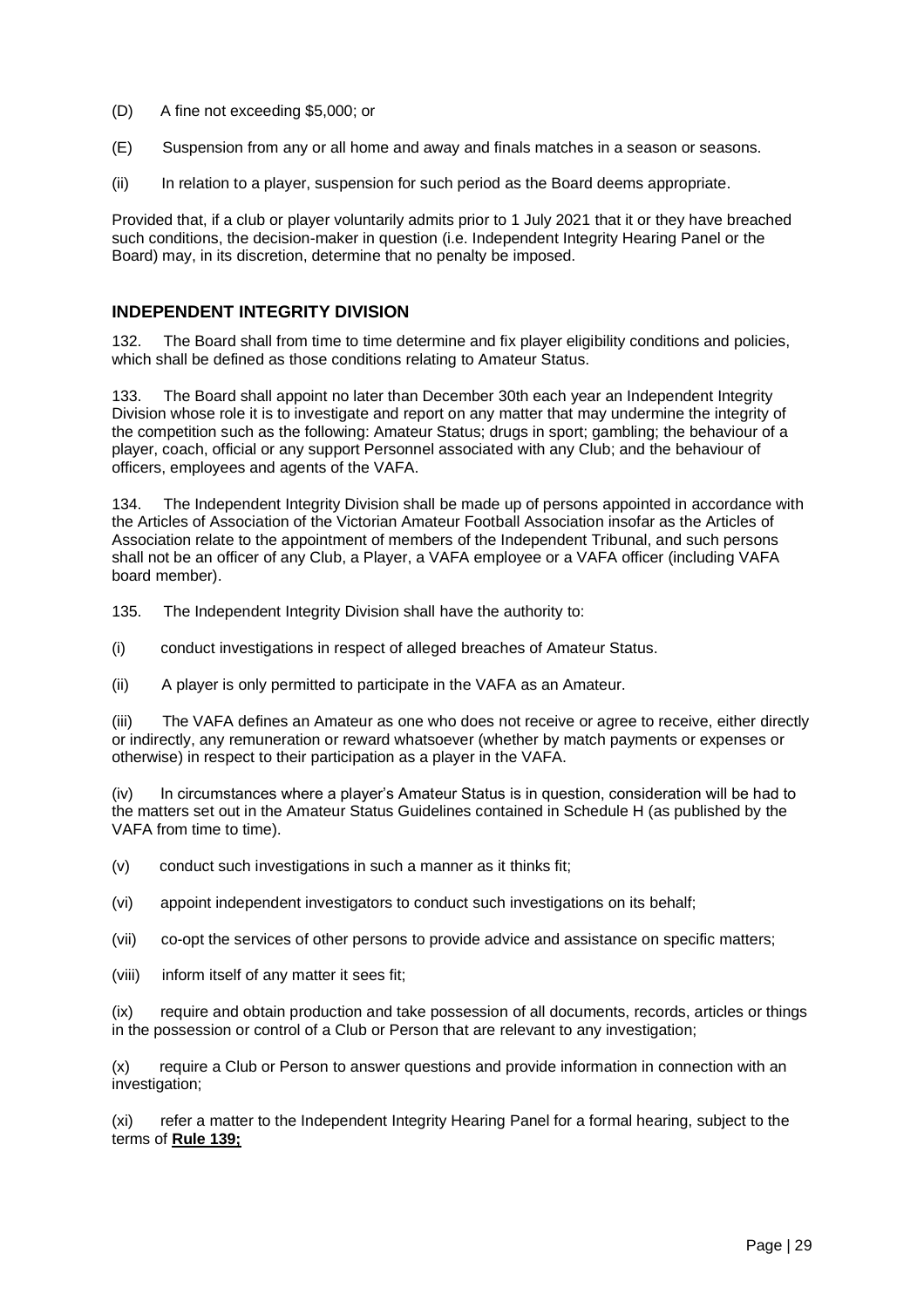- (D) A fine not exceeding \$5,000; or
- (E) Suspension from any or all home and away and finals matches in a season or seasons.
- (ii) In relation to a player, suspension for such period as the Board deems appropriate.

Provided that, if a club or player voluntarily admits prior to 1 July 2021 that it or they have breached such conditions, the decision-maker in question (i.e. Independent Integrity Hearing Panel or the Board) may, in its discretion, determine that no penalty be imposed.

#### <span id="page-28-0"></span>**INDEPENDENT INTEGRITY DIVISION**

132. The Board shall from time to time determine and fix player eligibility conditions and policies, which shall be defined as those conditions relating to Amateur Status.

133. The Board shall appoint no later than December 30th each year an Independent Integrity Division whose role it is to investigate and report on any matter that may undermine the integrity of the competition such as the following: Amateur Status; drugs in sport; gambling; the behaviour of a player, coach, official or any support Personnel associated with any Club; and the behaviour of officers, employees and agents of the VAFA.

134. The Independent Integrity Division shall be made up of persons appointed in accordance with the Articles of Association of the Victorian Amateur Football Association insofar as the Articles of Association relate to the appointment of members of the Independent Tribunal, and such persons shall not be an officer of any Club, a Player, a VAFA employee or a VAFA officer (including VAFA board member).

135. The Independent Integrity Division shall have the authority to:

- (i) conduct investigations in respect of alleged breaches of Amateur Status.
- (ii) A player is only permitted to participate in the VAFA as an Amateur.

(iii) The VAFA defines an Amateur as one who does not receive or agree to receive, either directly or indirectly, any remuneration or reward whatsoever (whether by match payments or expenses or otherwise) in respect to their participation as a player in the VAFA.

(iv) In circumstances where a player's Amateur Status is in question, consideration will be had to the matters set out in the Amateur Status Guidelines contained in Schedule H (as published by the VAFA from time to time).

(v) conduct such investigations in such a manner as it thinks fit;

- (vi) appoint independent investigators to conduct such investigations on its behalf;
- (vii) co-opt the services of other persons to provide advice and assistance on specific matters;
- (viii) inform itself of any matter it sees fit;

(ix) require and obtain production and take possession of all documents, records, articles or things in the possession or control of a Club or Person that are relevant to any investigation;

(x) require a Club or Person to answer questions and provide information in connection with an investigation;

(xi) refer a matter to the Independent Integrity Hearing Panel for a formal hearing, subject to the terms of **Rule 139;**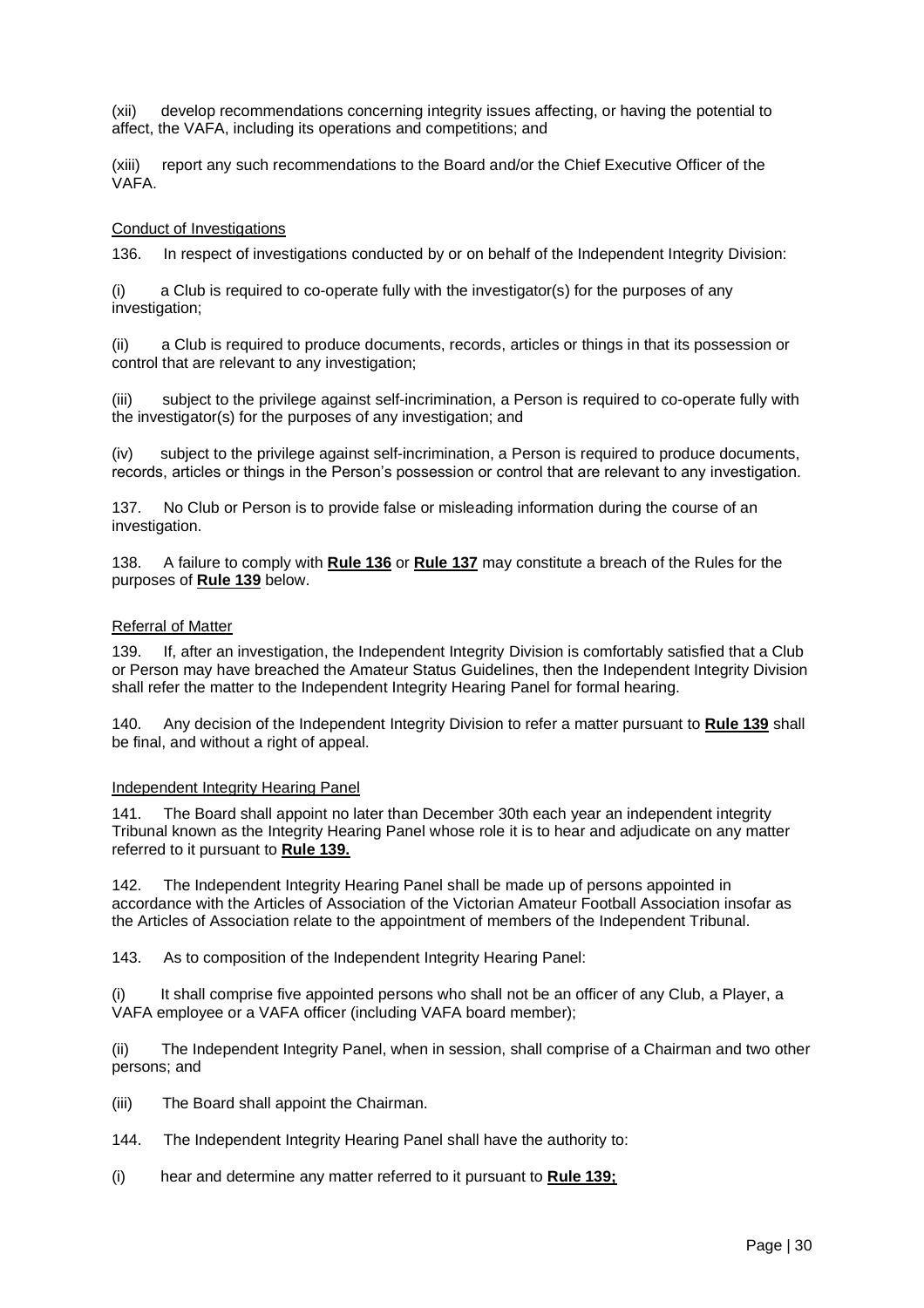(xii) develop recommendations concerning integrity issues affecting, or having the potential to affect, the VAFA, including its operations and competitions; and

(xiii) report any such recommendations to the Board and/or the Chief Executive Officer of the VAFA.

#### Conduct of Investigations

136. In respect of investigations conducted by or on behalf of the Independent Integrity Division:

(i) a Club is required to co-operate fully with the investigator(s) for the purposes of any investigation:

(ii) a Club is required to produce documents, records, articles or things in that its possession or control that are relevant to any investigation;

(iii) subject to the privilege against self-incrimination, a Person is required to co-operate fully with the investigator(s) for the purposes of any investigation; and

(iv) subject to the privilege against self-incrimination, a Person is required to produce documents, records, articles or things in the Person's possession or control that are relevant to any investigation.

137. No Club or Person is to provide false or misleading information during the course of an investigation.

138. A failure to comply with **Rule 136** or **Rule 137** may constitute a breach of the Rules for the purposes of **Rule 139** below.

#### Referral of Matter

139. If, after an investigation, the Independent Integrity Division is comfortably satisfied that a Club or Person may have breached the Amateur Status Guidelines, then the Independent Integrity Division shall refer the matter to the Independent Integrity Hearing Panel for formal hearing.

140. Any decision of the Independent Integrity Division to refer a matter pursuant to **Rule 139** shall be final, and without a right of appeal.

#### Independent Integrity Hearing Panel

141. The Board shall appoint no later than December 30th each year an independent integrity Tribunal known as the Integrity Hearing Panel whose role it is to hear and adjudicate on any matter referred to it pursuant to **Rule 139.**

142. The Independent Integrity Hearing Panel shall be made up of persons appointed in accordance with the Articles of Association of the Victorian Amateur Football Association insofar as the Articles of Association relate to the appointment of members of the Independent Tribunal.

143. As to composition of the Independent Integrity Hearing Panel:

(i) It shall comprise five appointed persons who shall not be an officer of any Club, a Player, a VAFA employee or a VAFA officer (including VAFA board member);

(ii) The Independent Integrity Panel, when in session, shall comprise of a Chairman and two other persons; and

- (iii) The Board shall appoint the Chairman.
- 144. The Independent Integrity Hearing Panel shall have the authority to:
- (i) hear and determine any matter referred to it pursuant to **Rule 139;**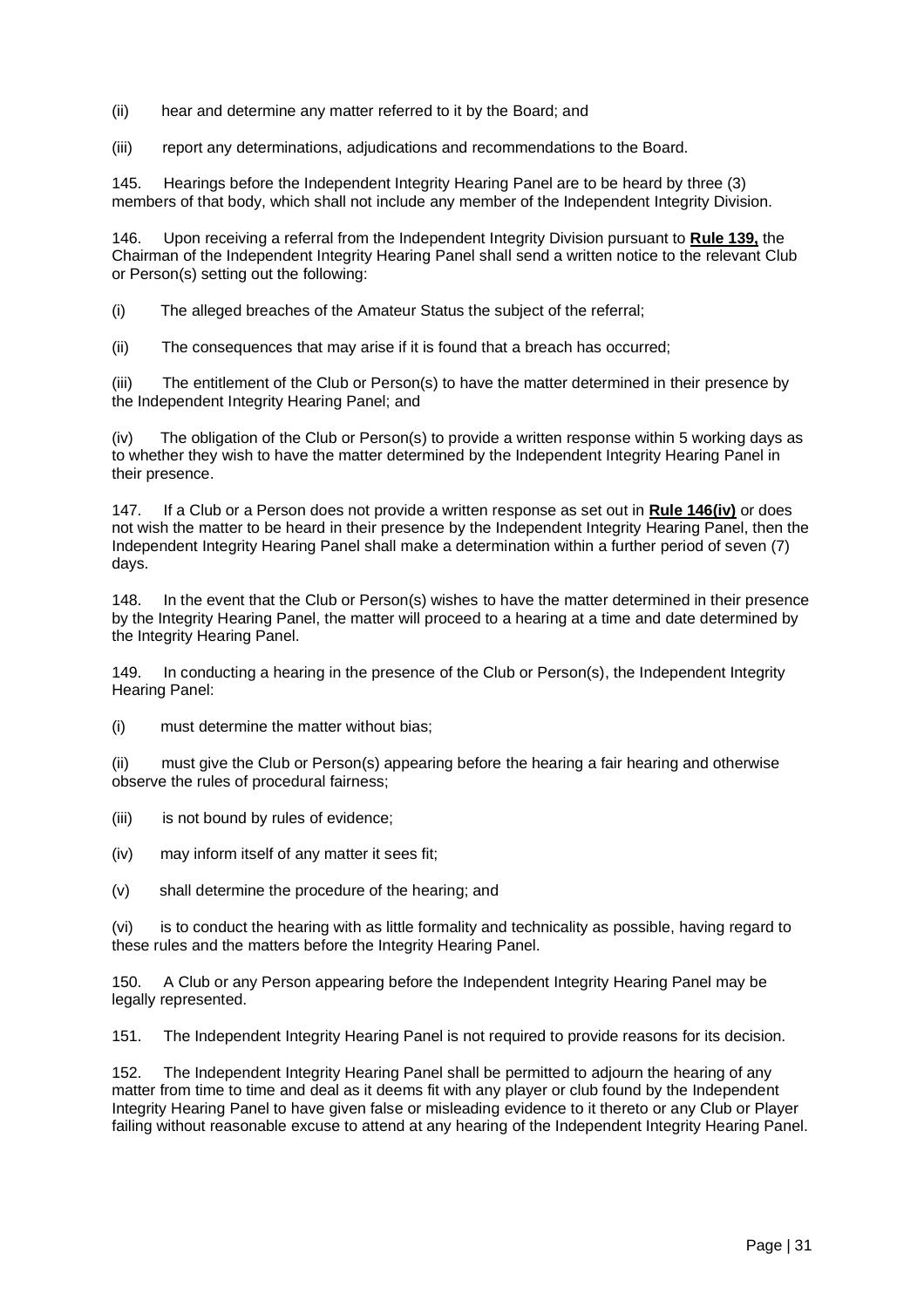- (ii) hear and determine any matter referred to it by the Board; and
- (iii) report any determinations, adjudications and recommendations to the Board.

145. Hearings before the Independent Integrity Hearing Panel are to be heard by three (3) members of that body, which shall not include any member of the Independent Integrity Division.

146. Upon receiving a referral from the Independent Integrity Division pursuant to **Rule 139,** the Chairman of the Independent Integrity Hearing Panel shall send a written notice to the relevant Club or Person(s) setting out the following:

(i) The alleged breaches of the Amateur Status the subject of the referral;

(ii) The consequences that may arise if it is found that a breach has occurred;

(iii) The entitlement of the Club or Person(s) to have the matter determined in their presence by the Independent Integrity Hearing Panel; and

(iv) The obligation of the Club or Person(s) to provide a written response within 5 working days as to whether they wish to have the matter determined by the Independent Integrity Hearing Panel in their presence.

147. If a Club or a Person does not provide a written response as set out in **Rule 146(iv)** or does not wish the matter to be heard in their presence by the Independent Integrity Hearing Panel, then the Independent Integrity Hearing Panel shall make a determination within a further period of seven (7) days.

148. In the event that the Club or Person(s) wishes to have the matter determined in their presence by the Integrity Hearing Panel, the matter will proceed to a hearing at a time and date determined by the Integrity Hearing Panel.

149. In conducting a hearing in the presence of the Club or Person(s), the Independent Integrity Hearing Panel:

(i) must determine the matter without bias;

(ii) must give the Club or Person(s) appearing before the hearing a fair hearing and otherwise observe the rules of procedural fairness;

(iii) is not bound by rules of evidence;

(iv) may inform itself of any matter it sees fit;

(v) shall determine the procedure of the hearing; and

(vi) is to conduct the hearing with as little formality and technicality as possible, having regard to these rules and the matters before the Integrity Hearing Panel.

150. A Club or any Person appearing before the Independent Integrity Hearing Panel may be legally represented.

151. The Independent Integrity Hearing Panel is not required to provide reasons for its decision.

152. The Independent Integrity Hearing Panel shall be permitted to adjourn the hearing of any matter from time to time and deal as it deems fit with any player or club found by the Independent Integrity Hearing Panel to have given false or misleading evidence to it thereto or any Club or Player failing without reasonable excuse to attend at any hearing of the Independent Integrity Hearing Panel.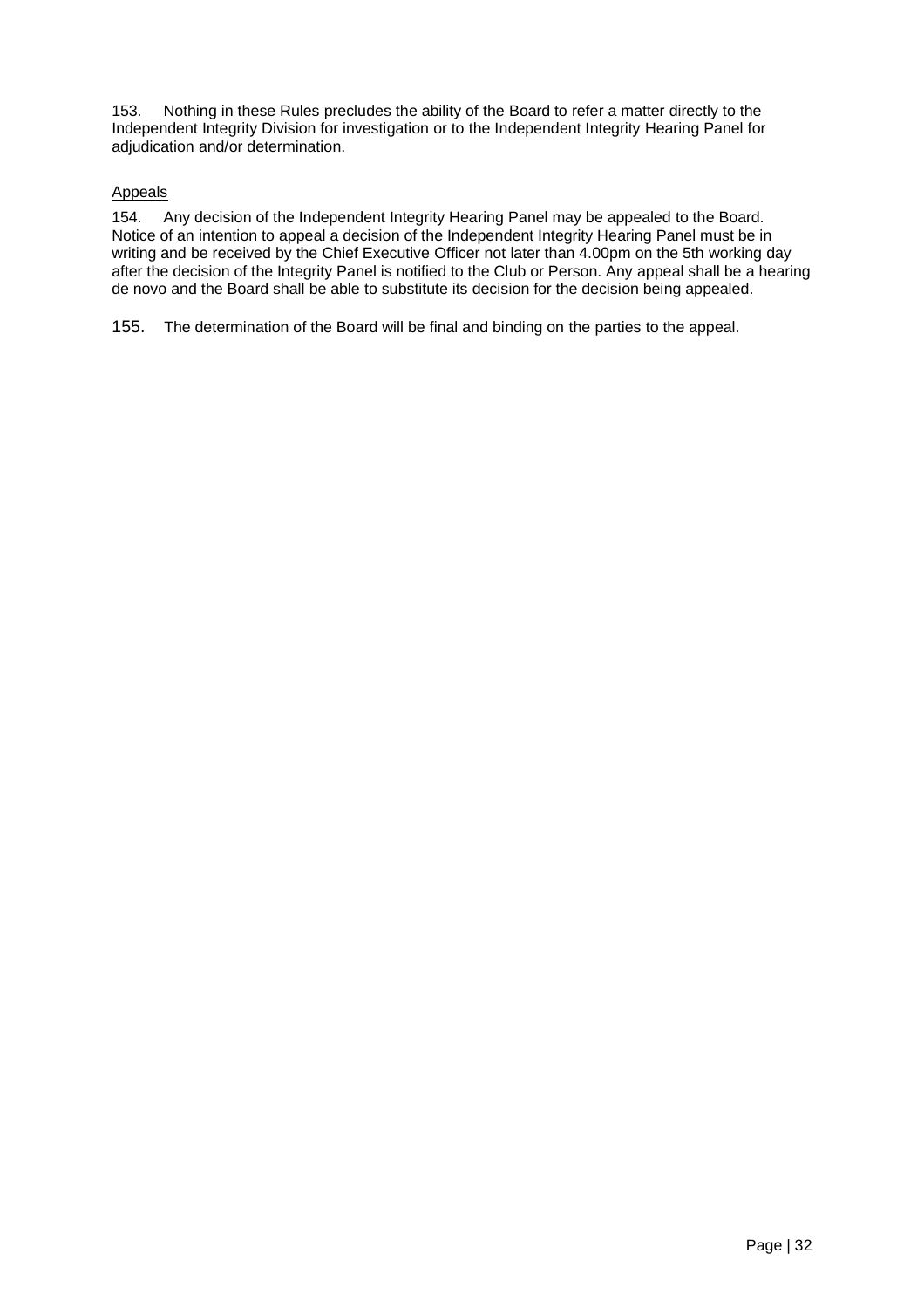153. Nothing in these Rules precludes the ability of the Board to refer a matter directly to the Independent Integrity Division for investigation or to the Independent Integrity Hearing Panel for adjudication and/or determination.

### Appeals

154. Any decision of the Independent Integrity Hearing Panel may be appealed to the Board. Notice of an intention to appeal a decision of the Independent Integrity Hearing Panel must be in writing and be received by the Chief Executive Officer not later than 4.00pm on the 5th working day after the decision of the Integrity Panel is notified to the Club or Person. Any appeal shall be a hearing de novo and the Board shall be able to substitute its decision for the decision being appealed.

155. The determination of the Board will be final and binding on the parties to the appeal.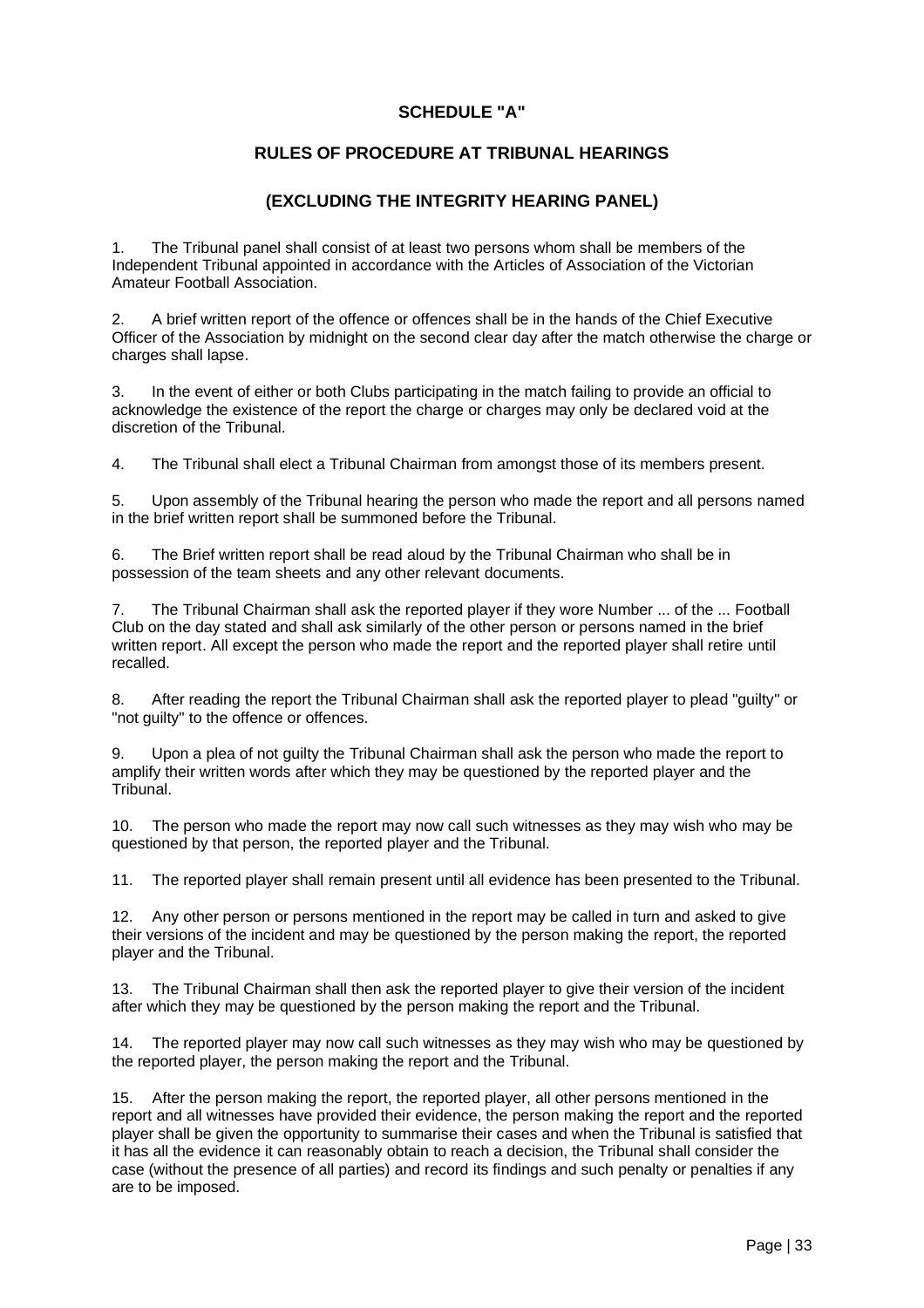### **SCHEDULE "A"**

#### **RULES OF PROCEDURE AT TRIBUNAL HEARINGS**

#### **(EXCLUDING THE INTEGRITY HEARING PANEL)**

1. The Tribunal panel shall consist of at least two persons whom shall be members of the Independent Tribunal appointed in accordance with the Articles of Association of the Victorian Amateur Football Association.

2. A brief written report of the offence or offences shall be in the hands of the Chief Executive Officer of the Association by midnight on the second clear day after the match otherwise the charge or charges shall lapse.

3. In the event of either or both Clubs participating in the match failing to provide an official to acknowledge the existence of the report the charge or charges may only be declared void at the discretion of the Tribunal.

4. The Tribunal shall elect a Tribunal Chairman from amongst those of its members present.

5. Upon assembly of the Tribunal hearing the person who made the report and all persons named in the brief written report shall be summoned before the Tribunal.

6. The Brief written report shall be read aloud by the Tribunal Chairman who shall be in possession of the team sheets and any other relevant documents.

7. The Tribunal Chairman shall ask the reported player if they wore Number ... of the ... Football Club on the day stated and shall ask similarly of the other person or persons named in the brief written report. All except the person who made the report and the reported player shall retire until recalled.

8. After reading the report the Tribunal Chairman shall ask the reported player to plead "guilty" or "not guilty" to the offence or offences.

9. Upon a plea of not guilty the Tribunal Chairman shall ask the person who made the report to amplify their written words after which they may be questioned by the reported player and the Tribunal.

10. The person who made the report may now call such witnesses as they may wish who may be questioned by that person, the reported player and the Tribunal.

11. The reported player shall remain present until all evidence has been presented to the Tribunal.

12. Any other person or persons mentioned in the report may be called in turn and asked to give their versions of the incident and may be questioned by the person making the report, the reported player and the Tribunal.

13. The Tribunal Chairman shall then ask the reported player to give their version of the incident after which they may be questioned by the person making the report and the Tribunal.

14. The reported player may now call such witnesses as they may wish who may be questioned by the reported player, the person making the report and the Tribunal.

15. After the person making the report, the reported player, all other persons mentioned in the report and all witnesses have provided their evidence, the person making the report and the reported player shall be given the opportunity to summarise their cases and when the Tribunal is satisfied that it has all the evidence it can reasonably obtain to reach a decision, the Tribunal shall consider the case (without the presence of all parties) and record its findings and such penalty or penalties if any are to be imposed.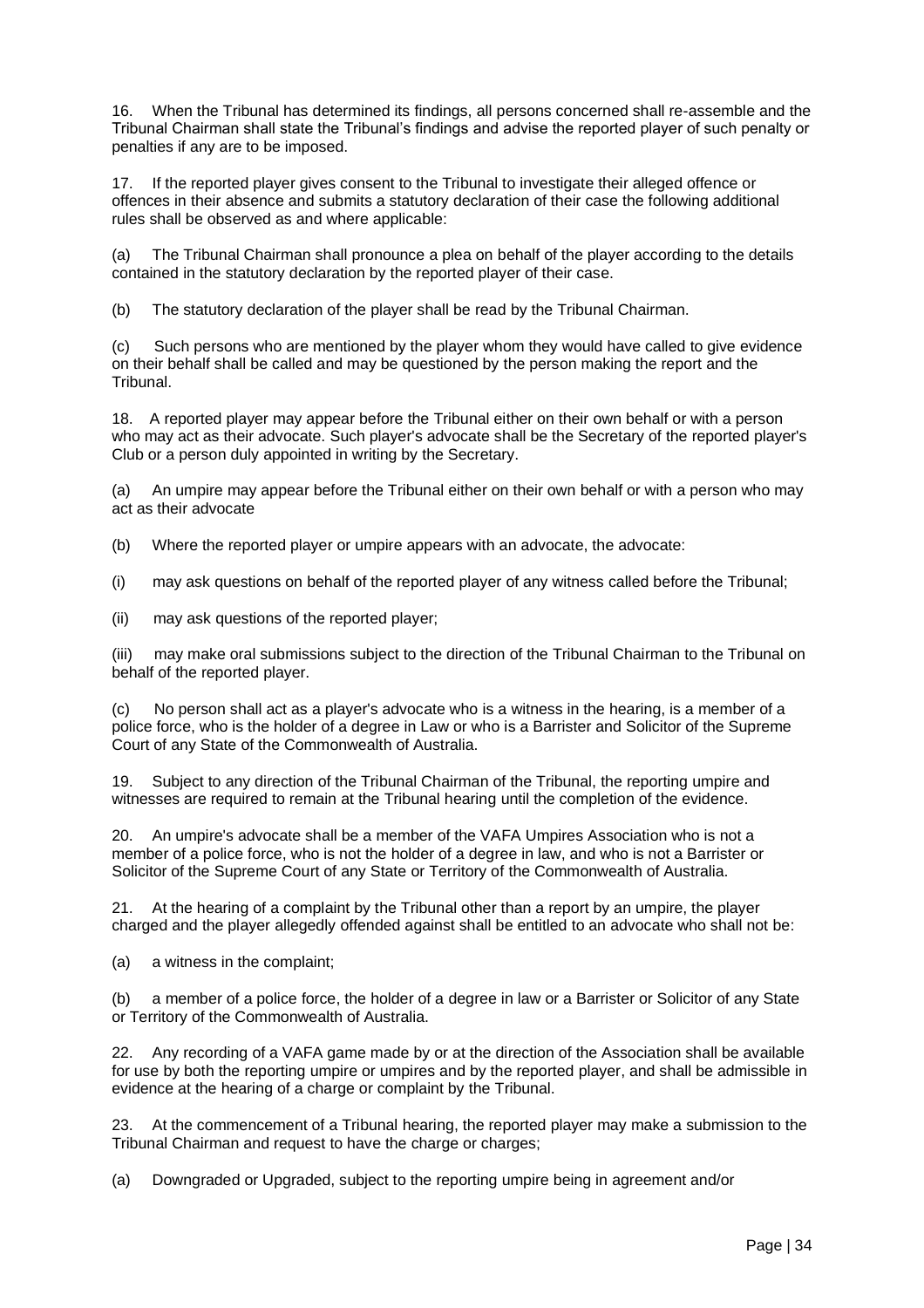16. When the Tribunal has determined its findings, all persons concerned shall re-assemble and the Tribunal Chairman shall state the Tribunal's findings and advise the reported player of such penalty or penalties if any are to be imposed.

17. If the reported player gives consent to the Tribunal to investigate their alleged offence or offences in their absence and submits a statutory declaration of their case the following additional rules shall be observed as and where applicable:

(a) The Tribunal Chairman shall pronounce a plea on behalf of the player according to the details contained in the statutory declaration by the reported player of their case.

(b) The statutory declaration of the player shall be read by the Tribunal Chairman.

(c) Such persons who are mentioned by the player whom they would have called to give evidence on their behalf shall be called and may be questioned by the person making the report and the Tribunal.

18. A reported player may appear before the Tribunal either on their own behalf or with a person who may act as their advocate. Such player's advocate shall be the Secretary of the reported player's Club or a person duly appointed in writing by the Secretary.

(a) An umpire may appear before the Tribunal either on their own behalf or with a person who may act as their advocate

(b) Where the reported player or umpire appears with an advocate, the advocate:

(i) may ask questions on behalf of the reported player of any witness called before the Tribunal;

(ii) may ask questions of the reported player;

(iii) may make oral submissions subject to the direction of the Tribunal Chairman to the Tribunal on behalf of the reported player.

(c) No person shall act as a player's advocate who is a witness in the hearing, is a member of a police force, who is the holder of a degree in Law or who is a Barrister and Solicitor of the Supreme Court of any State of the Commonwealth of Australia.

19. Subject to any direction of the Tribunal Chairman of the Tribunal, the reporting umpire and witnesses are required to remain at the Tribunal hearing until the completion of the evidence.

20. An umpire's advocate shall be a member of the VAFA Umpires Association who is not a member of a police force, who is not the holder of a degree in law, and who is not a Barrister or Solicitor of the Supreme Court of any State or Territory of the Commonwealth of Australia.

21. At the hearing of a complaint by the Tribunal other than a report by an umpire, the player charged and the player allegedly offended against shall be entitled to an advocate who shall not be:

(a) a witness in the complaint;

(b) a member of a police force, the holder of a degree in law or a Barrister or Solicitor of any State or Territory of the Commonwealth of Australia.

22. Any recording of a VAFA game made by or at the direction of the Association shall be available for use by both the reporting umpire or umpires and by the reported player, and shall be admissible in evidence at the hearing of a charge or complaint by the Tribunal.

23. At the commencement of a Tribunal hearing, the reported player may make a submission to the Tribunal Chairman and request to have the charge or charges;

(a) Downgraded or Upgraded, subject to the reporting umpire being in agreement and/or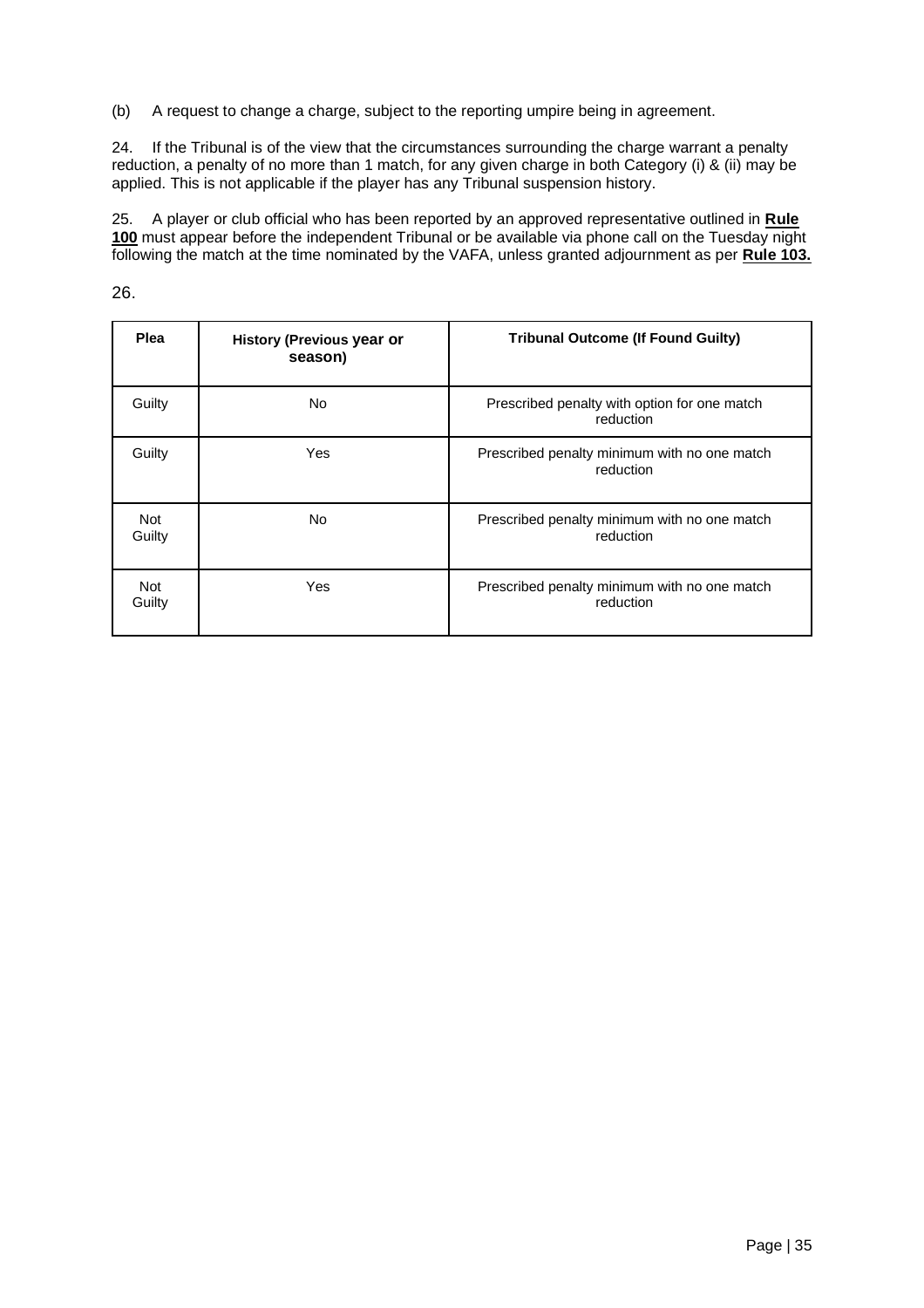(b) A request to change a charge, subject to the reporting umpire being in agreement.

24. If the Tribunal is of the view that the circumstances surrounding the charge warrant a penalty reduction, a penalty of no more than 1 match, for any given charge in both Category (i) & (ii) may be applied. This is not applicable if the player has any Tribunal suspension history.

25. A player or club official who has been reported by an approved representative outlined in **Rule 100** must appear before the independent Tribunal or be available via phone call on the Tuesday night following the match at the time nominated by the VAFA, unless granted adjournment as per **Rule 103.**

26.

| Plea                 | <b>History (Previous year or</b><br>season) | <b>Tribunal Outcome (If Found Guilty)</b>                 |
|----------------------|---------------------------------------------|-----------------------------------------------------------|
| Guilty               | <b>No</b>                                   | Prescribed penalty with option for one match<br>reduction |
| Guilty               | Yes                                         | Prescribed penalty minimum with no one match<br>reduction |
| <b>Not</b><br>Guilty | <b>No</b>                                   | Prescribed penalty minimum with no one match<br>reduction |
| Not<br>Guilty        | Yes                                         | Prescribed penalty minimum with no one match<br>reduction |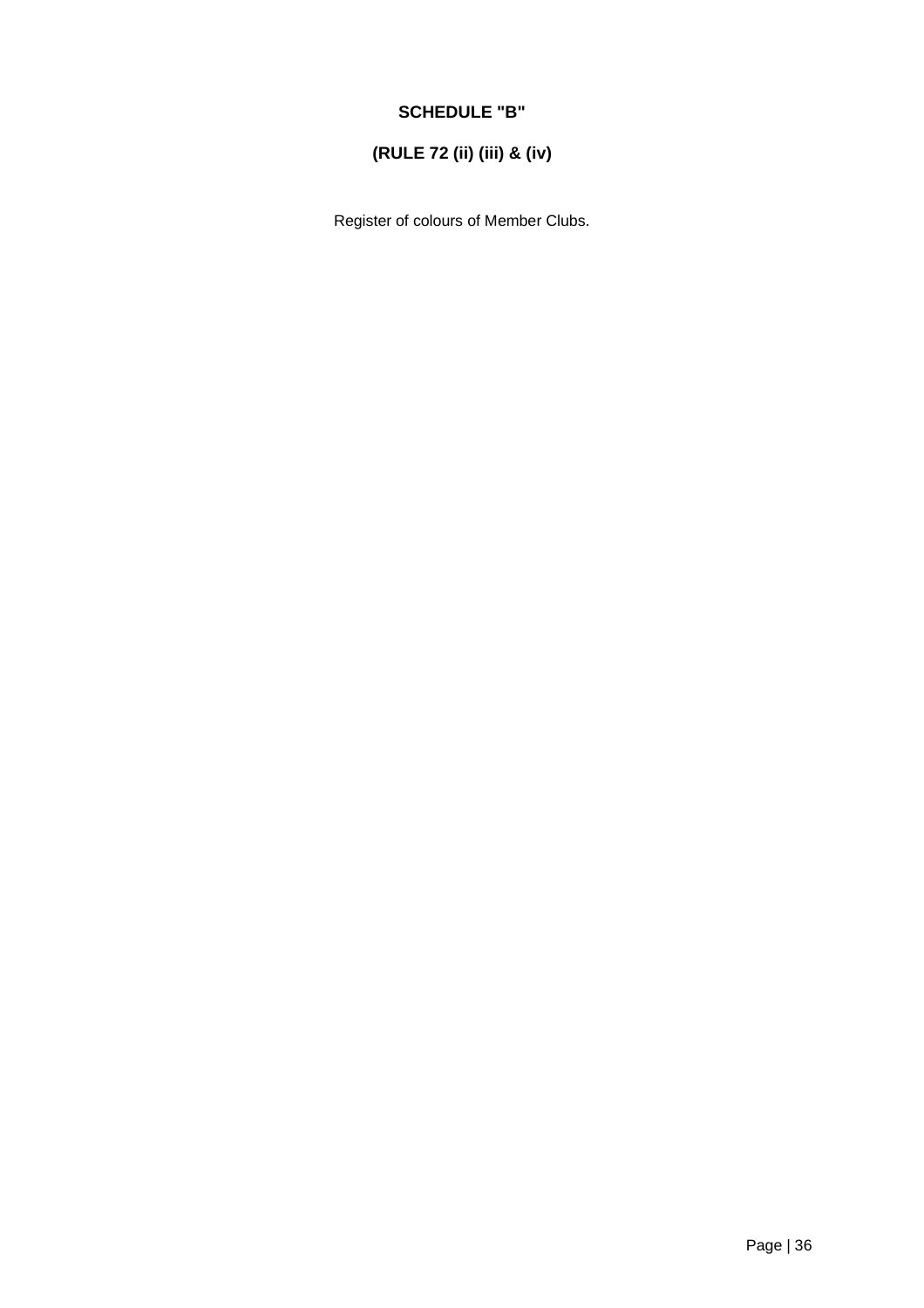## **SCHEDULE "B"**

## **(RULE 72 (ii) (iii) & (iv)**

Register of colours of Member Clubs.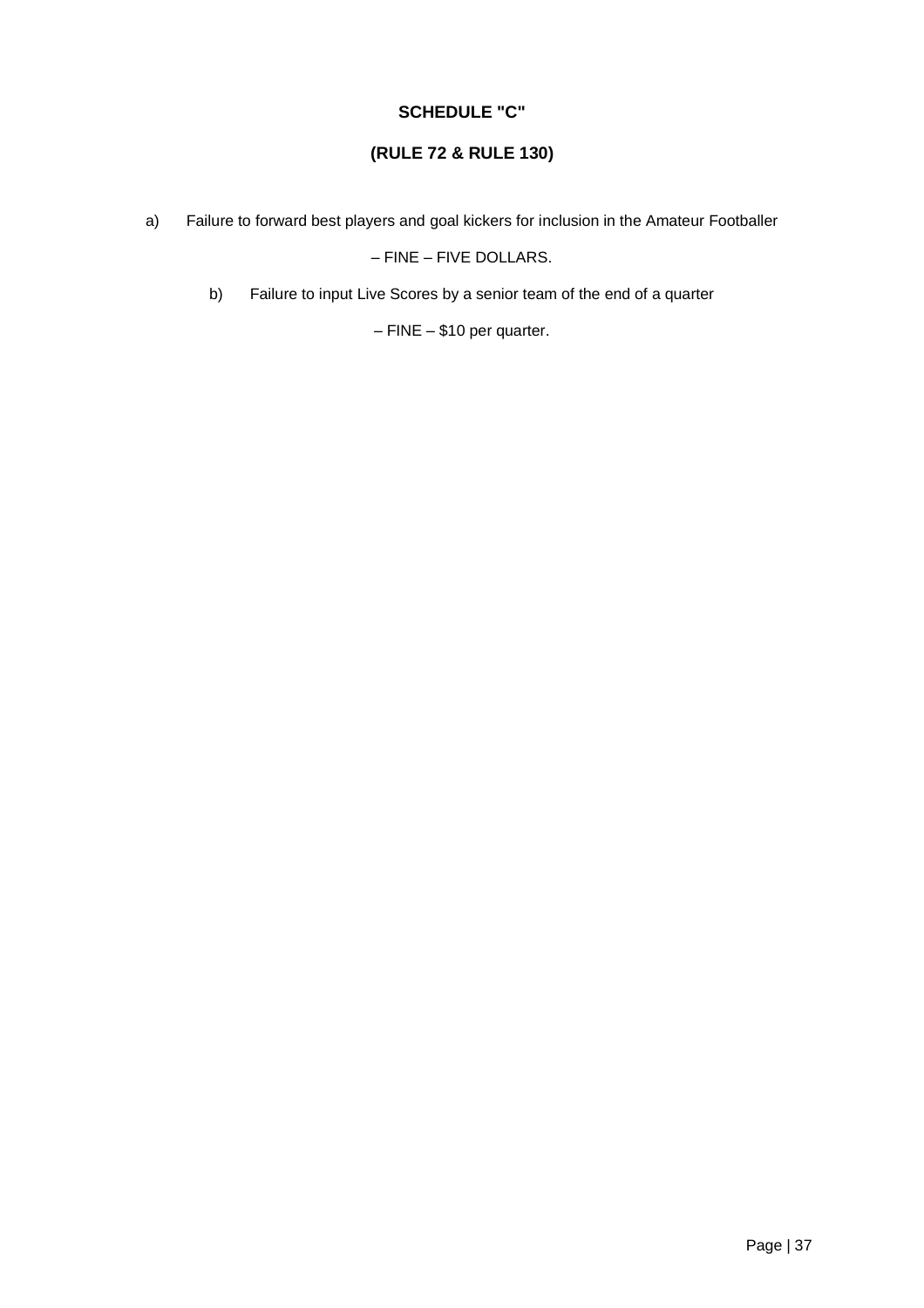### **SCHEDULE "C"**

## **(RULE 72 & RULE 130)**

a) Failure to forward best players and goal kickers for inclusion in the Amateur Footballer

– FINE – FIVE DOLLARS.

b) Failure to input Live Scores by a senior team of the end of a quarter

– FINE – \$10 per quarter.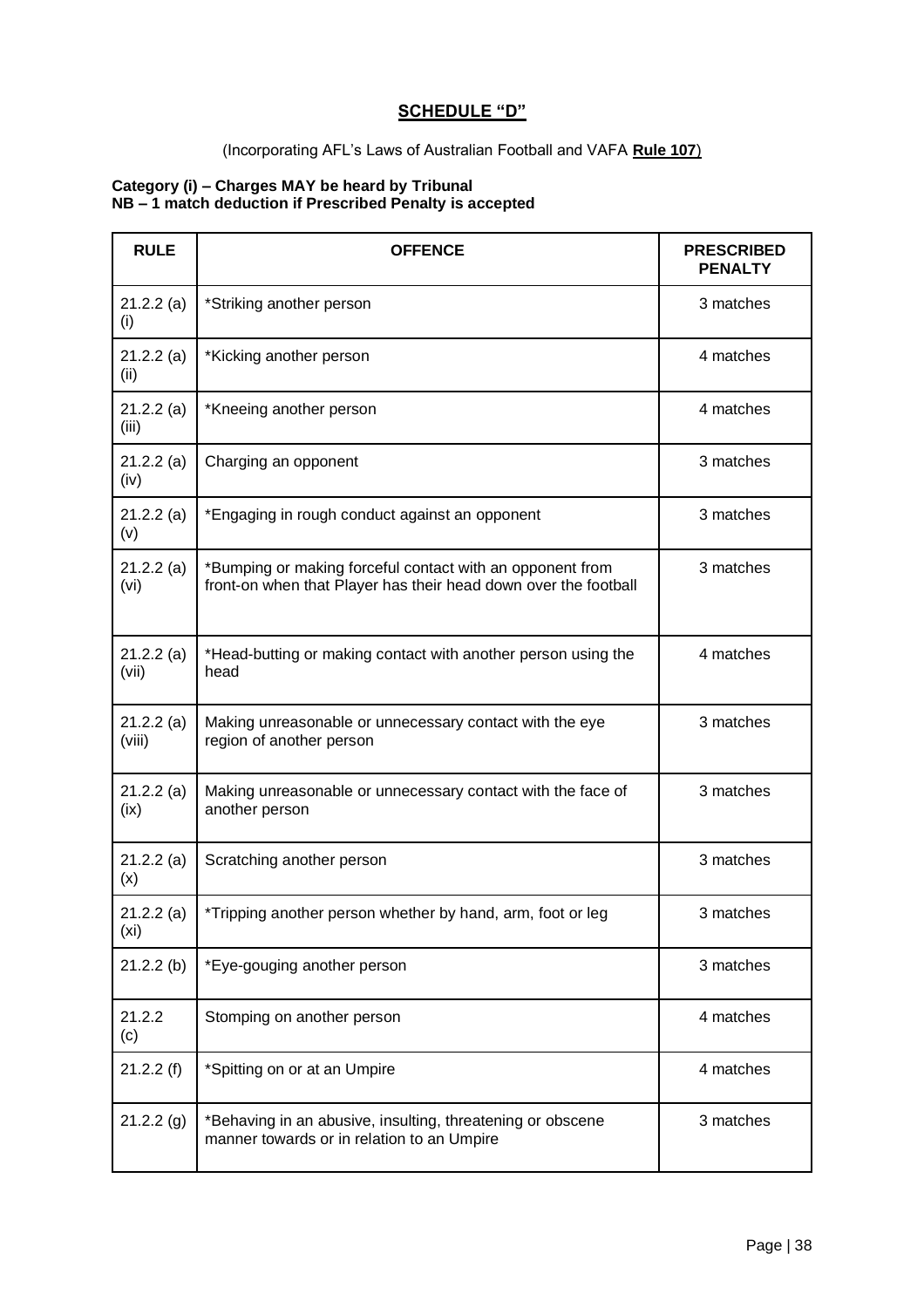## **SCHEDULE "D"**

#### (Incorporating AFL's Laws of Australian Football and VAFA **Rule 107**)

#### **Category (i) – Charges MAY be heard by Tribunal NB – 1 match deduction if Prescribed Penalty is accepted**

| <b>RULE</b>         | <b>OFFENCE</b>                                                                                                               | <b>PRESCRIBED</b><br><b>PENALTY</b> |
|---------------------|------------------------------------------------------------------------------------------------------------------------------|-------------------------------------|
| 21.2.2(a)<br>(i)    | *Striking another person                                                                                                     | 3 matches                           |
| 21.2.2(a)<br>(ii)   | *Kicking another person                                                                                                      | 4 matches                           |
| 21.2.2(a)<br>(iii)  | *Kneeing another person                                                                                                      | 4 matches                           |
| 21.2.2(a)<br>(iv)   | Charging an opponent                                                                                                         | 3 matches                           |
| 21.2.2(a)<br>(v)    | *Engaging in rough conduct against an opponent                                                                               | 3 matches                           |
| 21.2.2(a)<br>(vi)   | *Bumping or making forceful contact with an opponent from<br>front-on when that Player has their head down over the football | 3 matches                           |
| 21.2.2(a)<br>(vii)  | *Head-butting or making contact with another person using the<br>head                                                        | 4 matches                           |
| 21.2.2(a)<br>(viii) | Making unreasonable or unnecessary contact with the eye<br>region of another person                                          | 3 matches                           |
| 21.2.2(a)<br>(ix)   | Making unreasonable or unnecessary contact with the face of<br>another person                                                | 3 matches                           |
| 21.2.2(a)<br>(x)    | Scratching another person                                                                                                    | 3 matches                           |
| 21.2.2(a)<br>(xi)   | *Tripping another person whether by hand, arm, foot or leg                                                                   | 3 matches                           |
| 21.2.2(b)           | *Eye-gouging another person                                                                                                  | 3 matches                           |
| 21.2.2<br>(c)       | Stomping on another person                                                                                                   | 4 matches                           |
| 21.2.2(f)           | *Spitting on or at an Umpire                                                                                                 | 4 matches                           |
| 21.2.2(g)           | *Behaving in an abusive, insulting, threatening or obscene<br>manner towards or in relation to an Umpire                     | 3 matches                           |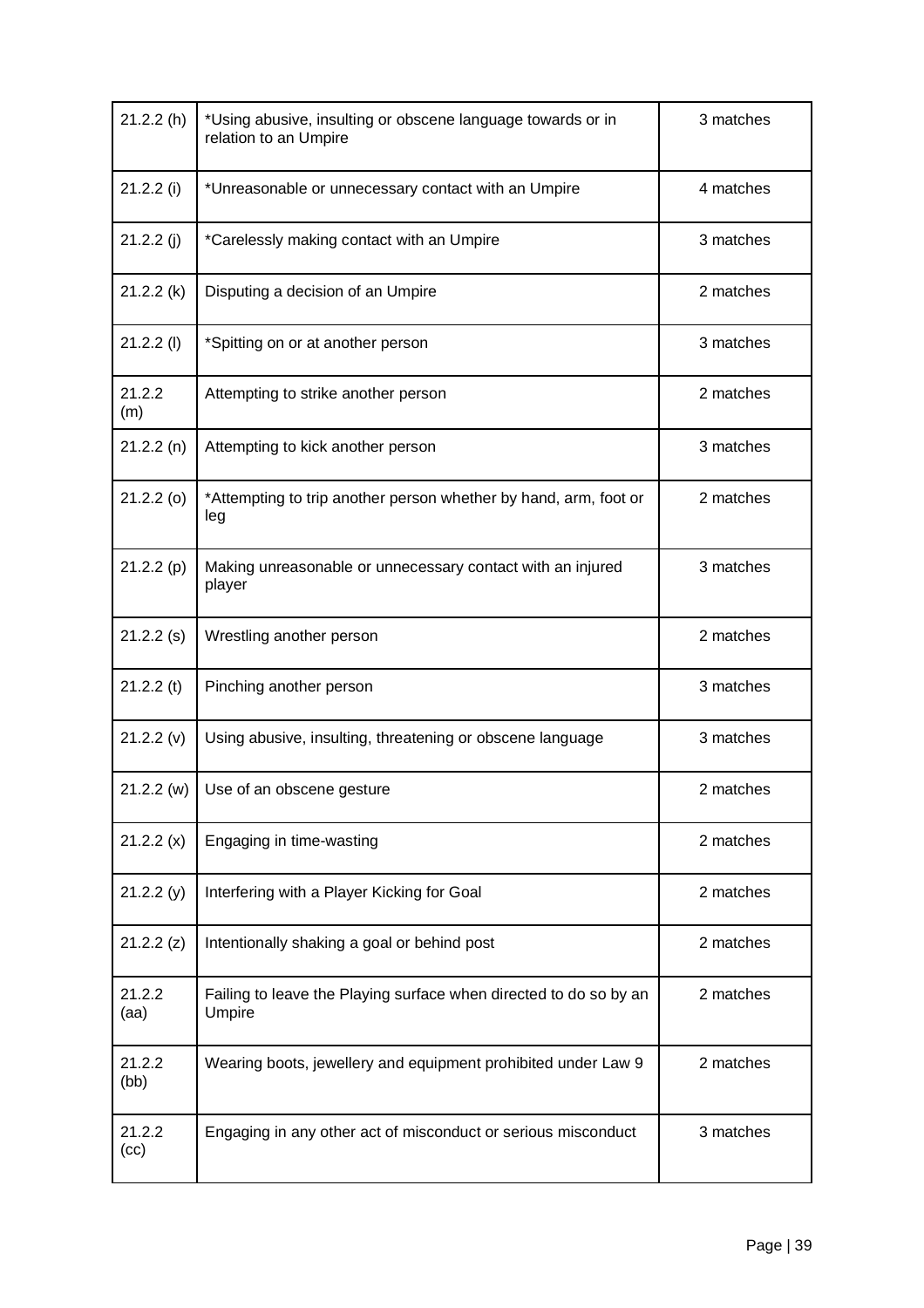| 21.2.2(h)      | *Using abusive, insulting or obscene language towards or in<br>relation to an Umpire | 3 matches |
|----------------|--------------------------------------------------------------------------------------|-----------|
| 21.2.2(i)      | *Unreasonable or unnecessary contact with an Umpire                                  | 4 matches |
| 21.2.2(j)      | *Carelessly making contact with an Umpire                                            | 3 matches |
| 21.2.2(k)      | Disputing a decision of an Umpire                                                    | 2 matches |
| $21.2.2$ (l)   | *Spitting on or at another person                                                    | 3 matches |
| 21.2.2<br>(m)  | Attempting to strike another person                                                  | 2 matches |
| 21.2.2(n)      | Attempting to kick another person                                                    | 3 matches |
| $21.2.2$ (o)   | *Attempting to trip another person whether by hand, arm, foot or<br>leg              | 2 matches |
| 21.2.2(p)      | Making unreasonable or unnecessary contact with an injured<br>player                 | 3 matches |
| $21.2.2$ (s)   | Wrestling another person                                                             | 2 matches |
| $21.2.2$ (t)   | Pinching another person                                                              | 3 matches |
| 21.2.2(v)      | Using abusive, insulting, threatening or obscene language                            | 3 matches |
| 21.2.2(w)      | Use of an obscene gesture                                                            | 2 matches |
| 21.2.2(x)      | Engaging in time-wasting                                                             | 2 matches |
| 21.2.2(y)      | Interfering with a Player Kicking for Goal                                           | 2 matches |
| 21.2.2(z)      | Intentionally shaking a goal or behind post                                          | 2 matches |
| 21.2.2<br>(aa) | Failing to leave the Playing surface when directed to do so by an<br>Umpire          | 2 matches |
| 21.2.2<br>(bb) | Wearing boots, jewellery and equipment prohibited under Law 9                        | 2 matches |
| 21.2.2<br>(cc) | Engaging in any other act of misconduct or serious misconduct                        | 3 matches |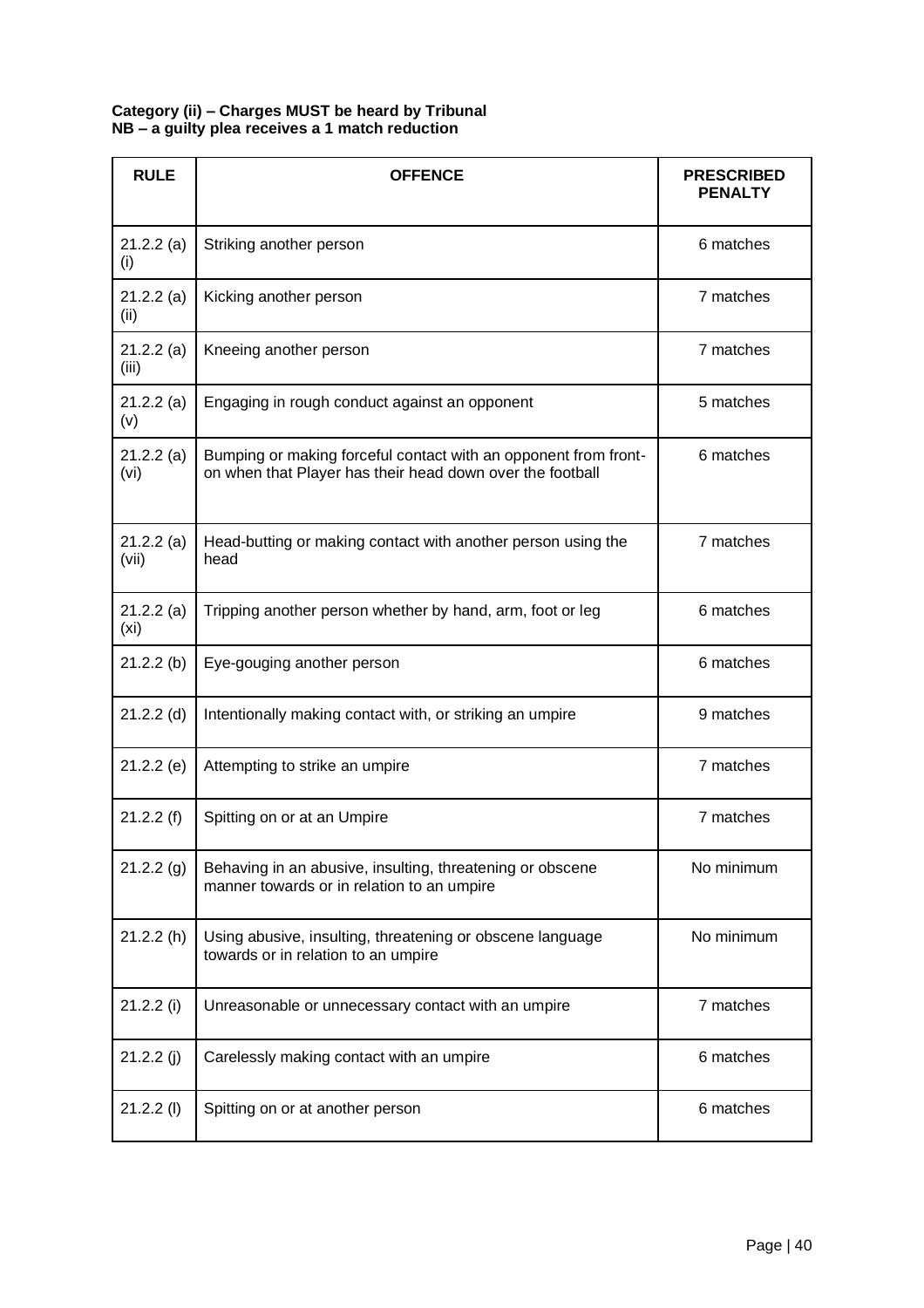#### **Category (ii) – Charges MUST be heard by Tribunal NB – a guilty plea receives a 1 match reduction**

| <b>RULE</b>                    | <b>OFFENCE</b>                                                                                                               | <b>PRESCRIBED</b><br><b>PENALTY</b> |
|--------------------------------|------------------------------------------------------------------------------------------------------------------------------|-------------------------------------|
| 21.2.2(a)<br>(i)               | Striking another person                                                                                                      | 6 matches                           |
| 21.2.2(a)<br>(ii)              | Kicking another person                                                                                                       | 7 matches                           |
| 21.2.2(a)<br>(iii)             | Kneeing another person                                                                                                       | 7 matches                           |
| 21.2.2(a)<br>(v)               | Engaging in rough conduct against an opponent                                                                                | 5 matches                           |
| 21.2.2(a)<br>(vi)              | Bumping or making forceful contact with an opponent from front-<br>on when that Player has their head down over the football | 6 matches                           |
| 21.2.2(a)<br>(vii)             | Head-butting or making contact with another person using the<br>head                                                         | 7 matches                           |
| 21.2.2(a)<br>(x <sub>i</sub> ) | Tripping another person whether by hand, arm, foot or leg                                                                    | 6 matches                           |
| $21.2.2$ (b)                   | Eye-gouging another person                                                                                                   | 6 matches                           |
| $21.2.2$ (d)                   | Intentionally making contact with, or striking an umpire                                                                     | 9 matches                           |
| $21.2.2$ (e)                   | Attempting to strike an umpire                                                                                               | 7 matches                           |
| 21.2.2(f)                      | Spitting on or at an Umpire                                                                                                  | 7 matches                           |
| 21.2.2(g)                      | Behaving in an abusive, insulting, threatening or obscene<br>manner towards or in relation to an umpire                      | No minimum                          |
| 21.2.2(h)                      | Using abusive, insulting, threatening or obscene language<br>towards or in relation to an umpire                             | No minimum                          |
| 21.2.2(i)                      | Unreasonable or unnecessary contact with an umpire                                                                           | 7 matches                           |
| 21.2.2(j)                      | Carelessly making contact with an umpire                                                                                     | 6 matches                           |
| $21.2.2$ (l)                   | Spitting on or at another person                                                                                             | 6 matches                           |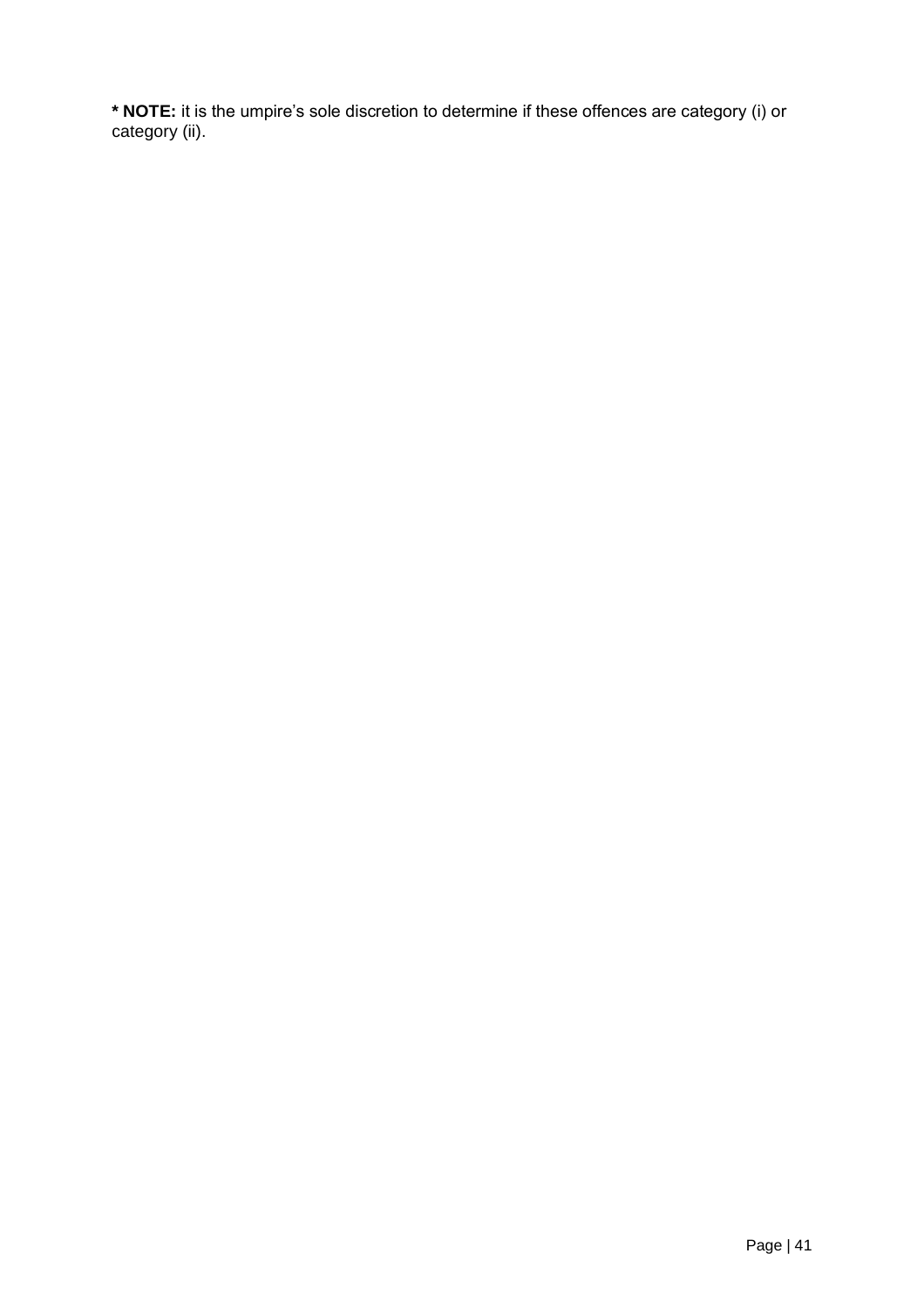**\* NOTE:** it is the umpire's sole discretion to determine if these offences are category (i) or category (ii).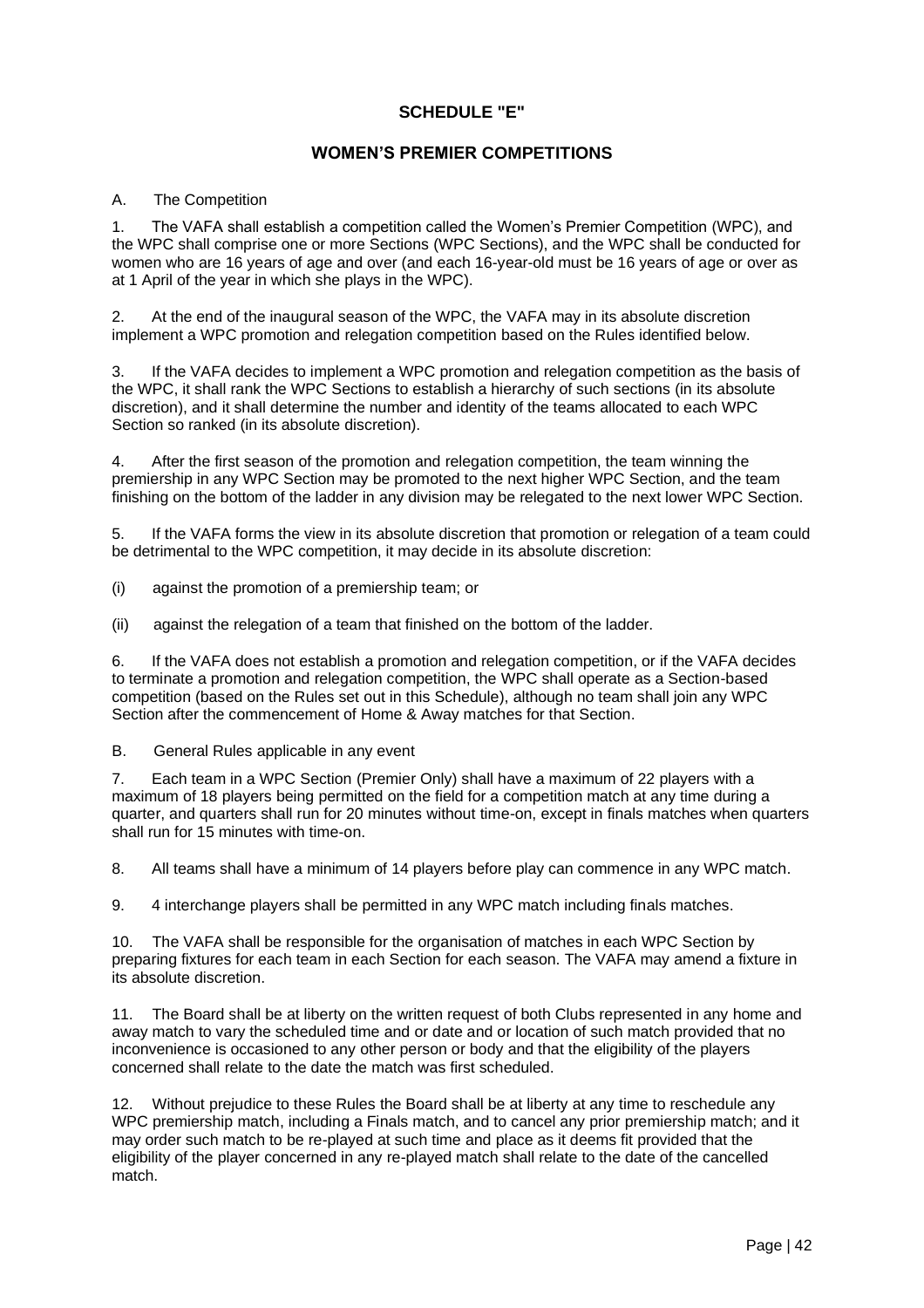### **SCHEDULE "E"**

### **WOMEN'S PREMIER COMPETITIONS**

#### A. The Competition

1. The VAFA shall establish a competition called the Women's Premier Competition (WPC), and the WPC shall comprise one or more Sections (WPC Sections), and the WPC shall be conducted for women who are 16 years of age and over (and each 16-year-old must be 16 years of age or over as at 1 April of the year in which she plays in the WPC).

2. At the end of the inaugural season of the WPC, the VAFA may in its absolute discretion implement a WPC promotion and relegation competition based on the Rules identified below.

3. If the VAFA decides to implement a WPC promotion and relegation competition as the basis of the WPC, it shall rank the WPC Sections to establish a hierarchy of such sections (in its absolute discretion), and it shall determine the number and identity of the teams allocated to each WPC Section so ranked (in its absolute discretion).

4. After the first season of the promotion and relegation competition, the team winning the premiership in any WPC Section may be promoted to the next higher WPC Section, and the team finishing on the bottom of the ladder in any division may be relegated to the next lower WPC Section.

5. If the VAFA forms the view in its absolute discretion that promotion or relegation of a team could be detrimental to the WPC competition, it may decide in its absolute discretion:

- (i) against the promotion of a premiership team; or
- (ii) against the relegation of a team that finished on the bottom of the ladder.

6. If the VAFA does not establish a promotion and relegation competition, or if the VAFA decides to terminate a promotion and relegation competition, the WPC shall operate as a Section-based competition (based on the Rules set out in this Schedule), although no team shall join any WPC Section after the commencement of Home & Away matches for that Section.

B. General Rules applicable in any event

7. Each team in a WPC Section (Premier Only) shall have a maximum of 22 players with a maximum of 18 players being permitted on the field for a competition match at any time during a quarter, and quarters shall run for 20 minutes without time-on, except in finals matches when quarters shall run for 15 minutes with time-on.

8. All teams shall have a minimum of 14 players before play can commence in any WPC match.

9. 4 interchange players shall be permitted in any WPC match including finals matches.

10. The VAFA shall be responsible for the organisation of matches in each WPC Section by preparing fixtures for each team in each Section for each season. The VAFA may amend a fixture in its absolute discretion.

11. The Board shall be at liberty on the written request of both Clubs represented in any home and away match to vary the scheduled time and or date and or location of such match provided that no inconvenience is occasioned to any other person or body and that the eligibility of the players concerned shall relate to the date the match was first scheduled.

12. Without prejudice to these Rules the Board shall be at liberty at any time to reschedule any WPC premiership match, including a Finals match, and to cancel any prior premiership match; and it may order such match to be re-played at such time and place as it deems fit provided that the eligibility of the player concerned in any re-played match shall relate to the date of the cancelled match.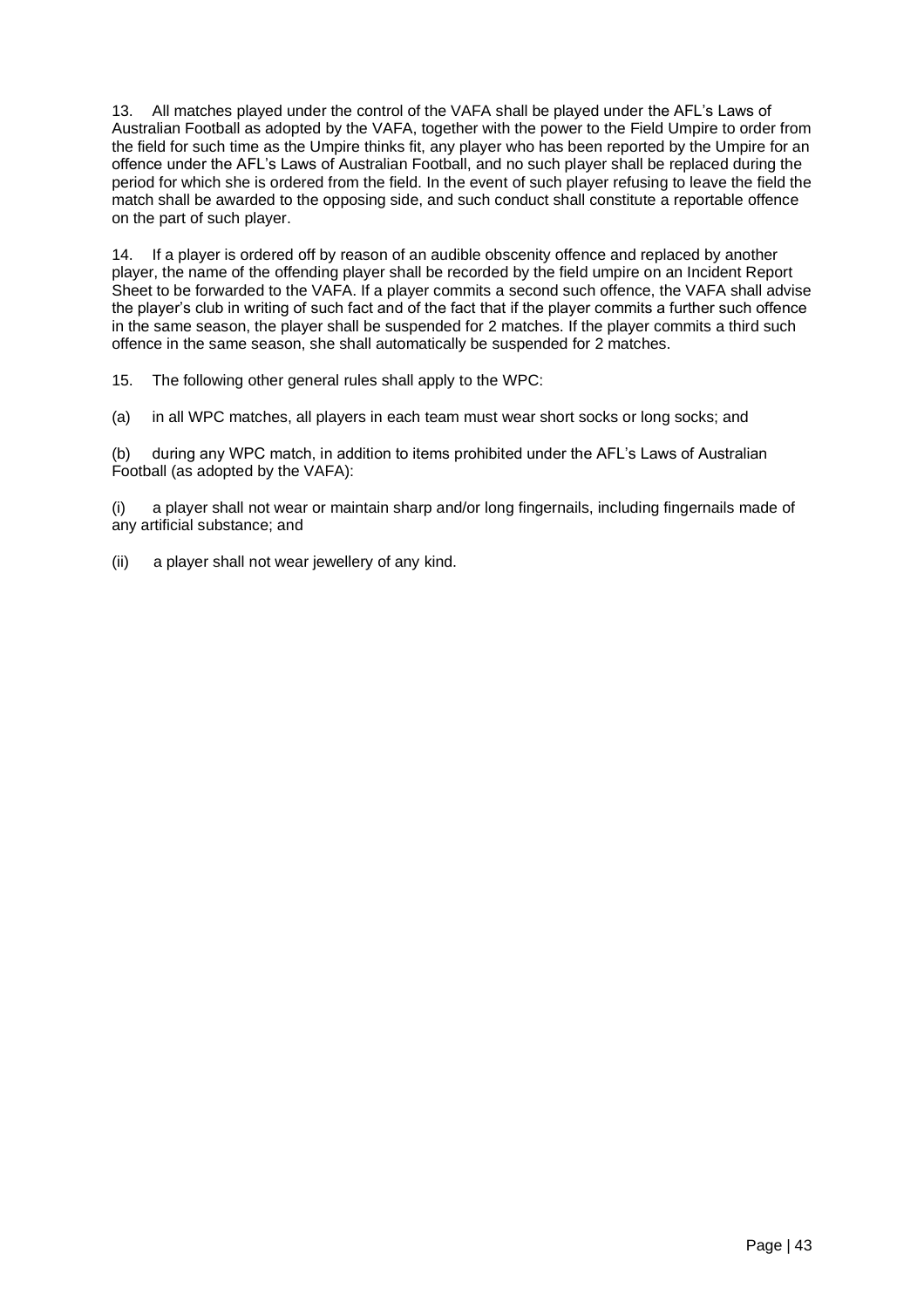13. All matches played under the control of the VAFA shall be played under the AFL's Laws of Australian Football as adopted by the VAFA, together with the power to the Field Umpire to order from the field for such time as the Umpire thinks fit, any player who has been reported by the Umpire for an offence under the AFL's Laws of Australian Football, and no such player shall be replaced during the period for which she is ordered from the field. In the event of such player refusing to leave the field the match shall be awarded to the opposing side, and such conduct shall constitute a reportable offence on the part of such player.

14. If a player is ordered off by reason of an audible obscenity offence and replaced by another player, the name of the offending player shall be recorded by the field umpire on an Incident Report Sheet to be forwarded to the VAFA. If a player commits a second such offence, the VAFA shall advise the player's club in writing of such fact and of the fact that if the player commits a further such offence in the same season, the player shall be suspended for 2 matches. If the player commits a third such offence in the same season, she shall automatically be suspended for 2 matches.

15. The following other general rules shall apply to the WPC:

(a) in all WPC matches, all players in each team must wear short socks or long socks; and

(b) during any WPC match, in addition to items prohibited under the AFL's Laws of Australian Football (as adopted by the VAFA):

(i) a player shall not wear or maintain sharp and/or long fingernails, including fingernails made of any artificial substance; and

(ii) a player shall not wear jewellery of any kind.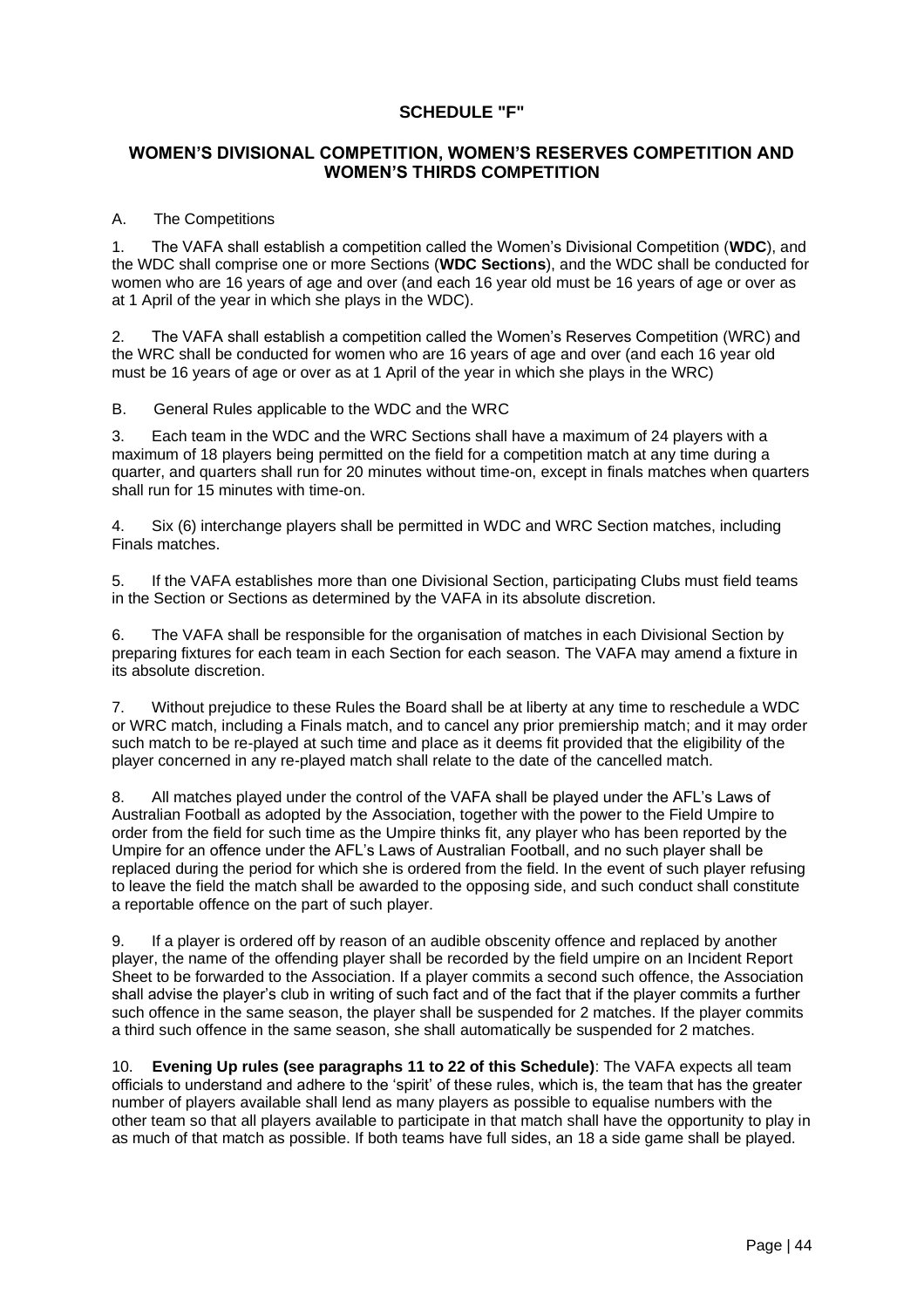#### **SCHEDULE "F"**

#### **WOMEN'S DIVISIONAL COMPETITION, WOMEN'S RESERVES COMPETITION AND WOMEN'S THIRDS COMPETITION**

#### A. The Competitions

1. The VAFA shall establish a competition called the Women's Divisional Competition (**WDC**), and the WDC shall comprise one or more Sections (**WDC Sections**), and the WDC shall be conducted for women who are 16 years of age and over (and each 16 year old must be 16 years of age or over as at 1 April of the year in which she plays in the WDC).

2. The VAFA shall establish a competition called the Women's Reserves Competition (WRC) and the WRC shall be conducted for women who are 16 years of age and over (and each 16 year old must be 16 years of age or over as at 1 April of the year in which she plays in the WRC)

B. General Rules applicable to the WDC and the WRC

3. Each team in the WDC and the WRC Sections shall have a maximum of 24 players with a maximum of 18 players being permitted on the field for a competition match at any time during a quarter, and quarters shall run for 20 minutes without time-on, except in finals matches when quarters shall run for 15 minutes with time-on.

4. Six (6) interchange players shall be permitted in WDC and WRC Section matches, including Finals matches.

5. If the VAFA establishes more than one Divisional Section, participating Clubs must field teams in the Section or Sections as determined by the VAFA in its absolute discretion.

6. The VAFA shall be responsible for the organisation of matches in each Divisional Section by preparing fixtures for each team in each Section for each season. The VAFA may amend a fixture in its absolute discretion.

7. Without prejudice to these Rules the Board shall be at liberty at any time to reschedule a WDC or WRC match, including a Finals match, and to cancel any prior premiership match; and it may order such match to be re-played at such time and place as it deems fit provided that the eligibility of the player concerned in any re-played match shall relate to the date of the cancelled match.

8. All matches played under the control of the VAFA shall be played under the AFL's Laws of Australian Football as adopted by the Association, together with the power to the Field Umpire to order from the field for such time as the Umpire thinks fit, any player who has been reported by the Umpire for an offence under the AFL's Laws of Australian Football, and no such player shall be replaced during the period for which she is ordered from the field. In the event of such player refusing to leave the field the match shall be awarded to the opposing side, and such conduct shall constitute a reportable offence on the part of such player.

9. If a player is ordered off by reason of an audible obscenity offence and replaced by another player, the name of the offending player shall be recorded by the field umpire on an Incident Report Sheet to be forwarded to the Association. If a player commits a second such offence, the Association shall advise the player's club in writing of such fact and of the fact that if the player commits a further such offence in the same season, the player shall be suspended for 2 matches. If the player commits a third such offence in the same season, she shall automatically be suspended for 2 matches.

10. **Evening Up rules (see paragraphs 11 to 22 of this Schedule)**: The VAFA expects all team officials to understand and adhere to the 'spirit' of these rules, which is, the team that has the greater number of players available shall lend as many players as possible to equalise numbers with the other team so that all players available to participate in that match shall have the opportunity to play in as much of that match as possible. If both teams have full sides, an 18 a side game shall be played.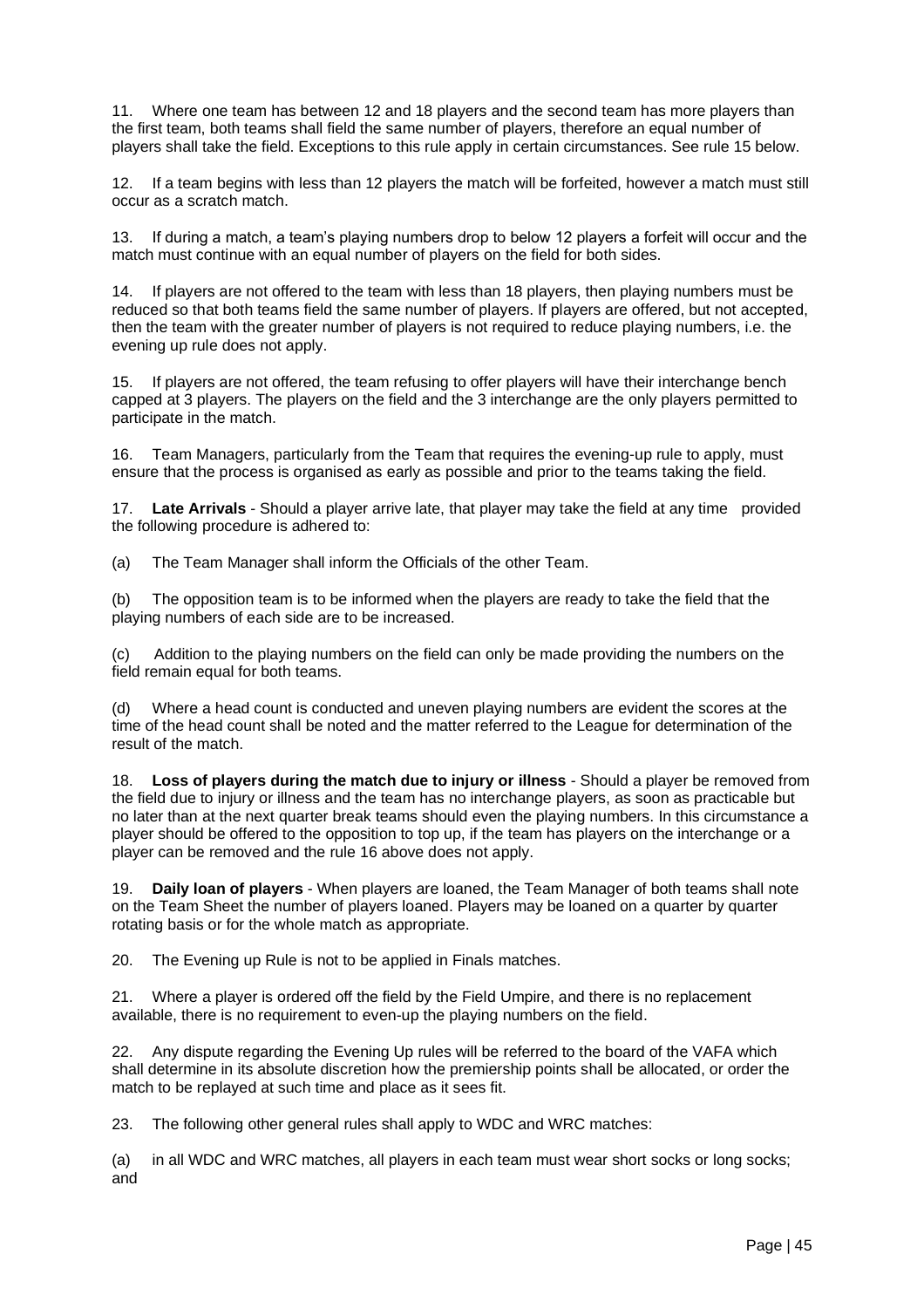11. Where one team has between 12 and 18 players and the second team has more players than the first team, both teams shall field the same number of players, therefore an equal number of players shall take the field. Exceptions to this rule apply in certain circumstances. See rule 15 below.

12. If a team begins with less than 12 players the match will be forfeited, however a match must still occur as a scratch match.

13. If during a match, a team's playing numbers drop to below 12 players a forfeit will occur and the match must continue with an equal number of players on the field for both sides.

14. If players are not offered to the team with less than 18 players, then playing numbers must be reduced so that both teams field the same number of players. If players are offered, but not accepted, then the team with the greater number of players is not required to reduce playing numbers, i.e. the evening up rule does not apply.

15. If players are not offered, the team refusing to offer players will have their interchange bench capped at 3 players. The players on the field and the 3 interchange are the only players permitted to participate in the match.

16. Team Managers, particularly from the Team that requires the evening-up rule to apply, must ensure that the process is organised as early as possible and prior to the teams taking the field.

17. **Late Arrivals** - Should a player arrive late, that player may take the field at any time provided the following procedure is adhered to:

(a) The Team Manager shall inform the Officials of the other Team.

(b) The opposition team is to be informed when the players are ready to take the field that the playing numbers of each side are to be increased.

(c) Addition to the playing numbers on the field can only be made providing the numbers on the field remain equal for both teams.

(d) Where a head count is conducted and uneven playing numbers are evident the scores at the time of the head count shall be noted and the matter referred to the League for determination of the result of the match.

18. **Loss of players during the match due to injury or illness** - Should a player be removed from the field due to injury or illness and the team has no interchange players, as soon as practicable but no later than at the next quarter break teams should even the playing numbers. In this circumstance a player should be offered to the opposition to top up, if the team has players on the interchange or a player can be removed and the rule 16 above does not apply.

19. **Daily loan of players** - When players are loaned, the Team Manager of both teams shall note on the Team Sheet the number of players loaned. Players may be loaned on a quarter by quarter rotating basis or for the whole match as appropriate.

20. The Evening up Rule is not to be applied in Finals matches.

21. Where a player is ordered off the field by the Field Umpire, and there is no replacement available, there is no requirement to even-up the playing numbers on the field.

22. Any dispute regarding the Evening Up rules will be referred to the board of the VAFA which shall determine in its absolute discretion how the premiership points shall be allocated, or order the match to be replayed at such time and place as it sees fit.

23. The following other general rules shall apply to WDC and WRC matches:

(a) in all WDC and WRC matches, all players in each team must wear short socks or long socks; and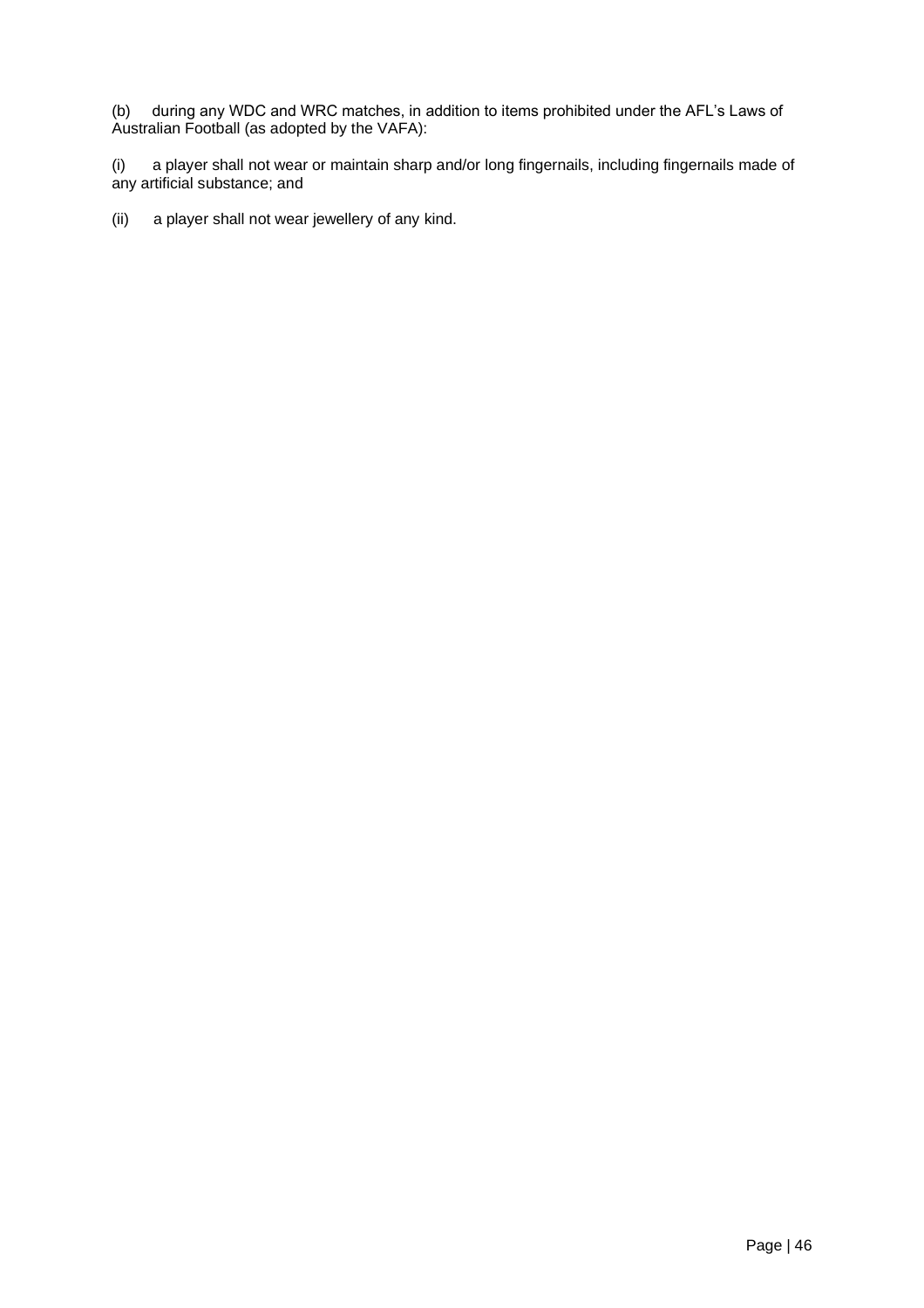(b) during any WDC and WRC matches, in addition to items prohibited under the AFL's Laws of Australian Football (as adopted by the VAFA):

(i) a player shall not wear or maintain sharp and/or long fingernails, including fingernails made of any artificial substance; and

(ii) a player shall not wear jewellery of any kind.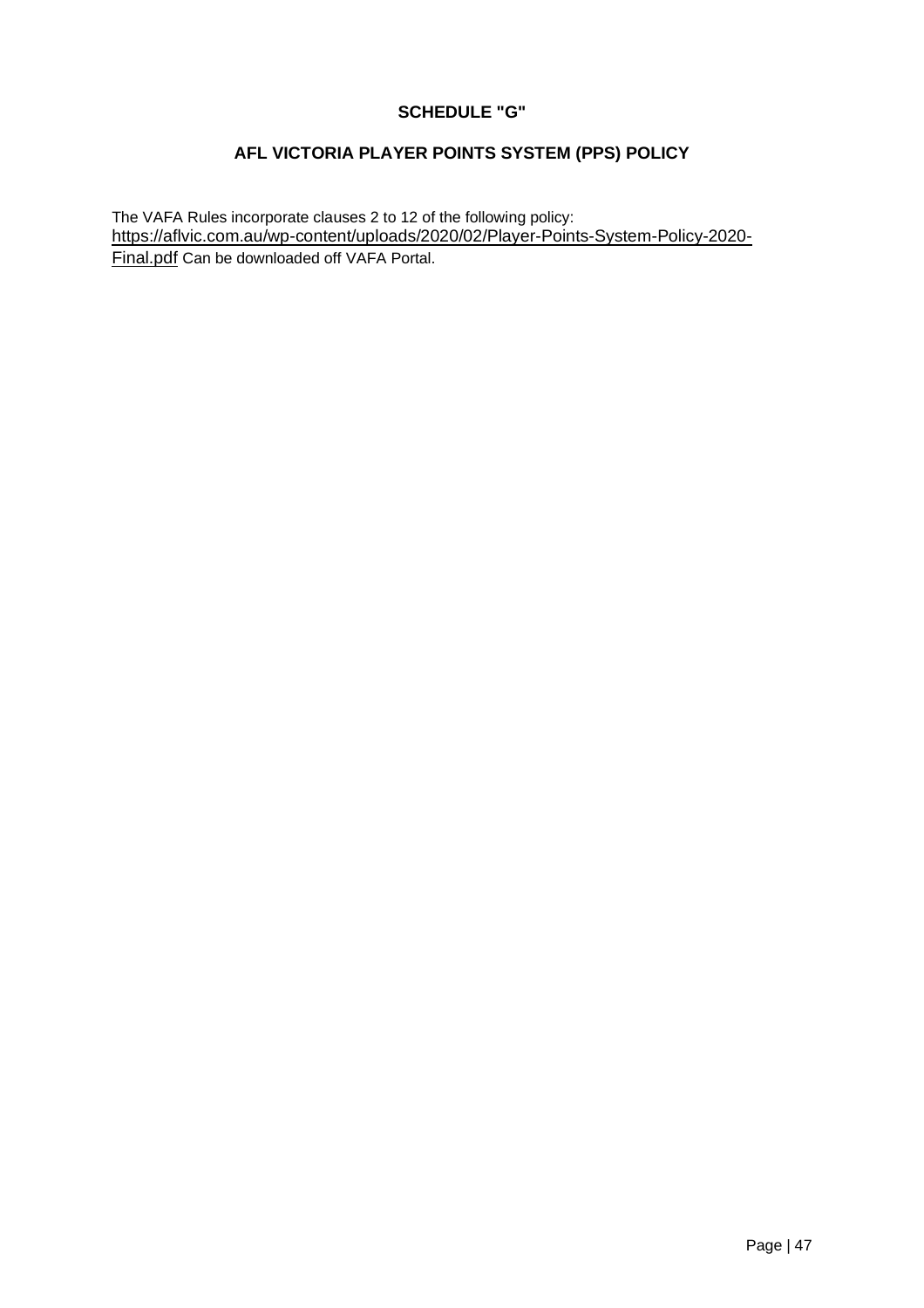## **SCHEDULE "G"**

## **AFL VICTORIA PLAYER POINTS SYSTEM (PPS) POLICY**

The VAFA Rules incorporate clauses 2 to 12 of the following policy: [https://aflvic.com.au/wp-content/uploads/2020/02/Player-Points-System-Policy-2020-](https://aflvic.com.au/wp-content/uploads/2020/02/Player-Points-System-Policy-2020-Final.pdf) [Final.pdf](https://aflvic.com.au/wp-content/uploads/2020/02/Player-Points-System-Policy-2020-Final.pdf) Can be downloaded off VAFA Portal.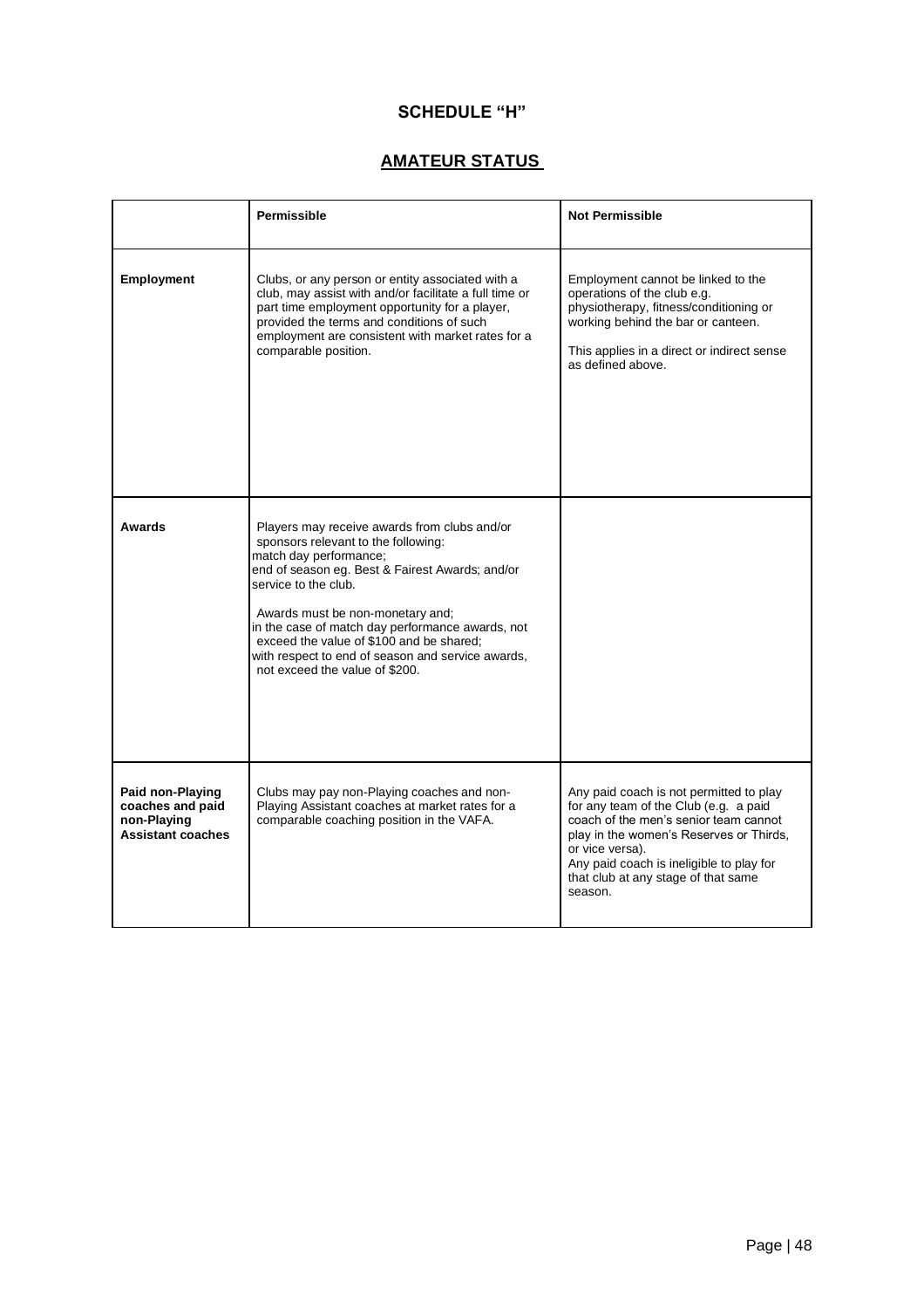## **SCHEDULE "H"**

## **AMATEUR STATUS**

|                                                                                 | Permissible                                                                                                                                                                                                                                                                                                                                                                                                         | <b>Not Permissible</b>                                                                                                                                                                                                                                                                |
|---------------------------------------------------------------------------------|---------------------------------------------------------------------------------------------------------------------------------------------------------------------------------------------------------------------------------------------------------------------------------------------------------------------------------------------------------------------------------------------------------------------|---------------------------------------------------------------------------------------------------------------------------------------------------------------------------------------------------------------------------------------------------------------------------------------|
| Employment                                                                      | Clubs, or any person or entity associated with a<br>club, may assist with and/or facilitate a full time or<br>part time employment opportunity for a player,<br>provided the terms and conditions of such<br>employment are consistent with market rates for a<br>comparable position.                                                                                                                              | Employment cannot be linked to the<br>operations of the club e.g.<br>physiotherapy, fitness/conditioning or<br>working behind the bar or canteen.<br>This applies in a direct or indirect sense<br>as defined above.                                                                  |
| Awards                                                                          | Players may receive awards from clubs and/or<br>sponsors relevant to the following:<br>match day performance;<br>end of season eg. Best & Fairest Awards; and/or<br>service to the club.<br>Awards must be non-monetary and;<br>in the case of match day performance awards, not<br>exceed the value of \$100 and be shared;<br>with respect to end of season and service awards,<br>not exceed the value of \$200. |                                                                                                                                                                                                                                                                                       |
| Paid non-Playing<br>coaches and paid<br>non-Playing<br><b>Assistant coaches</b> | Clubs may pay non-Playing coaches and non-<br>Playing Assistant coaches at market rates for a<br>comparable coaching position in the VAFA.                                                                                                                                                                                                                                                                          | Any paid coach is not permitted to play<br>for any team of the Club (e.g. a paid<br>coach of the men's senior team cannot<br>play in the women's Reserves or Thirds,<br>or vice versa).<br>Any paid coach is ineligible to play for<br>that club at any stage of that same<br>season. |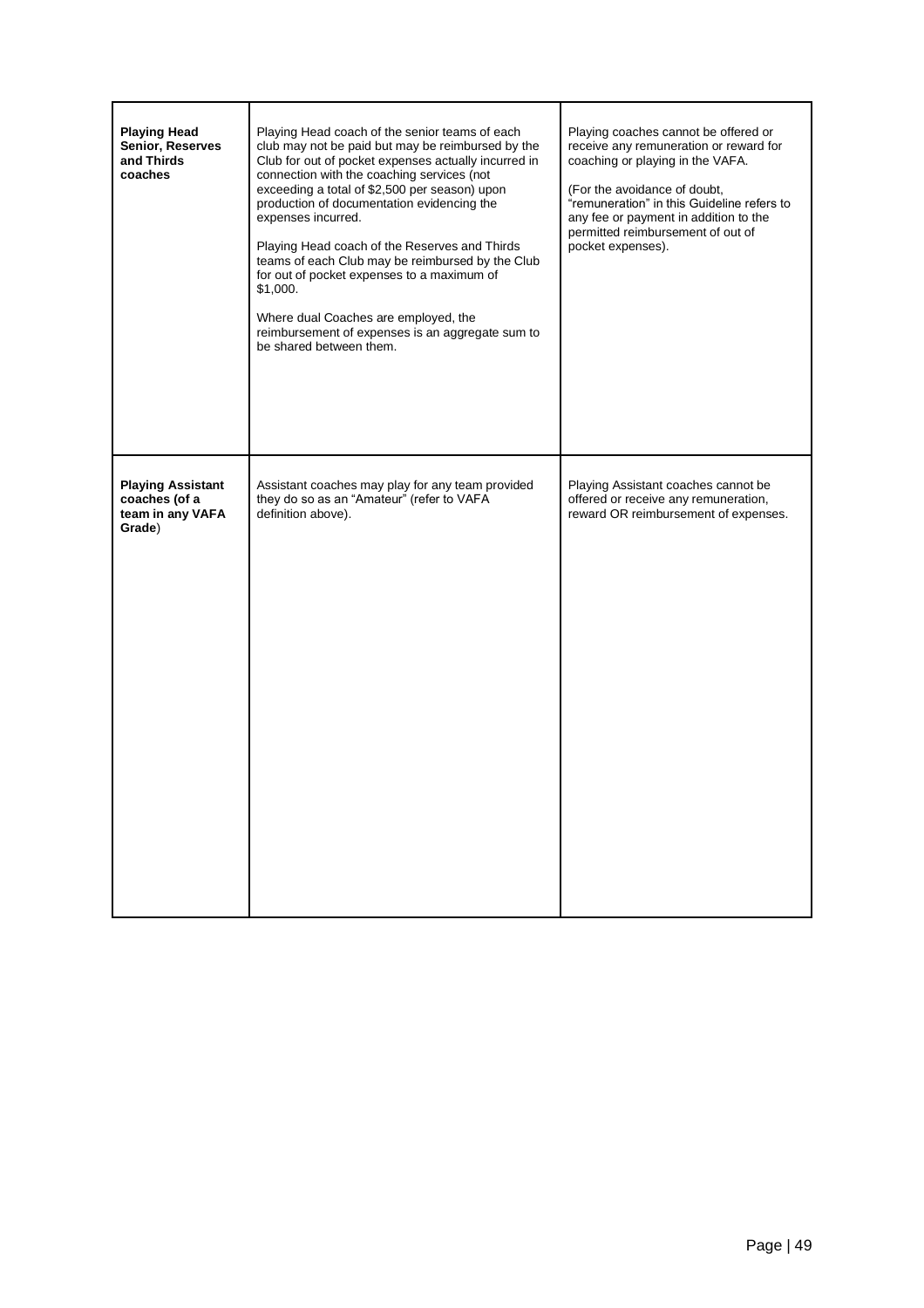| <b>Playing Head</b><br>Senior, Reserves<br>and Thirds<br>coaches        | Playing Head coach of the senior teams of each<br>club may not be paid but may be reimbursed by the<br>Club for out of pocket expenses actually incurred in<br>connection with the coaching services (not<br>exceeding a total of \$2,500 per season) upon<br>production of documentation evidencing the<br>expenses incurred.<br>Playing Head coach of the Reserves and Thirds<br>teams of each Club may be reimbursed by the Club<br>for out of pocket expenses to a maximum of<br>\$1,000.<br>Where dual Coaches are employed, the<br>reimbursement of expenses is an aggregate sum to<br>be shared between them. | Playing coaches cannot be offered or<br>receive any remuneration or reward for<br>coaching or playing in the VAFA.<br>(For the avoidance of doubt,<br>"remuneration" in this Guideline refers to<br>any fee or payment in addition to the<br>permitted reimbursement of out of<br>pocket expenses). |
|-------------------------------------------------------------------------|----------------------------------------------------------------------------------------------------------------------------------------------------------------------------------------------------------------------------------------------------------------------------------------------------------------------------------------------------------------------------------------------------------------------------------------------------------------------------------------------------------------------------------------------------------------------------------------------------------------------|-----------------------------------------------------------------------------------------------------------------------------------------------------------------------------------------------------------------------------------------------------------------------------------------------------|
| <b>Playing Assistant</b><br>coaches (of a<br>team in any VAFA<br>Grade) | Assistant coaches may play for any team provided<br>they do so as an "Amateur" (refer to VAFA<br>definition above).                                                                                                                                                                                                                                                                                                                                                                                                                                                                                                  | Playing Assistant coaches cannot be<br>offered or receive any remuneration,<br>reward OR reimbursement of expenses.                                                                                                                                                                                 |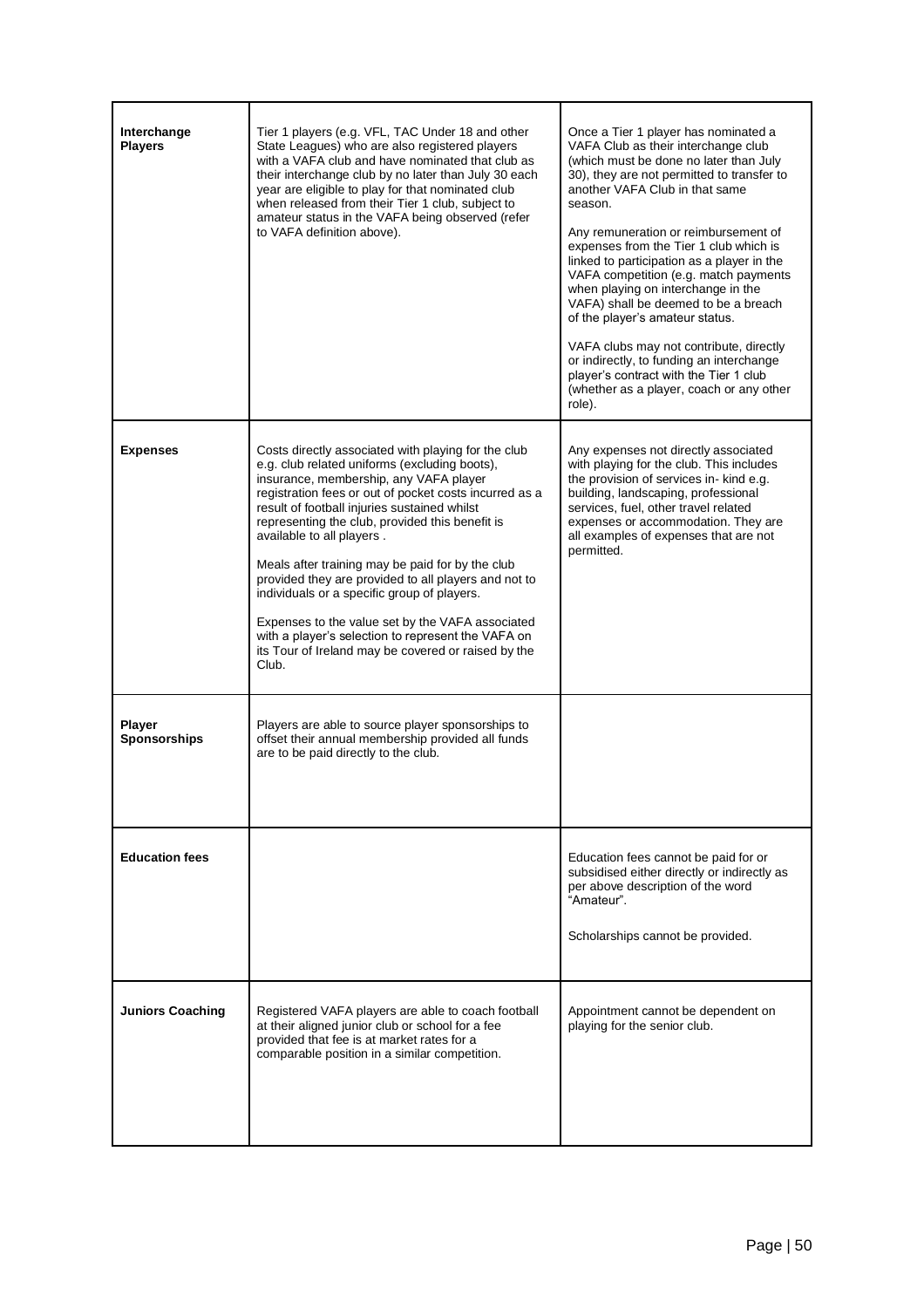| Interchange<br><b>Players</b>        | Tier 1 players (e.g. VFL, TAC Under 18 and other<br>State Leagues) who are also registered players<br>with a VAFA club and have nominated that club as<br>their interchange club by no later than July 30 each<br>year are eligible to play for that nominated club<br>when released from their Tier 1 club, subject to<br>amateur status in the VAFA being observed (refer<br>to VAFA definition above).                                                                                                                                                                                                                                                                     | Once a Tier 1 player has nominated a<br>VAFA Club as their interchange club<br>(which must be done no later than July<br>30), they are not permitted to transfer to<br>another VAFA Club in that same<br>season.<br>Any remuneration or reimbursement of<br>expenses from the Tier 1 club which is<br>linked to participation as a player in the<br>VAFA competition (e.g. match payments<br>when playing on interchange in the<br>VAFA) shall be deemed to be a breach<br>of the player's amateur status.<br>VAFA clubs may not contribute, directly<br>or indirectly, to funding an interchange<br>player's contract with the Tier 1 club<br>(whether as a player, coach or any other<br>role). |
|--------------------------------------|-------------------------------------------------------------------------------------------------------------------------------------------------------------------------------------------------------------------------------------------------------------------------------------------------------------------------------------------------------------------------------------------------------------------------------------------------------------------------------------------------------------------------------------------------------------------------------------------------------------------------------------------------------------------------------|---------------------------------------------------------------------------------------------------------------------------------------------------------------------------------------------------------------------------------------------------------------------------------------------------------------------------------------------------------------------------------------------------------------------------------------------------------------------------------------------------------------------------------------------------------------------------------------------------------------------------------------------------------------------------------------------------|
| <b>Expenses</b>                      | Costs directly associated with playing for the club<br>e.g. club related uniforms (excluding boots),<br>insurance, membership, any VAFA player<br>registration fees or out of pocket costs incurred as a<br>result of football injuries sustained whilst<br>representing the club, provided this benefit is<br>available to all players.<br>Meals after training may be paid for by the club<br>provided they are provided to all players and not to<br>individuals or a specific group of players.<br>Expenses to the value set by the VAFA associated<br>with a player's selection to represent the VAFA on<br>its Tour of Ireland may be covered or raised by the<br>Club. | Any expenses not directly associated<br>with playing for the club. This includes<br>the provision of services in- kind e.g.<br>building, landscaping, professional<br>services, fuel, other travel related<br>expenses or accommodation. They are<br>all examples of expenses that are not<br>permitted.                                                                                                                                                                                                                                                                                                                                                                                          |
| <b>Player</b><br><b>Sponsorships</b> | Players are able to source player sponsorships to<br>offset their annual membership provided all funds<br>are to be paid directly to the club.                                                                                                                                                                                                                                                                                                                                                                                                                                                                                                                                |                                                                                                                                                                                                                                                                                                                                                                                                                                                                                                                                                                                                                                                                                                   |
| <b>Education fees</b>                |                                                                                                                                                                                                                                                                                                                                                                                                                                                                                                                                                                                                                                                                               | Education fees cannot be paid for or<br>subsidised either directly or indirectly as<br>per above description of the word<br>"Amateur".<br>Scholarships cannot be provided.                                                                                                                                                                                                                                                                                                                                                                                                                                                                                                                        |
| <b>Juniors Coaching</b>              | Registered VAFA players are able to coach football<br>at their aligned junior club or school for a fee<br>provided that fee is at market rates for a<br>comparable position in a similar competition.                                                                                                                                                                                                                                                                                                                                                                                                                                                                         | Appointment cannot be dependent on<br>playing for the senior club.                                                                                                                                                                                                                                                                                                                                                                                                                                                                                                                                                                                                                                |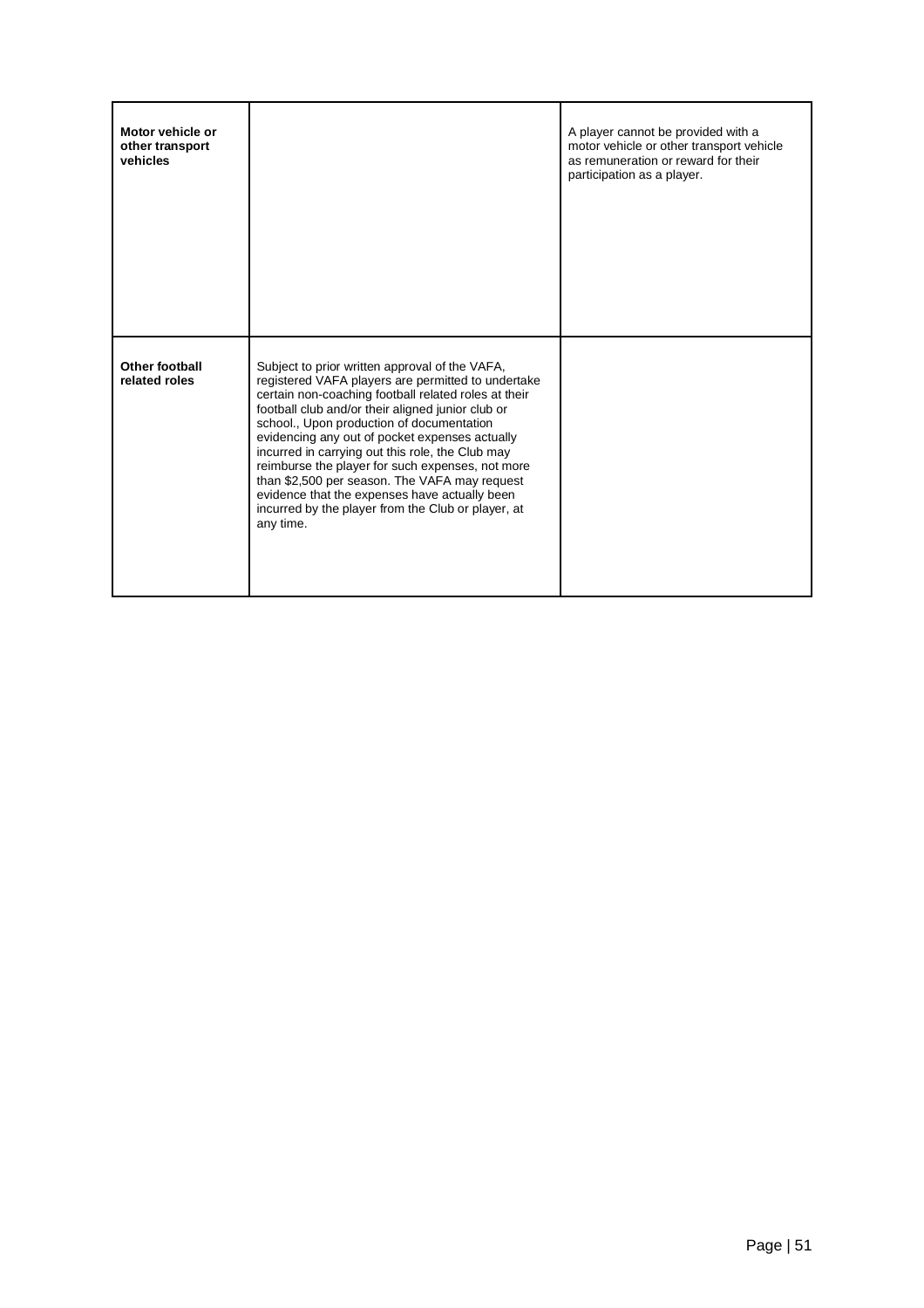| Motor vehicle or<br>other transport<br>vehicles |                                                                                                                                                                                                                                                                                                                                                                                                                                                                                                                                                                                               | A player cannot be provided with a<br>motor vehicle or other transport vehicle<br>as remuneration or reward for their<br>participation as a player. |
|-------------------------------------------------|-----------------------------------------------------------------------------------------------------------------------------------------------------------------------------------------------------------------------------------------------------------------------------------------------------------------------------------------------------------------------------------------------------------------------------------------------------------------------------------------------------------------------------------------------------------------------------------------------|-----------------------------------------------------------------------------------------------------------------------------------------------------|
| Other football<br>related roles                 | Subject to prior written approval of the VAFA,<br>registered VAFA players are permitted to undertake<br>certain non-coaching football related roles at their<br>football club and/or their aligned junior club or<br>school., Upon production of documentation<br>evidencing any out of pocket expenses actually<br>incurred in carrying out this role, the Club may<br>reimburse the player for such expenses, not more<br>than \$2,500 per season. The VAFA may request<br>evidence that the expenses have actually been<br>incurred by the player from the Club or player, at<br>any time. |                                                                                                                                                     |